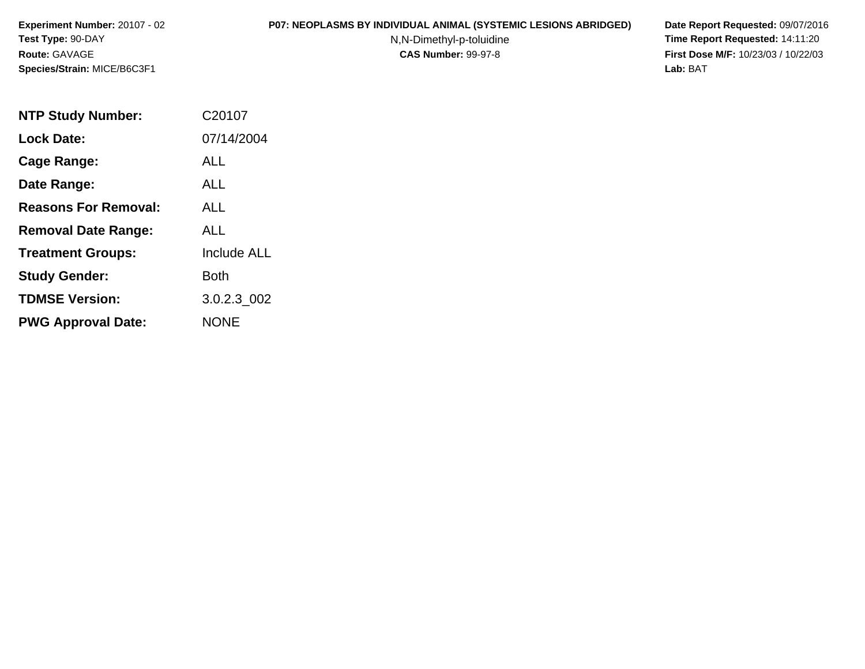#### **P07: NEOPLASMS BY INDIVIDUAL ANIMAL (SYSTEMIC LESIONS ABRIDGED) Date Report Requested:** 09/07/2016

N,N-Dimethyl-p-toluidine

| <b>NTP Study Number:</b>    | C20107             |
|-----------------------------|--------------------|
| <b>Lock Date:</b>           | 07/14/2004         |
| Cage Range:                 | ALL                |
| Date Range:                 | ALL                |
| <b>Reasons For Removal:</b> | ALL                |
| <b>Removal Date Range:</b>  | ALL                |
| <b>Treatment Groups:</b>    | <b>Include ALL</b> |
| <b>Study Gender:</b>        | Both               |
| <b>TDMSE Version:</b>       | 3.0.2.3_002        |
| <b>PWG Approval Date:</b>   | <b>NONE</b>        |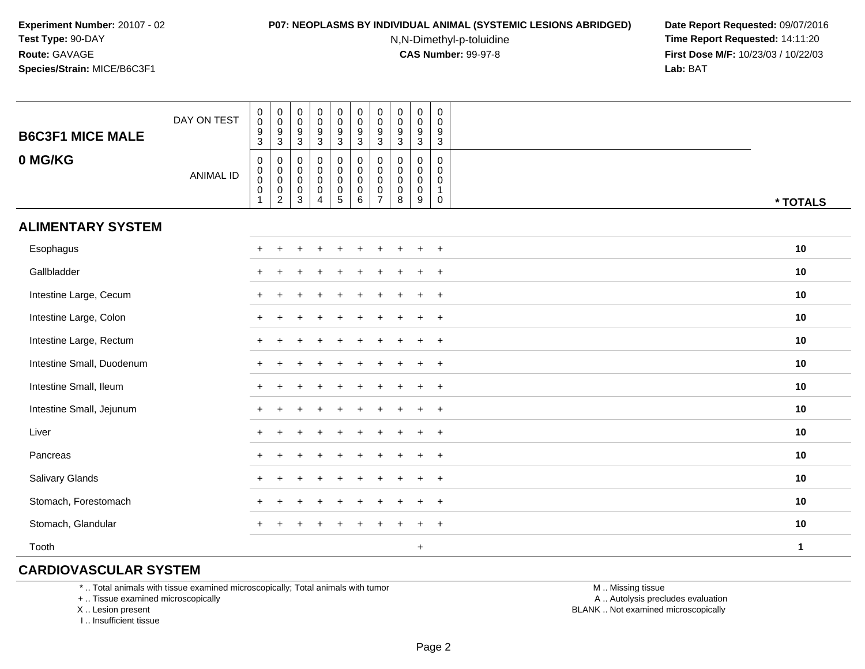#### **P07: NEOPLASMS BY INDIVIDUAL ANIMAL (SYSTEMIC LESIONS ABRIDGED) Date Report Requested:** 09/07/2016

N,N-Dimethyl-p-toluidine

 **Time Report Requested:** 14:11:20 **First Dose M/F:** 10/23/03 / 10/22/03<br>**Lab:** BAT **Lab:** BAT

| <b>B6C3F1 MICE MALE</b>   | DAY ON TEST      | $_{\rm 0}^{\rm 0}$<br>$^9_3$                                     | $\pmb{0}$<br>$\overline{0}$<br>$\frac{9}{3}$                                               | 0<br>$\mathbf 0$<br>$\frac{9}{3}$                                                  | $_{\rm 0}^{\rm 0}$<br>$\frac{9}{3}$                            | $\begin{array}{c} 0 \\ 0 \\ 9 \\ 3 \end{array}$               | $\begin{smallmatrix} 0\\0 \end{smallmatrix}$<br>$\frac{9}{3}$                 | $\pmb{0}$<br>$\pmb{0}$<br>9<br>$\overline{3}$                    | $\mathbf 0$<br>$\pmb{0}$<br>$\frac{9}{3}$                   | $_{\rm 0}^{\rm 0}$<br>$\frac{9}{3}$           | $\mathbf 0$<br>$\mathbf 0$<br>$\frac{9}{3}$                              |          |
|---------------------------|------------------|------------------------------------------------------------------|--------------------------------------------------------------------------------------------|------------------------------------------------------------------------------------|----------------------------------------------------------------|---------------------------------------------------------------|-------------------------------------------------------------------------------|------------------------------------------------------------------|-------------------------------------------------------------|-----------------------------------------------|--------------------------------------------------------------------------|----------|
| 0 MG/KG                   | <b>ANIMAL ID</b> | $\mathbf 0$<br>$_{\rm 0}^{\rm 0}$<br>$\mathbf 0$<br>$\mathbf{1}$ | 0<br>$\begin{smallmatrix} 0\\0 \end{smallmatrix}$<br>$\mathsf{O}\xspace$<br>$\overline{2}$ | $\mathbf 0$<br>$\mathbf 0$<br>$\mathsf{O}\xspace$<br>$\mathbf 0$<br>$\overline{3}$ | $\pmb{0}$<br>$_{\rm 0}^{\rm 0}$<br>$\pmb{0}$<br>$\overline{4}$ | $\mathbf 0$<br>$\begin{matrix} 0 \\ 0 \\ 0 \\ 5 \end{matrix}$ | $\mathbf 0$<br>$\mathbf 0$<br>$\overline{0}$<br>$\mathbf 0$<br>$\overline{6}$ | 0<br>$\mathbf 0$<br>$\mathbf 0$<br>$\mathbf 0$<br>$\overline{7}$ | $\mathbf 0$<br>$\mathbf 0$<br>$\mathbf 0$<br>$\pmb{0}$<br>8 | 0<br>$\pmb{0}$<br>$\pmb{0}$<br>$\pmb{0}$<br>9 | $\mathbf 0$<br>$\mathbf 0$<br>$\mathbf 0$<br>$\mathbf{1}$<br>$\mathbf 0$ | * TOTALS |
| <b>ALIMENTARY SYSTEM</b>  |                  |                                                                  |                                                                                            |                                                                                    |                                                                |                                                               |                                                                               |                                                                  |                                                             |                                               |                                                                          |          |
| Esophagus                 |                  |                                                                  |                                                                                            |                                                                                    |                                                                |                                                               |                                                                               |                                                                  |                                                             | $\div$                                        | $\ddot{}$                                                                | 10       |
| Gallbladder               |                  | $\pm$                                                            |                                                                                            |                                                                                    |                                                                |                                                               |                                                                               |                                                                  |                                                             | $\ddot{}$                                     | $+$                                                                      | 10       |
| Intestine Large, Cecum    |                  | $\ddot{}$                                                        |                                                                                            |                                                                                    |                                                                |                                                               |                                                                               |                                                                  |                                                             | $\ddot{}$                                     | $+$                                                                      | 10       |
| Intestine Large, Colon    |                  |                                                                  |                                                                                            |                                                                                    |                                                                |                                                               |                                                                               |                                                                  |                                                             |                                               | $+$                                                                      | 10       |
| Intestine Large, Rectum   |                  |                                                                  |                                                                                            |                                                                                    |                                                                |                                                               |                                                                               |                                                                  |                                                             |                                               | $\overline{+}$                                                           | 10       |
| Intestine Small, Duodenum |                  |                                                                  |                                                                                            |                                                                                    |                                                                |                                                               |                                                                               |                                                                  |                                                             |                                               | $+$                                                                      | 10       |
| Intestine Small, Ileum    |                  |                                                                  |                                                                                            |                                                                                    |                                                                |                                                               |                                                                               |                                                                  |                                                             |                                               | $+$                                                                      | 10       |
| Intestine Small, Jejunum  |                  |                                                                  |                                                                                            |                                                                                    |                                                                |                                                               |                                                                               |                                                                  |                                                             | $\pm$                                         | $+$                                                                      | 10       |
| Liver                     |                  |                                                                  |                                                                                            |                                                                                    |                                                                |                                                               |                                                                               |                                                                  |                                                             | $\ddot{}$                                     | $+$                                                                      | 10       |
| Pancreas                  |                  |                                                                  |                                                                                            |                                                                                    |                                                                |                                                               |                                                                               |                                                                  |                                                             | $\ddot{}$                                     | $+$                                                                      | 10       |
| Salivary Glands           |                  |                                                                  |                                                                                            |                                                                                    |                                                                |                                                               |                                                                               |                                                                  |                                                             | $\ddot{}$                                     | $+$                                                                      | 10       |
| Stomach, Forestomach      |                  |                                                                  |                                                                                            |                                                                                    |                                                                |                                                               |                                                                               |                                                                  |                                                             | $\ddot{}$                                     | $+$                                                                      | 10       |
| Stomach, Glandular        |                  | $\pm$                                                            | $\div$                                                                                     |                                                                                    |                                                                |                                                               |                                                                               |                                                                  |                                                             | ÷                                             | $\overline{+}$                                                           | 10       |
| Tooth                     |                  |                                                                  |                                                                                            |                                                                                    |                                                                |                                                               |                                                                               |                                                                  |                                                             | $\ddot{}$                                     |                                                                          | 1        |

## **CARDIOVASCULAR SYSTEM**

\* .. Total animals with tissue examined microscopically; Total animals with tumor

+ .. Tissue examined microscopically

X .. Lesion present

I .. Insufficient tissue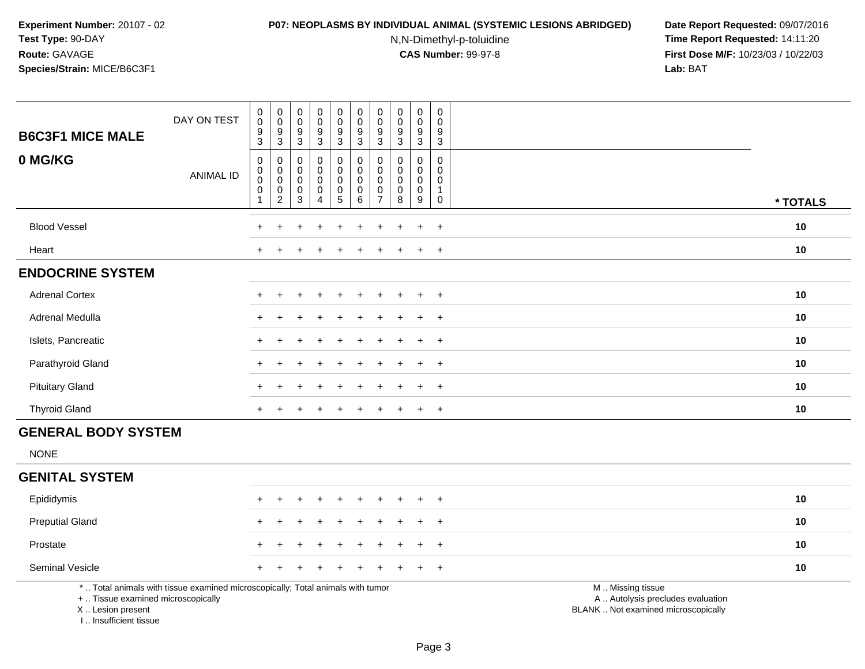## **P07: NEOPLASMS BY INDIVIDUAL ANIMAL (SYSTEMIC LESIONS ABRIDGED) Date Report Requested:** 09/07/2016

N,N-Dimethyl-p-toluidine

| <b>B6C3F1 MICE MALE</b>                                                            | DAY ON TEST                                                                     | $\pmb{0}$<br>$\mathbf 0$<br>$\frac{9}{3}$                           | $_{\rm 0}^{\rm 0}$<br>$\frac{9}{3}$                                             | $\pmb{0}$<br>$\pmb{0}$<br>$9\,$                                                               | $\pmb{0}$<br>$\pmb{0}$<br>$9\,$                                              | $\pmb{0}$<br>$\ddot{\mathbf{0}}$<br>$\boldsymbol{9}$                                               | $\pmb{0}$<br>$\pmb{0}$<br>9                                                                     | $\mathbf 0$<br>$\pmb{0}$<br>$9\,$                                                             | $\pmb{0}$<br>$\mathsf 0$<br>9                                                 | $\pmb{0}$<br>$\pmb{0}$<br>$\boldsymbol{9}$                                       | $\mathsf 0$<br>$\mathbf 0$<br>9                                                     |                                                                                               |          |
|------------------------------------------------------------------------------------|---------------------------------------------------------------------------------|---------------------------------------------------------------------|---------------------------------------------------------------------------------|-----------------------------------------------------------------------------------------------|------------------------------------------------------------------------------|----------------------------------------------------------------------------------------------------|-------------------------------------------------------------------------------------------------|-----------------------------------------------------------------------------------------------|-------------------------------------------------------------------------------|----------------------------------------------------------------------------------|-------------------------------------------------------------------------------------|-----------------------------------------------------------------------------------------------|----------|
| 0 MG/KG                                                                            | <b>ANIMAL ID</b>                                                                | $\mathsf 0$<br>$\pmb{0}$<br>$\mathsf{O}\xspace$<br>$\mathbf 0$<br>1 | $\boldsymbol{0}$<br>$\pmb{0}$<br>$\pmb{0}$<br>$\mathsf{O}\xspace$<br>$\sqrt{2}$ | $\mathbf{3}$<br>$\mathbf 0$<br>$\mathbf 0$<br>$\boldsymbol{0}$<br>$\mathbf 0$<br>$\mathbf{3}$ | $\mathbf{3}$<br>0<br>$\pmb{0}$<br>$\pmb{0}$<br>$\mathbf 0$<br>$\overline{4}$ | $\overline{3}$<br>0<br>$\ddot{\mathbf{0}}$<br>$\mathbf 0$<br>$\mathsf{O}\xspace$<br>$\overline{5}$ | $\overline{3}$<br>$\pmb{0}$<br>$\pmb{0}$<br>$\mathsf{O}\xspace$<br>$\pmb{0}$<br>$6\overline{6}$ | $\overline{3}$<br>$\mathbf 0$<br>$\mathbf{0}$<br>$\mathbf 0$<br>$\mathbf 0$<br>$\overline{7}$ | $\mathbf{3}$<br>$\mathbf 0$<br>$\mathbf 0$<br>$\mathbf 0$<br>$\mathbf 0$<br>8 | $\overline{3}$<br>0<br>$\pmb{0}$<br>$\mathbf 0$<br>$\mathbf 0$<br>$\overline{9}$ | $\sqrt{3}$<br>$\mathbf 0$<br>$\Omega$<br>$\mathbf 0$<br>$\mathbf{1}$<br>$\mathbf 0$ |                                                                                               | * TOTALS |
| <b>Blood Vessel</b>                                                                |                                                                                 |                                                                     |                                                                                 |                                                                                               |                                                                              |                                                                                                    |                                                                                                 |                                                                                               |                                                                               | $\ddot{}$                                                                        | $+$                                                                                 |                                                                                               | 10       |
| Heart                                                                              |                                                                                 |                                                                     |                                                                                 |                                                                                               |                                                                              |                                                                                                    |                                                                                                 |                                                                                               |                                                                               | $\ddot{}$                                                                        | $\overline{+}$                                                                      |                                                                                               | 10       |
| <b>ENDOCRINE SYSTEM</b>                                                            |                                                                                 |                                                                     |                                                                                 |                                                                                               |                                                                              |                                                                                                    |                                                                                                 |                                                                                               |                                                                               |                                                                                  |                                                                                     |                                                                                               |          |
| <b>Adrenal Cortex</b>                                                              |                                                                                 |                                                                     |                                                                                 |                                                                                               |                                                                              |                                                                                                    |                                                                                                 |                                                                                               |                                                                               |                                                                                  | $\overline{+}$                                                                      |                                                                                               | 10       |
| Adrenal Medulla                                                                    |                                                                                 |                                                                     |                                                                                 |                                                                                               |                                                                              |                                                                                                    |                                                                                                 |                                                                                               |                                                                               | $\ddot{}$                                                                        | $\ddot{}$                                                                           |                                                                                               | 10       |
| Islets, Pancreatic                                                                 |                                                                                 |                                                                     |                                                                                 |                                                                                               |                                                                              |                                                                                                    |                                                                                                 |                                                                                               |                                                                               |                                                                                  | $\ddot{}$                                                                           |                                                                                               | 10       |
| Parathyroid Gland                                                                  |                                                                                 |                                                                     |                                                                                 |                                                                                               |                                                                              |                                                                                                    |                                                                                                 |                                                                                               |                                                                               | $\ddot{}$                                                                        | $\overline{+}$                                                                      |                                                                                               | 10       |
| <b>Pituitary Gland</b>                                                             |                                                                                 |                                                                     |                                                                                 |                                                                                               |                                                                              |                                                                                                    |                                                                                                 |                                                                                               |                                                                               | $\ddot{}$                                                                        | $+$                                                                                 |                                                                                               | 10       |
| <b>Thyroid Gland</b>                                                               |                                                                                 | $\ddot{}$                                                           |                                                                                 |                                                                                               |                                                                              |                                                                                                    |                                                                                                 |                                                                                               |                                                                               | $\ddot{}$                                                                        | $+$                                                                                 |                                                                                               | 10       |
| <b>GENERAL BODY SYSTEM</b>                                                         |                                                                                 |                                                                     |                                                                                 |                                                                                               |                                                                              |                                                                                                    |                                                                                                 |                                                                                               |                                                                               |                                                                                  |                                                                                     |                                                                                               |          |
| <b>NONE</b>                                                                        |                                                                                 |                                                                     |                                                                                 |                                                                                               |                                                                              |                                                                                                    |                                                                                                 |                                                                                               |                                                                               |                                                                                  |                                                                                     |                                                                                               |          |
| <b>GENITAL SYSTEM</b>                                                              |                                                                                 |                                                                     |                                                                                 |                                                                                               |                                                                              |                                                                                                    |                                                                                                 |                                                                                               |                                                                               |                                                                                  |                                                                                     |                                                                                               |          |
| Epididymis                                                                         |                                                                                 | $\ddot{}$                                                           | $\ddot{}$                                                                       |                                                                                               | $\ddot{}$                                                                    | $\ddot{}$                                                                                          | $\ddot{}$                                                                                       | +                                                                                             | $\div$                                                                        | $\ddot{}$                                                                        | $+$                                                                                 |                                                                                               | 10       |
| <b>Preputial Gland</b>                                                             |                                                                                 |                                                                     |                                                                                 |                                                                                               |                                                                              |                                                                                                    |                                                                                                 |                                                                                               |                                                                               |                                                                                  | $\ddot{}$                                                                           |                                                                                               | 10       |
| Prostate                                                                           |                                                                                 |                                                                     |                                                                                 |                                                                                               |                                                                              |                                                                                                    |                                                                                                 |                                                                                               |                                                                               |                                                                                  | $\ddot{}$                                                                           |                                                                                               | 10       |
| Seminal Vesicle                                                                    |                                                                                 |                                                                     |                                                                                 |                                                                                               |                                                                              |                                                                                                    |                                                                                                 |                                                                                               |                                                                               |                                                                                  | $\div$                                                                              |                                                                                               | 10       |
| +  Tissue examined microscopically<br>X  Lesion present<br>I., Insufficient tissue | *  Total animals with tissue examined microscopically; Total animals with tumor |                                                                     |                                                                                 |                                                                                               |                                                                              |                                                                                                    |                                                                                                 |                                                                                               |                                                                               |                                                                                  |                                                                                     | M  Missing tissue<br>A  Autolysis precludes evaluation<br>BLANK  Not examined microscopically |          |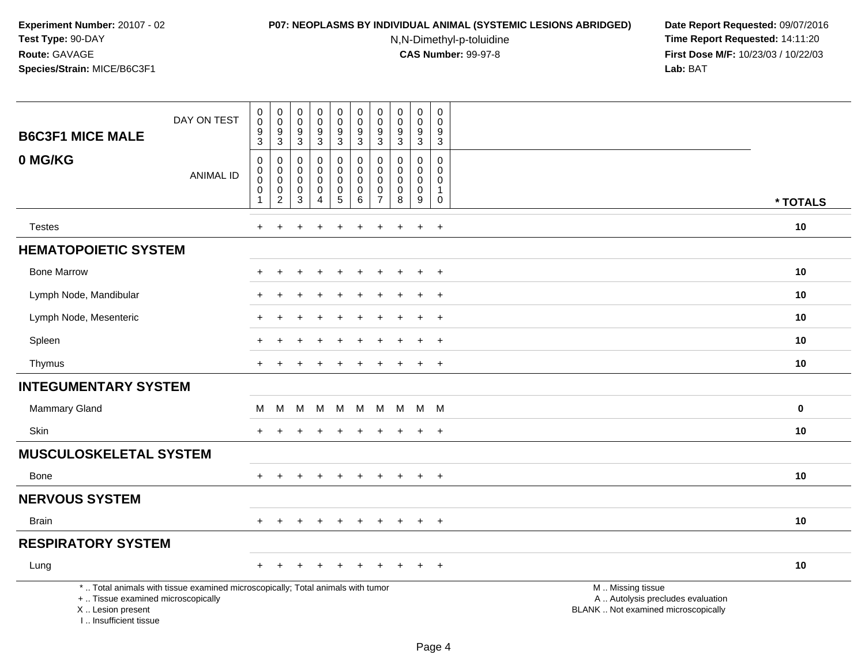#### **P07: NEOPLASMS BY INDIVIDUAL ANIMAL (SYSTEMIC LESIONS ABRIDGED) Date Report Requested:** 09/07/2016

N,N-Dimethyl-p-toluidine

| <b>B6C3F1 MICE MALE</b>                                                          | DAY ON TEST                                                                     | $_{\rm 0}^{\rm 0}$<br>$\boldsymbol{9}$<br>$\sqrt{3}$     | $\pmb{0}$<br>$\mathbf 0$<br>9<br>$\mathsf 3$           | $\mathsf 0$<br>0<br>9<br>3             | ${\bf 0}$<br>$\mathbf 0$<br>$\overline{9}$<br>$\mathbf{3}$        | $\pmb{0}$<br>$\mathbf 0$<br>$\boldsymbol{9}$<br>$\overline{3}$                 | $\pmb{0}$<br>$\mathbf 0$<br>$\boldsymbol{9}$<br>$\mathbf{3}$ | $\mathsf{O}\xspace$<br>0<br>9<br>3                         | $\pmb{0}$<br>0<br>$\boldsymbol{9}$<br>$\sqrt{3}$           | $\mathsf{O}\xspace$<br>0<br>$\boldsymbol{9}$<br>3             | $\mathbf 0$<br>$\mathbf 0$<br>9<br>$\mathsf 3$                           |                                                                                               |  |
|----------------------------------------------------------------------------------|---------------------------------------------------------------------------------|----------------------------------------------------------|--------------------------------------------------------|----------------------------------------|-------------------------------------------------------------------|--------------------------------------------------------------------------------|--------------------------------------------------------------|------------------------------------------------------------|------------------------------------------------------------|---------------------------------------------------------------|--------------------------------------------------------------------------|-----------------------------------------------------------------------------------------------|--|
| 0 MG/KG                                                                          | <b>ANIMAL ID</b>                                                                | $\,0\,$<br>$\mathbf 0$<br>$\pmb{0}$<br>0<br>$\mathbf{1}$ | $\mathbf 0$<br>0<br>$\mathbf 0$<br>0<br>$\overline{c}$ | $\Omega$<br>0<br>$\mathbf 0$<br>0<br>3 | $\mathbf 0$<br>$\mathsf{O}$<br>$\mathbf 0$<br>0<br>$\overline{4}$ | $\pmb{0}$<br>$\pmb{0}$<br>$\mathsf{O}\xspace$<br>$\mathbf 0$<br>$\overline{5}$ | $\pmb{0}$<br>$\pmb{0}$<br>$\mathbf 0$<br>0<br>$\,6\,$        | $\Omega$<br>$\mathbf 0$<br>$\Omega$<br>0<br>$\overline{7}$ | $\Omega$<br>$\mathbf 0$<br>$\mathbf 0$<br>$\mathbf 0$<br>8 | $\Omega$<br>0<br>$\mathbf 0$<br>$\pmb{0}$<br>$\boldsymbol{9}$ | $\mathbf 0$<br>$\mathbf 0$<br>$\mathbf 0$<br>$\mathbf{1}$<br>$\mathbf 0$ | * TOTALS                                                                                      |  |
| <b>Testes</b>                                                                    |                                                                                 | $+$                                                      | $\ddot{}$                                              |                                        |                                                                   |                                                                                | $\overline{1}$                                               | $+$                                                        | ÷                                                          | $\ddot{+}$                                                    | $\ddot{}$                                                                | 10                                                                                            |  |
| <b>HEMATOPOIETIC SYSTEM</b>                                                      |                                                                                 |                                                          |                                                        |                                        |                                                                   |                                                                                |                                                              |                                                            |                                                            |                                                               |                                                                          |                                                                                               |  |
| <b>Bone Marrow</b>                                                               |                                                                                 |                                                          |                                                        |                                        |                                                                   |                                                                                |                                                              |                                                            |                                                            |                                                               | $\ddot{}$                                                                | 10                                                                                            |  |
| Lymph Node, Mandibular                                                           |                                                                                 |                                                          |                                                        |                                        |                                                                   |                                                                                |                                                              |                                                            |                                                            | $\div$                                                        | $\overline{+}$                                                           | 10                                                                                            |  |
| Lymph Node, Mesenteric                                                           |                                                                                 |                                                          | ÷                                                      |                                        |                                                                   |                                                                                |                                                              |                                                            |                                                            | $\ddot{}$                                                     | $\ddot{}$                                                                | 10                                                                                            |  |
| Spleen                                                                           |                                                                                 |                                                          |                                                        |                                        |                                                                   |                                                                                |                                                              |                                                            |                                                            |                                                               | $\ddot{}$                                                                | 10                                                                                            |  |
| Thymus                                                                           |                                                                                 | $\pm$                                                    |                                                        |                                        |                                                                   |                                                                                |                                                              |                                                            |                                                            | $\ddot{+}$                                                    | $+$                                                                      | 10                                                                                            |  |
| <b>INTEGUMENTARY SYSTEM</b>                                                      |                                                                                 |                                                          |                                                        |                                        |                                                                   |                                                                                |                                                              |                                                            |                                                            |                                                               |                                                                          |                                                                                               |  |
| <b>Mammary Gland</b>                                                             |                                                                                 | М                                                        | M                                                      | М                                      | M                                                                 | M                                                                              | М                                                            | M                                                          | M                                                          | M M                                                           |                                                                          | $\bf{0}$                                                                                      |  |
| Skin                                                                             |                                                                                 |                                                          |                                                        |                                        |                                                                   |                                                                                |                                                              |                                                            |                                                            | $\ddot{}$                                                     | $+$                                                                      | 10                                                                                            |  |
| <b>MUSCULOSKELETAL SYSTEM</b>                                                    |                                                                                 |                                                          |                                                        |                                        |                                                                   |                                                                                |                                                              |                                                            |                                                            |                                                               |                                                                          |                                                                                               |  |
| Bone                                                                             |                                                                                 | $+$                                                      | $+$                                                    |                                        | $\ddot{}$                                                         | $+$                                                                            | $+$                                                          | $\ddot{}$                                                  | $\overline{+}$                                             | $+$                                                           | $+$                                                                      | 10                                                                                            |  |
| <b>NERVOUS SYSTEM</b>                                                            |                                                                                 |                                                          |                                                        |                                        |                                                                   |                                                                                |                                                              |                                                            |                                                            |                                                               |                                                                          |                                                                                               |  |
| <b>Brain</b>                                                                     |                                                                                 | $\ddot{}$                                                | $\ddot{}$                                              |                                        | $\div$                                                            | $\pm$                                                                          | $\overline{ }$                                               | $\pm$                                                      | $\pm$                                                      | $\ddot{}$                                                     | $+$                                                                      | 10                                                                                            |  |
| <b>RESPIRATORY SYSTEM</b>                                                        |                                                                                 |                                                          |                                                        |                                        |                                                                   |                                                                                |                                                              |                                                            |                                                            |                                                               |                                                                          |                                                                                               |  |
| Lung                                                                             |                                                                                 |                                                          |                                                        |                                        |                                                                   |                                                                                |                                                              |                                                            |                                                            |                                                               | $\ddot{}$                                                                | 10                                                                                            |  |
| +  Tissue examined microscopically<br>X  Lesion present<br>I Insufficient tissue | *  Total animals with tissue examined microscopically; Total animals with tumor |                                                          |                                                        |                                        |                                                                   |                                                                                |                                                              |                                                            |                                                            |                                                               |                                                                          | M  Missing tissue<br>A  Autolysis precludes evaluation<br>BLANK  Not examined microscopically |  |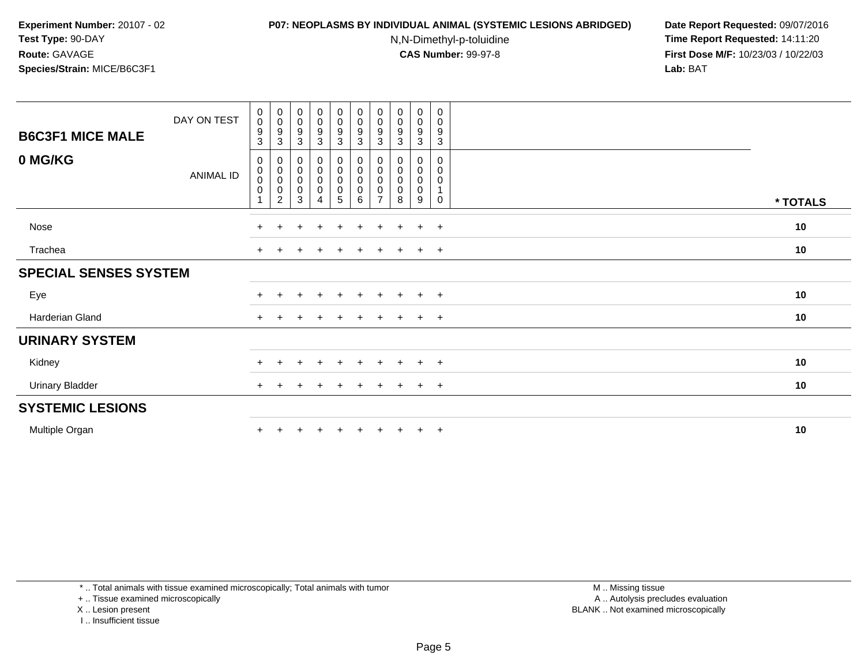#### **P07: NEOPLASMS BY INDIVIDUAL ANIMAL (SYSTEMIC LESIONS ABRIDGED) Date Report Requested:** 09/07/2016

N,N-Dimethyl-p-toluidine

 **Time Report Requested:** 14:11:20 **First Dose M/F:** 10/23/03 / 10/22/03<br>**Lab:** BAT **Lab:** BAT

| <b>B6C3F1 MICE MALE</b>      | DAY ON TEST      | $\begin{smallmatrix} 0\\0 \end{smallmatrix}$<br>$\frac{9}{3}$ | $_{\rm 0}^{\rm 0}$<br>$\frac{9}{3}$            | $_{\rm 0}^{\rm 0}$<br>$\boldsymbol{9}$<br>$\overline{3}$ | $\begin{smallmatrix} 0\\0 \end{smallmatrix}$<br>$\frac{9}{3}$    | $\begin{array}{c} 0 \\ 0 \\ 9 \\ 3 \end{array}$         | $\begin{smallmatrix} 0\\0 \end{smallmatrix}$<br>$\frac{9}{3}$ | $\begin{smallmatrix} 0\\0 \end{smallmatrix}$<br>9<br>$\mathbf{3}$ | $\begin{smallmatrix}0\\0\end{smallmatrix}$<br>$\boldsymbol{9}$<br>$\mathbf{3}$ | 0<br>$\mathsf{O}$<br>9<br>3               | 0<br>$\mathbf 0$<br>9<br>$\mathbf{3}$ |          |
|------------------------------|------------------|---------------------------------------------------------------|------------------------------------------------|----------------------------------------------------------|------------------------------------------------------------------|---------------------------------------------------------|---------------------------------------------------------------|-------------------------------------------------------------------|--------------------------------------------------------------------------------|-------------------------------------------|---------------------------------------|----------|
| 0 MG/KG                      | <b>ANIMAL ID</b> | 0<br>$_{\rm 0}^{\rm 0}$<br>$\pmb{0}$<br>$\overline{1}$        | 0<br>$_{\rm 0}^{\rm 0}$<br>0<br>$\overline{2}$ | $\pmb{0}$<br>$_{\rm 0}^{\rm 0}$<br>$\pmb{0}$<br>3        | $\mathbf 0$<br>$\pmb{0}$<br>$\boldsymbol{0}$<br>$\mathsf 0$<br>4 | $\pmb{0}$<br>$\pmb{0}$<br>$\mathbf 0$<br>$\pmb{0}$<br>5 | 0<br>$\pmb{0}$<br>$\pmb{0}$<br>$\mathbf 0$<br>6               | 0<br>0<br>0<br>$\overline{ }$                                     | 0<br>0<br>$\pmb{0}$<br>$\pmb{0}$<br>8                                          | 0<br>0<br>$\mathbf 0$<br>$\mathbf 0$<br>9 | 0<br>0<br>0<br>$\mathbf 0$            | * TOTALS |
| Nose                         |                  | $+$                                                           | $+$                                            | $\div$                                                   | $\overline{+}$                                                   | $\pm$                                                   | $+$                                                           | $\pm$                                                             | $\pm$                                                                          | $\ddot{}$                                 | $+$                                   | 10       |
| Trachea                      |                  | $\pm$                                                         |                                                |                                                          |                                                                  |                                                         |                                                               |                                                                   |                                                                                | $\pm$                                     | $+$                                   | 10       |
| <b>SPECIAL SENSES SYSTEM</b> |                  |                                                               |                                                |                                                          |                                                                  |                                                         |                                                               |                                                                   |                                                                                |                                           |                                       |          |
| Eye                          |                  | $\pm$                                                         |                                                |                                                          | $\ddot{}$                                                        | $+$                                                     | $+$                                                           | $\pm$                                                             | $\pm$                                                                          | $+$                                       | $+$                                   | 10       |
| Harderian Gland              |                  | $+$                                                           |                                                |                                                          |                                                                  |                                                         | $\div$                                                        |                                                                   |                                                                                | $\pm$                                     | $+$                                   | 10       |
| <b>URINARY SYSTEM</b>        |                  |                                                               |                                                |                                                          |                                                                  |                                                         |                                                               |                                                                   |                                                                                |                                           |                                       |          |
| Kidney                       |                  | $+$                                                           |                                                |                                                          | $\ddot{}$                                                        | $\div$                                                  | $\div$                                                        |                                                                   |                                                                                | $\pm$                                     | $+$                                   | 10       |
| <b>Urinary Bladder</b>       |                  | $\ddot{}$                                                     |                                                |                                                          |                                                                  |                                                         |                                                               |                                                                   |                                                                                | $\pm$                                     | $+$                                   | 10       |
| <b>SYSTEMIC LESIONS</b>      |                  |                                                               |                                                |                                                          |                                                                  |                                                         |                                                               |                                                                   |                                                                                |                                           |                                       |          |
| Multiple Organ               |                  | $\ddot{}$                                                     |                                                |                                                          |                                                                  |                                                         |                                                               |                                                                   |                                                                                | $\ddot{}$                                 | $+$                                   | 10       |

\* .. Total animals with tissue examined microscopically; Total animals with tumor

+ .. Tissue examined microscopically

X .. Lesion present

I .. Insufficient tissue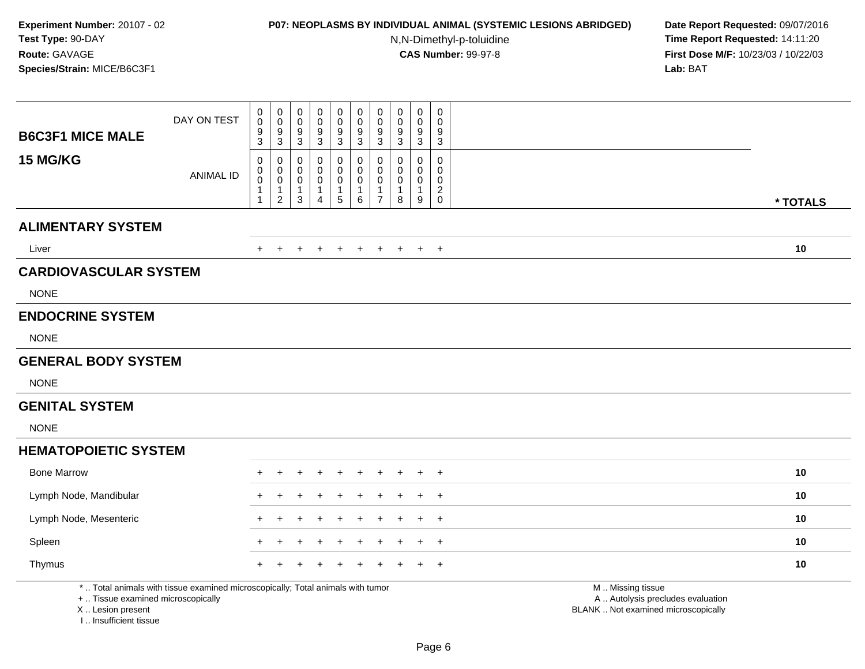# **P07: NEOPLASMS BY INDIVIDUAL ANIMAL (SYSTEMIC LESIONS ABRIDGED) Date Report Requested:** 09/07/2016

N,N-Dimethyl-p-toluidine

| <b>B6C3F1 MICE MALE</b>                                                          | DAY ON TEST                                                                     | 0<br>$\mathbf 0$<br>9<br>$\overline{3}$                                 | $\boldsymbol{0}$<br>$\ddot{\mathbf{0}}$<br>$\boldsymbol{9}$<br>$\overline{3}$ | $\mathbf 0$<br>$\mathbf 0$<br>9<br>$\mathbf{3}$ | $\pmb{0}$<br>0<br>$\frac{9}{3}$                         | $\mathsf{O}\xspace$<br>$\ddot{\mathbf{0}}$<br>$\frac{9}{3}$       | $\boldsymbol{0}$<br>$\overline{0}$<br>$\frac{9}{3}$           | $\mathbf 0$<br>$\mathbf 0$<br>9<br>$\mathbf{3}$                             | 0<br>0<br>9<br>$\mathbf{3}$      | $\pmb{0}$<br>$\ddot{\mathbf{0}}$<br>$\frac{9}{3}$              | 0<br>$\Omega$<br>9<br>$\mathbf{3}$                     |                                                                                               |
|----------------------------------------------------------------------------------|---------------------------------------------------------------------------------|-------------------------------------------------------------------------|-------------------------------------------------------------------------------|-------------------------------------------------|---------------------------------------------------------|-------------------------------------------------------------------|---------------------------------------------------------------|-----------------------------------------------------------------------------|----------------------------------|----------------------------------------------------------------|--------------------------------------------------------|-----------------------------------------------------------------------------------------------|
| 15 MG/KG                                                                         | <b>ANIMAL ID</b>                                                                | 0<br>$\mathbf 0$<br>$\ddot{\mathbf{0}}$<br>$\mathbf{1}$<br>$\mathbf{1}$ | 0<br>$\pmb{0}$<br>$\overline{0}$<br>$\mathbf{1}$<br>$\overline{2}$            | 0<br>0<br>0<br>$\mathbf{1}$<br>3                | 0<br>$\mathbf 0$<br>0<br>$\mathbf{1}$<br>$\overline{4}$ | $\pmb{0}$<br>$\pmb{0}$<br>$\pmb{0}$<br>$\mathbf{1}$<br>$\sqrt{5}$ | $\pmb{0}$<br>$\pmb{0}$<br>$\overline{0}$<br>$\mathbf{1}$<br>6 | $\mathbf 0$<br>$\mathbf 0$<br>$\mathbf 0$<br>$\mathbf{1}$<br>$\overline{7}$ | 0<br>0<br>0<br>$\mathbf{1}$<br>8 | $\mathbf 0$<br>$\mathbf 0$<br>$\mathbf 0$<br>$\mathbf{1}$<br>9 | 0<br>0<br>$\mathbf 0$<br>$\overline{c}$<br>$\mathbf 0$ | * TOTALS                                                                                      |
| <b>ALIMENTARY SYSTEM</b>                                                         |                                                                                 |                                                                         |                                                                               |                                                 |                                                         |                                                                   |                                                               |                                                                             |                                  |                                                                |                                                        |                                                                                               |
| Liver                                                                            |                                                                                 | $\pm$                                                                   |                                                                               | $\ddot{}$                                       |                                                         | $\ddot{}$                                                         | $\ddot{}$                                                     | $\overline{+}$                                                              | $\ddot{}$                        | $+$                                                            | $+$                                                    | 10                                                                                            |
| <b>CARDIOVASCULAR SYSTEM</b>                                                     |                                                                                 |                                                                         |                                                                               |                                                 |                                                         |                                                                   |                                                               |                                                                             |                                  |                                                                |                                                        |                                                                                               |
| <b>NONE</b>                                                                      |                                                                                 |                                                                         |                                                                               |                                                 |                                                         |                                                                   |                                                               |                                                                             |                                  |                                                                |                                                        |                                                                                               |
| <b>ENDOCRINE SYSTEM</b>                                                          |                                                                                 |                                                                         |                                                                               |                                                 |                                                         |                                                                   |                                                               |                                                                             |                                  |                                                                |                                                        |                                                                                               |
| <b>NONE</b>                                                                      |                                                                                 |                                                                         |                                                                               |                                                 |                                                         |                                                                   |                                                               |                                                                             |                                  |                                                                |                                                        |                                                                                               |
| <b>GENERAL BODY SYSTEM</b>                                                       |                                                                                 |                                                                         |                                                                               |                                                 |                                                         |                                                                   |                                                               |                                                                             |                                  |                                                                |                                                        |                                                                                               |
| <b>NONE</b>                                                                      |                                                                                 |                                                                         |                                                                               |                                                 |                                                         |                                                                   |                                                               |                                                                             |                                  |                                                                |                                                        |                                                                                               |
| <b>GENITAL SYSTEM</b>                                                            |                                                                                 |                                                                         |                                                                               |                                                 |                                                         |                                                                   |                                                               |                                                                             |                                  |                                                                |                                                        |                                                                                               |
| <b>NONE</b>                                                                      |                                                                                 |                                                                         |                                                                               |                                                 |                                                         |                                                                   |                                                               |                                                                             |                                  |                                                                |                                                        |                                                                                               |
| <b>HEMATOPOIETIC SYSTEM</b>                                                      |                                                                                 |                                                                         |                                                                               |                                                 |                                                         |                                                                   |                                                               |                                                                             |                                  |                                                                |                                                        |                                                                                               |
| <b>Bone Marrow</b>                                                               |                                                                                 |                                                                         |                                                                               |                                                 |                                                         |                                                                   |                                                               |                                                                             |                                  |                                                                | $\overline{1}$                                         | 10                                                                                            |
| Lymph Node, Mandibular                                                           |                                                                                 |                                                                         |                                                                               |                                                 |                                                         |                                                                   |                                                               |                                                                             |                                  |                                                                | $\overline{1}$                                         | 10                                                                                            |
| Lymph Node, Mesenteric                                                           |                                                                                 |                                                                         |                                                                               |                                                 |                                                         |                                                                   |                                                               |                                                                             |                                  |                                                                | $\overline{+}$                                         | 10                                                                                            |
| Spleen                                                                           |                                                                                 |                                                                         |                                                                               |                                                 |                                                         |                                                                   |                                                               |                                                                             |                                  |                                                                | $\div$                                                 | 10                                                                                            |
| Thymus                                                                           |                                                                                 |                                                                         |                                                                               |                                                 |                                                         |                                                                   |                                                               |                                                                             |                                  |                                                                | $\overline{1}$                                         | 10                                                                                            |
| +  Tissue examined microscopically<br>X  Lesion present<br>I Insufficient tissue | *  Total animals with tissue examined microscopically; Total animals with tumor |                                                                         |                                                                               |                                                 |                                                         |                                                                   |                                                               |                                                                             |                                  |                                                                |                                                        | M  Missing tissue<br>A  Autolysis precludes evaluation<br>BLANK  Not examined microscopically |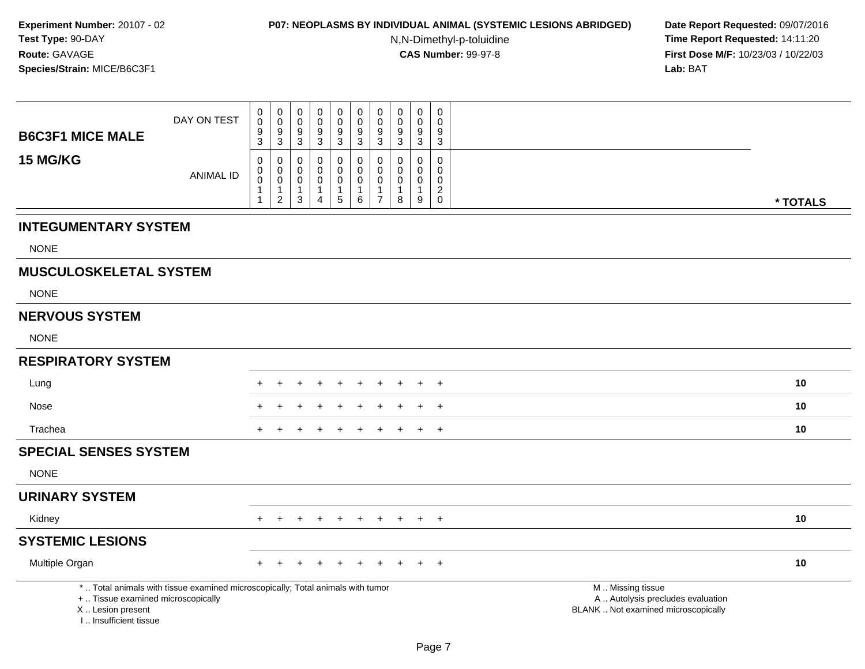### **P07: NEOPLASMS BY INDIVIDUAL ANIMAL (SYSTEMIC LESIONS ABRIDGED) Date Report Requested:** 09/07/2016

N,N-Dimethyl-p-toluidine

| <b>B6C3F1 MICE MALE</b>                                                          | DAY ON TEST                                                                     | $\pmb{0}$<br>$\pmb{0}$<br>$\boldsymbol{9}$           | $\mathsf{O}\xspace$<br>$\mathbf 0$<br>9                         | $\mathbf 0$<br>$\mathbf 0$<br>9            | $\pmb{0}$<br>$\pmb{0}$<br>$\boldsymbol{9}$                     | $\begin{smallmatrix} 0\\0 \end{smallmatrix}$<br>$\boldsymbol{9}$ | $\pmb{0}$<br>$\mathsf 0$<br>$\frac{9}{3}$                    | $\mathsf{O}\xspace$<br>$\boldsymbol{0}$<br>9                                        | $\boldsymbol{0}$<br>$\mathbf 0$<br>9                           | $\pmb{0}$<br>$\mathbf 0$<br>$9\,$                              | $\pmb{0}$<br>$\Omega$<br>9            |                                                                                               |          |
|----------------------------------------------------------------------------------|---------------------------------------------------------------------------------|------------------------------------------------------|-----------------------------------------------------------------|--------------------------------------------|----------------------------------------------------------------|------------------------------------------------------------------|--------------------------------------------------------------|-------------------------------------------------------------------------------------|----------------------------------------------------------------|----------------------------------------------------------------|---------------------------------------|-----------------------------------------------------------------------------------------------|----------|
|                                                                                  |                                                                                 | 3                                                    | 3                                                               | 3                                          | $\mathbf{3}$                                                   | 3                                                                |                                                              | 3                                                                                   | $\mathbf{3}$                                                   | $\mathbf{3}$                                                   | $\mathbf{3}$                          |                                                                                               |          |
| 15 MG/KG                                                                         | <b>ANIMAL ID</b>                                                                | $\mathbf 0$<br>$\pmb{0}$<br>$\overline{0}$<br>1<br>1 | 0<br>$\pmb{0}$<br>$\mathbf 0$<br>$\mathbf{1}$<br>$\overline{c}$ | $\mathbf 0$<br>0<br>0<br>$\mathbf{1}$<br>3 | $\mathbf 0$<br>$\mathbf 0$<br>$\mathbf 0$<br>$\mathbf{1}$<br>4 | $\mathbf 0$<br>$\mathbf 0$<br>$\pmb{0}$<br>1<br>$\overline{5}$   | 0<br>$\mathbf 0$<br>$\mathsf{O}\xspace$<br>$\mathbf{1}$<br>6 | $\mathbf 0$<br>$\mathsf{O}\xspace$<br>$\mathbf 0$<br>$\mathbf{1}$<br>$\overline{7}$ | $\mathbf 0$<br>$\mathbf 0$<br>$\mathbf 0$<br>$\mathbf{1}$<br>8 | $\mathbf 0$<br>$\mathbf 0$<br>$\mathbf 0$<br>$\mathbf{1}$<br>9 | $\mathbf 0$<br>0<br>0<br>$^2_{\rm 0}$ |                                                                                               | * TOTALS |
| <b>INTEGUMENTARY SYSTEM</b>                                                      |                                                                                 |                                                      |                                                                 |                                            |                                                                |                                                                  |                                                              |                                                                                     |                                                                |                                                                |                                       |                                                                                               |          |
| <b>NONE</b>                                                                      |                                                                                 |                                                      |                                                                 |                                            |                                                                |                                                                  |                                                              |                                                                                     |                                                                |                                                                |                                       |                                                                                               |          |
| <b>MUSCULOSKELETAL SYSTEM</b>                                                    |                                                                                 |                                                      |                                                                 |                                            |                                                                |                                                                  |                                                              |                                                                                     |                                                                |                                                                |                                       |                                                                                               |          |
| <b>NONE</b>                                                                      |                                                                                 |                                                      |                                                                 |                                            |                                                                |                                                                  |                                                              |                                                                                     |                                                                |                                                                |                                       |                                                                                               |          |
| <b>NERVOUS SYSTEM</b>                                                            |                                                                                 |                                                      |                                                                 |                                            |                                                                |                                                                  |                                                              |                                                                                     |                                                                |                                                                |                                       |                                                                                               |          |
| <b>NONE</b>                                                                      |                                                                                 |                                                      |                                                                 |                                            |                                                                |                                                                  |                                                              |                                                                                     |                                                                |                                                                |                                       |                                                                                               |          |
| <b>RESPIRATORY SYSTEM</b>                                                        |                                                                                 |                                                      |                                                                 |                                            |                                                                |                                                                  |                                                              |                                                                                     |                                                                |                                                                |                                       |                                                                                               |          |
| Lung                                                                             |                                                                                 |                                                      |                                                                 |                                            |                                                                | $\ddot{}$                                                        | $\ddot{}$                                                    | $\ddot{}$                                                                           | $\ddot{}$                                                      |                                                                | $\overline{+}$                        |                                                                                               | 10       |
| Nose                                                                             |                                                                                 |                                                      |                                                                 |                                            |                                                                |                                                                  |                                                              |                                                                                     |                                                                |                                                                | $\overline{+}$                        |                                                                                               | 10       |
| Trachea                                                                          |                                                                                 |                                                      |                                                                 |                                            |                                                                |                                                                  |                                                              |                                                                                     |                                                                |                                                                | $\overline{+}$                        |                                                                                               | 10       |
| <b>SPECIAL SENSES SYSTEM</b>                                                     |                                                                                 |                                                      |                                                                 |                                            |                                                                |                                                                  |                                                              |                                                                                     |                                                                |                                                                |                                       |                                                                                               |          |
| <b>NONE</b>                                                                      |                                                                                 |                                                      |                                                                 |                                            |                                                                |                                                                  |                                                              |                                                                                     |                                                                |                                                                |                                       |                                                                                               |          |
| <b>URINARY SYSTEM</b>                                                            |                                                                                 |                                                      |                                                                 |                                            |                                                                |                                                                  |                                                              |                                                                                     |                                                                |                                                                |                                       |                                                                                               |          |
| Kidney                                                                           |                                                                                 |                                                      |                                                                 |                                            |                                                                | $\div$                                                           | $\ddot{}$                                                    | $+$                                                                                 | $+$                                                            | $+$                                                            | $+$                                   |                                                                                               | 10       |
| <b>SYSTEMIC LESIONS</b>                                                          |                                                                                 |                                                      |                                                                 |                                            |                                                                |                                                                  |                                                              |                                                                                     |                                                                |                                                                |                                       |                                                                                               |          |
| Multiple Organ                                                                   |                                                                                 |                                                      |                                                                 |                                            |                                                                |                                                                  |                                                              |                                                                                     |                                                                |                                                                | $\overline{+}$                        |                                                                                               | 10       |
| +  Tissue examined microscopically<br>X  Lesion present<br>I Insufficient tissue | *  Total animals with tissue examined microscopically; Total animals with tumor |                                                      |                                                                 |                                            |                                                                |                                                                  |                                                              |                                                                                     |                                                                |                                                                |                                       | M  Missing tissue<br>A  Autolysis precludes evaluation<br>BLANK  Not examined microscopically |          |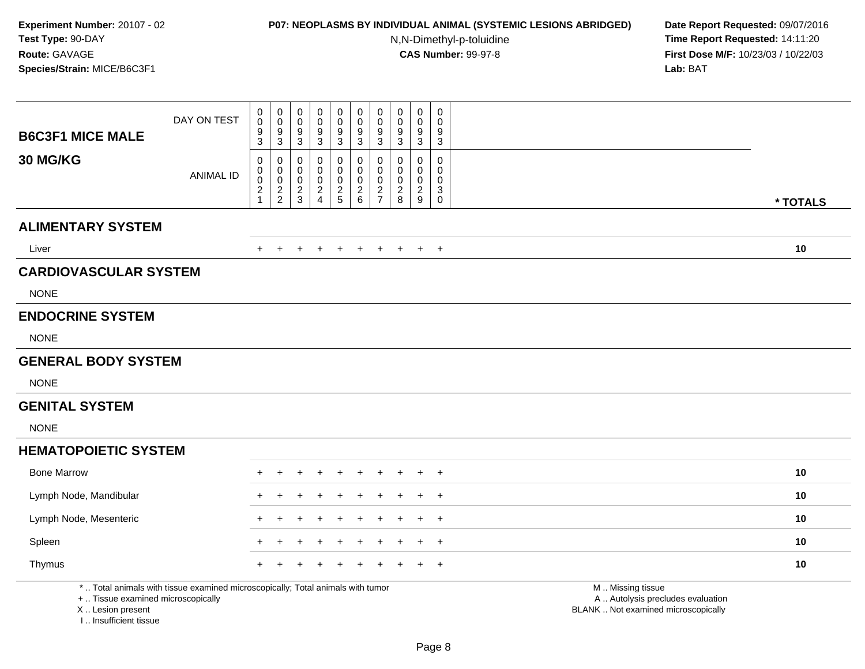# **P07: NEOPLASMS BY INDIVIDUAL ANIMAL (SYSTEMIC LESIONS ABRIDGED) Date Report Requested:** 09/07/2016

N,N-Dimethyl-p-toluidine

| <b>B6C3F1 MICE MALE</b>                                                          | DAY ON TEST                                                                     | $\mathbf 0$<br>$\mathbf 0$<br>9<br>3                        | $\pmb{0}$<br>$\boldsymbol{0}$<br>$\boldsymbol{9}$<br>$\mathbf{3}$ | $\mathbf 0$<br>0<br>9<br>3   | $\pmb{0}$<br>0<br>9<br>$\mathbf{3}$ | $\pmb{0}$<br>$\mathsf 0$<br>$\overline{9}$<br>$\sqrt{3}$                 | $\pmb{0}$<br>$\mathbf 0$<br>$\boldsymbol{9}$<br>$\sqrt{3}$         | $\mathbf 0$<br>$\mathbf 0$<br>9<br>$\mathbf{3}$          | 0<br>0<br>9<br>$\mathbf{3}$                         | $\mathbf 0$<br>0<br>$\boldsymbol{9}$<br>$\overline{3}$ | $\mathbf 0$<br>$\Omega$<br>9<br>3                |                                                                                               |
|----------------------------------------------------------------------------------|---------------------------------------------------------------------------------|-------------------------------------------------------------|-------------------------------------------------------------------|------------------------------|-------------------------------------|--------------------------------------------------------------------------|--------------------------------------------------------------------|----------------------------------------------------------|-----------------------------------------------------|--------------------------------------------------------|--------------------------------------------------|-----------------------------------------------------------------------------------------------|
| 30 MG/KG                                                                         | <b>ANIMAL ID</b>                                                                | 0<br>$\,0\,$<br>$\pmb{0}$<br>$\overline{2}$<br>$\mathbf{1}$ | 0<br>$\pmb{0}$<br>$\mathbf 0$<br>$\frac{2}{2}$                    | 0<br>0<br>0<br>$\frac{2}{3}$ | 0<br>0<br>0<br>$\frac{2}{4}$        | $\mathsf 0$<br>$\mathsf 0$<br>$\begin{array}{c} 0 \\ 2 \\ 5 \end{array}$ | $\mathbf 0$<br>$\mathbf 0$<br>$\mathsf{O}\xspace$<br>$\frac{2}{6}$ | $\mathbf 0$<br>$\mathbf 0$<br>$\mathbf 0$<br>$rac{2}{7}$ | $\Omega$<br>0<br>$\mathbf 0$<br>$\overline{c}$<br>8 | $\mathbf 0$<br>0<br>$\mathbf 0$<br>$\frac{2}{9}$       | $\Omega$<br>0<br>$\mathbf 0$<br>3<br>$\mathbf 0$ | * TOTALS                                                                                      |
| <b>ALIMENTARY SYSTEM</b>                                                         |                                                                                 |                                                             |                                                                   |                              |                                     |                                                                          |                                                                    |                                                          |                                                     |                                                        |                                                  |                                                                                               |
| Liver                                                                            |                                                                                 |                                                             |                                                                   | ÷                            | $\pm$                               | $\div$                                                                   | $\pm$                                                              | $+$                                                      | $+$                                                 | $+$                                                    | $+$                                              | 10                                                                                            |
| <b>CARDIOVASCULAR SYSTEM</b>                                                     |                                                                                 |                                                             |                                                                   |                              |                                     |                                                                          |                                                                    |                                                          |                                                     |                                                        |                                                  |                                                                                               |
| <b>NONE</b>                                                                      |                                                                                 |                                                             |                                                                   |                              |                                     |                                                                          |                                                                    |                                                          |                                                     |                                                        |                                                  |                                                                                               |
| <b>ENDOCRINE SYSTEM</b>                                                          |                                                                                 |                                                             |                                                                   |                              |                                     |                                                                          |                                                                    |                                                          |                                                     |                                                        |                                                  |                                                                                               |
| <b>NONE</b>                                                                      |                                                                                 |                                                             |                                                                   |                              |                                     |                                                                          |                                                                    |                                                          |                                                     |                                                        |                                                  |                                                                                               |
| <b>GENERAL BODY SYSTEM</b>                                                       |                                                                                 |                                                             |                                                                   |                              |                                     |                                                                          |                                                                    |                                                          |                                                     |                                                        |                                                  |                                                                                               |
| <b>NONE</b>                                                                      |                                                                                 |                                                             |                                                                   |                              |                                     |                                                                          |                                                                    |                                                          |                                                     |                                                        |                                                  |                                                                                               |
| <b>GENITAL SYSTEM</b>                                                            |                                                                                 |                                                             |                                                                   |                              |                                     |                                                                          |                                                                    |                                                          |                                                     |                                                        |                                                  |                                                                                               |
| <b>NONE</b>                                                                      |                                                                                 |                                                             |                                                                   |                              |                                     |                                                                          |                                                                    |                                                          |                                                     |                                                        |                                                  |                                                                                               |
| <b>HEMATOPOIETIC SYSTEM</b>                                                      |                                                                                 |                                                             |                                                                   |                              |                                     |                                                                          |                                                                    |                                                          |                                                     |                                                        |                                                  |                                                                                               |
| <b>Bone Marrow</b>                                                               |                                                                                 |                                                             |                                                                   |                              |                                     |                                                                          |                                                                    |                                                          |                                                     |                                                        | $\overline{ }$                                   | 10                                                                                            |
| Lymph Node, Mandibular                                                           |                                                                                 |                                                             |                                                                   |                              |                                     |                                                                          |                                                                    |                                                          |                                                     |                                                        | $\overline{1}$                                   | 10                                                                                            |
| Lymph Node, Mesenteric                                                           |                                                                                 |                                                             |                                                                   |                              |                                     |                                                                          |                                                                    |                                                          |                                                     |                                                        | $\div$                                           | 10                                                                                            |
| Spleen                                                                           |                                                                                 |                                                             |                                                                   |                              |                                     |                                                                          |                                                                    |                                                          |                                                     |                                                        | $\overline{1}$                                   | 10                                                                                            |
| Thymus                                                                           |                                                                                 |                                                             |                                                                   |                              |                                     |                                                                          |                                                                    |                                                          |                                                     |                                                        | $\div$                                           | 10                                                                                            |
| +  Tissue examined microscopically<br>X  Lesion present<br>I Insufficient tissue | *  Total animals with tissue examined microscopically; Total animals with tumor |                                                             |                                                                   |                              |                                     |                                                                          |                                                                    |                                                          |                                                     |                                                        |                                                  | M  Missing tissue<br>A  Autolysis precludes evaluation<br>BLANK  Not examined microscopically |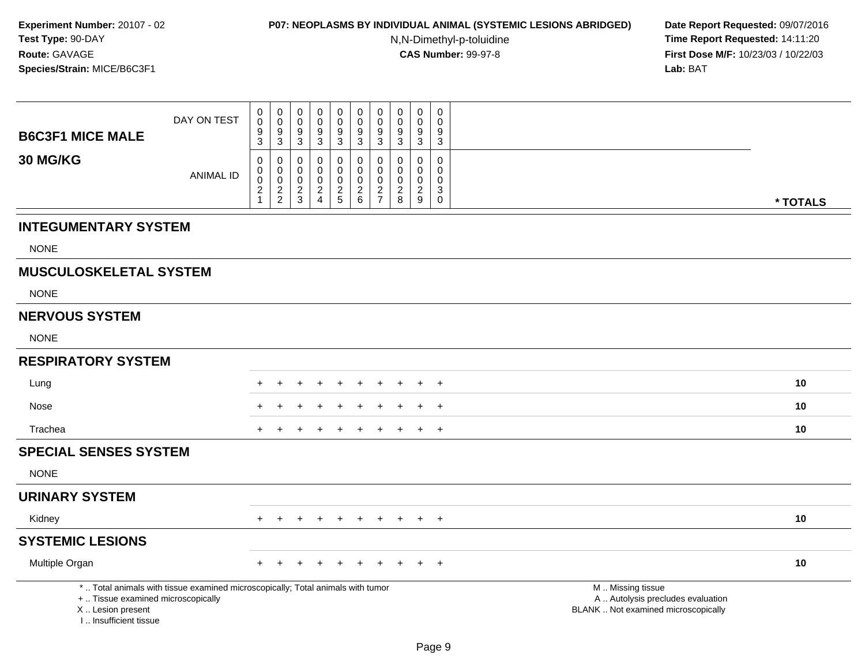### **P07: NEOPLASMS BY INDIVIDUAL ANIMAL (SYSTEMIC LESIONS ABRIDGED) Date Report Requested:** 09/07/2016

N,N-Dimethyl-p-toluidine

|                                                                                  | DAY ON TEST                                                                     | 0<br>$\pmb{0}$<br>$\boldsymbol{9}$                                        | $\mathbf 0$<br>$\pmb{0}$<br>$\boldsymbol{9}$     | $\pmb{0}$<br>$\pmb{0}$<br>9                              | $\mathsf 0$<br>$\mathbf 0$<br>$\boldsymbol{9}$         | $\pmb{0}$<br>$\pmb{0}$<br>$\boldsymbol{9}$               | $\pmb{0}$<br>$\mathsf 0$<br>$\boldsymbol{9}$                           | $\mathsf{O}\xspace$<br>$\boldsymbol{0}$<br>$9$             | $\pmb{0}$<br>$\mathbf 0$<br>9                               | $\mathbf 0$<br>$\mathbf 0$<br>$9\,$                    | $\mathbf 0$<br>$\Omega$<br>9                          |                                                                                               |          |
|----------------------------------------------------------------------------------|---------------------------------------------------------------------------------|---------------------------------------------------------------------------|--------------------------------------------------|----------------------------------------------------------|--------------------------------------------------------|----------------------------------------------------------|------------------------------------------------------------------------|------------------------------------------------------------|-------------------------------------------------------------|--------------------------------------------------------|-------------------------------------------------------|-----------------------------------------------------------------------------------------------|----------|
| <b>B6C3F1 MICE MALE</b>                                                          |                                                                                 | $\mathbf{3}$                                                              | $\sqrt{3}$                                       | $\mathbf{3}$                                             | $\mathbf{3}$                                           | $\mathbf{3}$                                             | $\mathsf 3$                                                            | $\mathbf{3}$                                               | $\mathbf{3}$                                                | 3                                                      | $\mathbf{3}$                                          |                                                                                               |          |
| 30 MG/KG                                                                         | <b>ANIMAL ID</b>                                                                | 0<br>$\pmb{0}$<br>$\ddot{\mathbf{0}}$<br>$\boldsymbol{2}$<br>$\mathbf{1}$ | 0<br>$\mathbf 0$<br>$\mathbf 0$<br>$\frac{2}{2}$ | $\mathbf 0$<br>$\mathbf 0$<br>$\pmb{0}$<br>$\frac{2}{3}$ | $\Omega$<br>0<br>0<br>$\overline{2}$<br>$\overline{4}$ | $\mathbf 0$<br>$\mathbf 0$<br>$\pmb{0}$<br>$\frac{2}{5}$ | 0<br>$\mathbf 0$<br>$\pmb{0}$<br>$\begin{array}{c} 2 \\ 6 \end{array}$ | $\mathbf 0$<br>$\mathbf 0$<br>$\mathbf 0$<br>$\frac{2}{7}$ | $\mathbf 0$<br>$\mathbf 0$<br>$\mathbf 0$<br>$_{8}^{\rm 2}$ | 0<br>0<br>$\mathbf 0$<br>$\overline{2}$<br>$\mathsf g$ | $\mathbf 0$<br>0<br>0<br>$\mathbf{3}$<br>$\mathsf{O}$ |                                                                                               | * TOTALS |
| <b>INTEGUMENTARY SYSTEM</b>                                                      |                                                                                 |                                                                           |                                                  |                                                          |                                                        |                                                          |                                                                        |                                                            |                                                             |                                                        |                                                       |                                                                                               |          |
| <b>NONE</b>                                                                      |                                                                                 |                                                                           |                                                  |                                                          |                                                        |                                                          |                                                                        |                                                            |                                                             |                                                        |                                                       |                                                                                               |          |
| <b>MUSCULOSKELETAL SYSTEM</b>                                                    |                                                                                 |                                                                           |                                                  |                                                          |                                                        |                                                          |                                                                        |                                                            |                                                             |                                                        |                                                       |                                                                                               |          |
| <b>NONE</b>                                                                      |                                                                                 |                                                                           |                                                  |                                                          |                                                        |                                                          |                                                                        |                                                            |                                                             |                                                        |                                                       |                                                                                               |          |
| <b>NERVOUS SYSTEM</b>                                                            |                                                                                 |                                                                           |                                                  |                                                          |                                                        |                                                          |                                                                        |                                                            |                                                             |                                                        |                                                       |                                                                                               |          |
| <b>NONE</b>                                                                      |                                                                                 |                                                                           |                                                  |                                                          |                                                        |                                                          |                                                                        |                                                            |                                                             |                                                        |                                                       |                                                                                               |          |
| <b>RESPIRATORY SYSTEM</b>                                                        |                                                                                 |                                                                           |                                                  |                                                          |                                                        |                                                          |                                                                        |                                                            |                                                             |                                                        |                                                       |                                                                                               |          |
| Lung                                                                             |                                                                                 |                                                                           |                                                  |                                                          |                                                        | $\div$                                                   | ÷                                                                      |                                                            |                                                             |                                                        | $\overline{+}$                                        |                                                                                               | 10       |
| Nose                                                                             |                                                                                 |                                                                           |                                                  |                                                          |                                                        |                                                          |                                                                        |                                                            |                                                             |                                                        | $\overline{+}$                                        |                                                                                               | 10       |
| Trachea                                                                          |                                                                                 | +                                                                         |                                                  |                                                          |                                                        |                                                          |                                                                        |                                                            |                                                             |                                                        | $\overline{+}$                                        |                                                                                               | 10       |
| <b>SPECIAL SENSES SYSTEM</b>                                                     |                                                                                 |                                                                           |                                                  |                                                          |                                                        |                                                          |                                                                        |                                                            |                                                             |                                                        |                                                       |                                                                                               |          |
| <b>NONE</b>                                                                      |                                                                                 |                                                                           |                                                  |                                                          |                                                        |                                                          |                                                                        |                                                            |                                                             |                                                        |                                                       |                                                                                               |          |
| <b>URINARY SYSTEM</b>                                                            |                                                                                 |                                                                           |                                                  |                                                          |                                                        |                                                          |                                                                        |                                                            |                                                             |                                                        |                                                       |                                                                                               |          |
| Kidney                                                                           |                                                                                 |                                                                           |                                                  |                                                          |                                                        | $\pm$                                                    | $\pm$                                                                  | $+$                                                        | $\pm$                                                       | $+$                                                    | $+$                                                   |                                                                                               | 10       |
| <b>SYSTEMIC LESIONS</b>                                                          |                                                                                 |                                                                           |                                                  |                                                          |                                                        |                                                          |                                                                        |                                                            |                                                             |                                                        |                                                       |                                                                                               |          |
| Multiple Organ                                                                   |                                                                                 |                                                                           |                                                  |                                                          |                                                        |                                                          |                                                                        |                                                            |                                                             |                                                        | $\ddot{}$                                             |                                                                                               | 10       |
| +  Tissue examined microscopically<br>X  Lesion present<br>I Insufficient tissue | *  Total animals with tissue examined microscopically; Total animals with tumor |                                                                           |                                                  |                                                          |                                                        |                                                          |                                                                        |                                                            |                                                             |                                                        |                                                       | M  Missing tissue<br>A  Autolysis precludes evaluation<br>BLANK  Not examined microscopically |          |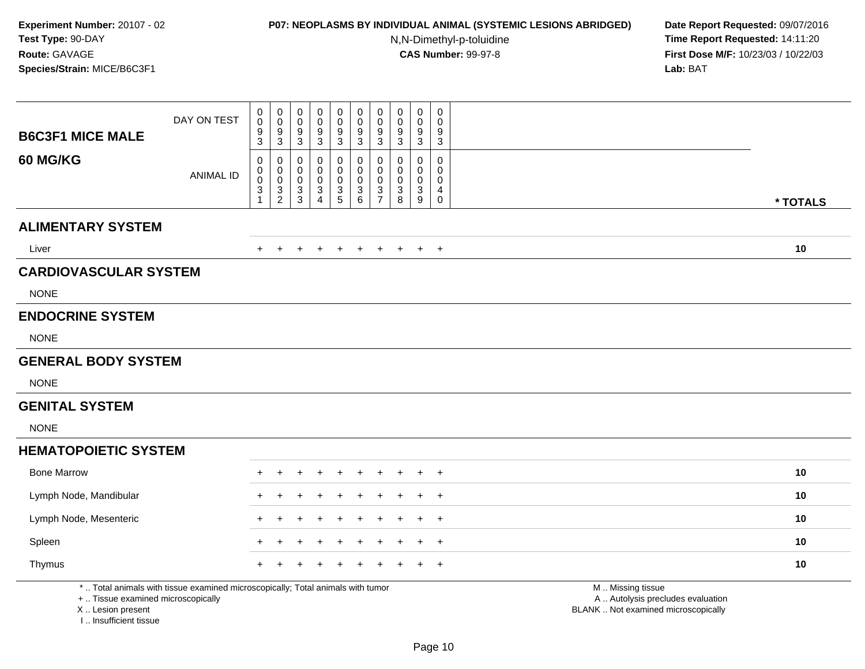# **P07: NEOPLASMS BY INDIVIDUAL ANIMAL (SYSTEMIC LESIONS ABRIDGED) Date Report Requested:** 09/07/2016

N,N-Dimethyl-p-toluidine

| <b>B6C3F1 MICE MALE</b>                                                          | DAY ON TEST                                                                     | $\pmb{0}$<br>$\pmb{0}$<br>$\boldsymbol{9}$<br>3            | $\pmb{0}$<br>$\mathbf 0$<br>9<br>3               | $\mathbf 0$<br>0<br>9<br>3           | $\pmb{0}$<br>0<br>9<br>$\mathsf 3$                              | $\pmb{0}$<br>$\pmb{0}$<br>$\boldsymbol{9}$<br>$\sqrt{3}$ | $\mathsf 0$<br>$\mathbf 0$<br>$\boldsymbol{9}$<br>$\mathbf{3}$ | $\mathsf{O}\xspace$<br>$\mathbf 0$<br>9<br>3               | $\pmb{0}$<br>$\mathbf 0$<br>9<br>$\sqrt{3}$         | $\mathbf 0$<br>$\mathbf 0$<br>9<br>$\mathbf{3}$ | 0<br>$\mathbf 0$<br>9<br>$\sqrt{3}$                         |                                                                                               |          |
|----------------------------------------------------------------------------------|---------------------------------------------------------------------------------|------------------------------------------------------------|--------------------------------------------------|--------------------------------------|-----------------------------------------------------------------|----------------------------------------------------------|----------------------------------------------------------------|------------------------------------------------------------|-----------------------------------------------------|-------------------------------------------------|-------------------------------------------------------------|-----------------------------------------------------------------------------------------------|----------|
| 60 MG/KG                                                                         | <b>ANIMAL ID</b>                                                                | $\,0\,$<br>$\pmb{0}$<br>$\mathbf 0$<br>3<br>$\overline{1}$ | 0<br>$\mathbf 0$<br>$\mathbf 0$<br>$\frac{3}{2}$ | 0<br>0<br>$\pmb{0}$<br>$\frac{3}{3}$ | 0<br>$\mathbf 0$<br>$\mathbf 0$<br>$\sqrt{3}$<br>$\overline{4}$ | $\mathbf 0$<br>$\mathbf 0$<br>$\pmb{0}$<br>$\frac{3}{5}$ | $\mathbf 0$<br>$\mathbf 0$<br>$\pmb{0}$<br>$^3$ 6              | $\mathbf 0$<br>$\mathbf 0$<br>$\mathbf 0$<br>$\frac{3}{7}$ | $\mathbf 0$<br>$\mathbf 0$<br>$\mathbf 0$<br>3<br>8 | $\mathbf 0$<br>0<br>$\pmb{0}$<br>3<br>9         | 0<br>$\mathbf 0$<br>$\mathsf{O}\xspace$<br>4<br>$\mathbf 0$ |                                                                                               | * TOTALS |
| <b>ALIMENTARY SYSTEM</b>                                                         |                                                                                 |                                                            |                                                  |                                      |                                                                 |                                                          |                                                                |                                                            |                                                     |                                                 |                                                             |                                                                                               |          |
| Liver                                                                            |                                                                                 |                                                            |                                                  |                                      |                                                                 | $\div$                                                   |                                                                |                                                            |                                                     | $\pm$                                           | $^{+}$                                                      |                                                                                               | 10       |
| <b>CARDIOVASCULAR SYSTEM</b>                                                     |                                                                                 |                                                            |                                                  |                                      |                                                                 |                                                          |                                                                |                                                            |                                                     |                                                 |                                                             |                                                                                               |          |
| <b>NONE</b>                                                                      |                                                                                 |                                                            |                                                  |                                      |                                                                 |                                                          |                                                                |                                                            |                                                     |                                                 |                                                             |                                                                                               |          |
| <b>ENDOCRINE SYSTEM</b>                                                          |                                                                                 |                                                            |                                                  |                                      |                                                                 |                                                          |                                                                |                                                            |                                                     |                                                 |                                                             |                                                                                               |          |
| <b>NONE</b>                                                                      |                                                                                 |                                                            |                                                  |                                      |                                                                 |                                                          |                                                                |                                                            |                                                     |                                                 |                                                             |                                                                                               |          |
| <b>GENERAL BODY SYSTEM</b>                                                       |                                                                                 |                                                            |                                                  |                                      |                                                                 |                                                          |                                                                |                                                            |                                                     |                                                 |                                                             |                                                                                               |          |
| <b>NONE</b>                                                                      |                                                                                 |                                                            |                                                  |                                      |                                                                 |                                                          |                                                                |                                                            |                                                     |                                                 |                                                             |                                                                                               |          |
| <b>GENITAL SYSTEM</b>                                                            |                                                                                 |                                                            |                                                  |                                      |                                                                 |                                                          |                                                                |                                                            |                                                     |                                                 |                                                             |                                                                                               |          |
| <b>NONE</b>                                                                      |                                                                                 |                                                            |                                                  |                                      |                                                                 |                                                          |                                                                |                                                            |                                                     |                                                 |                                                             |                                                                                               |          |
| <b>HEMATOPOIETIC SYSTEM</b>                                                      |                                                                                 |                                                            |                                                  |                                      |                                                                 |                                                          |                                                                |                                                            |                                                     |                                                 |                                                             |                                                                                               |          |
| <b>Bone Marrow</b>                                                               |                                                                                 |                                                            |                                                  |                                      |                                                                 |                                                          |                                                                |                                                            |                                                     |                                                 |                                                             |                                                                                               | 10       |
| Lymph Node, Mandibular                                                           |                                                                                 |                                                            |                                                  |                                      |                                                                 |                                                          |                                                                |                                                            |                                                     |                                                 | $\ddot{}$                                                   |                                                                                               | 10       |
| Lymph Node, Mesenteric                                                           |                                                                                 |                                                            |                                                  |                                      |                                                                 |                                                          |                                                                |                                                            |                                                     |                                                 | $\ddot{}$                                                   |                                                                                               | 10       |
| Spleen                                                                           |                                                                                 |                                                            |                                                  |                                      |                                                                 |                                                          |                                                                |                                                            |                                                     |                                                 | $\ddot{}$                                                   |                                                                                               | 10       |
| Thymus                                                                           |                                                                                 |                                                            |                                                  |                                      |                                                                 |                                                          |                                                                |                                                            |                                                     |                                                 | $\div$                                                      |                                                                                               | 10       |
| +  Tissue examined microscopically<br>X  Lesion present<br>I Insufficient tissue | *  Total animals with tissue examined microscopically; Total animals with tumor |                                                            |                                                  |                                      |                                                                 |                                                          |                                                                |                                                            |                                                     |                                                 |                                                             | M  Missing tissue<br>A  Autolysis precludes evaluation<br>BLANK  Not examined microscopically |          |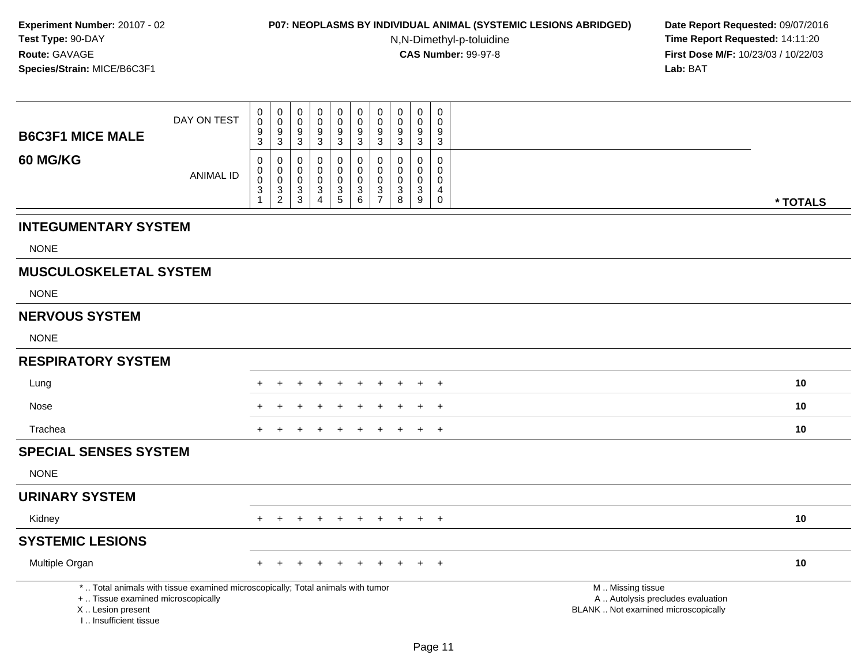### **P07: NEOPLASMS BY INDIVIDUAL ANIMAL (SYSTEMIC LESIONS ABRIDGED) Date Report Requested:** 09/07/2016

N,N-Dimethyl-p-toluidine

|                                                                                  | DAY ON TEST                                                                     | $\pmb{0}$<br>$\pmb{0}$                           | $\mathbf 0$<br>$\mathbf 0$                                      | $\pmb{0}$<br>$\mathbf 0$                                                  | $\mathbf 0$<br>$\mathbf 0$                                     | $\pmb{0}$<br>$\pmb{0}$                                 | $\mathbf 0$<br>$\pmb{0}$                                          | $\pmb{0}$<br>$\mathbf 0$                                                    | $\pmb{0}$<br>$\mathbf 0$                        | $\mathbf 0$<br>$\mathbf 0$                               | $\,0\,$<br>$\Omega$                     |                                                                                               |          |
|----------------------------------------------------------------------------------|---------------------------------------------------------------------------------|--------------------------------------------------|-----------------------------------------------------------------|---------------------------------------------------------------------------|----------------------------------------------------------------|--------------------------------------------------------|-------------------------------------------------------------------|-----------------------------------------------------------------------------|-------------------------------------------------|----------------------------------------------------------|-----------------------------------------|-----------------------------------------------------------------------------------------------|----------|
| <b>B6C3F1 MICE MALE</b>                                                          |                                                                                 | 9<br>3                                           | 9<br>$\sqrt{3}$                                                 | 9<br>$\mathbf{3}$                                                         | 9<br>$\sqrt{3}$                                                | $\boldsymbol{9}$<br>$\sqrt{3}$                         | 9<br>$\overline{3}$                                               | 9<br>$\mathbf{3}$                                                           | 9<br>$\sqrt{3}$                                 | $9\,$<br>$\mathbf{3}$                                    | 9<br>$\mathbf{3}$                       |                                                                                               |          |
| 60 MG/KG                                                                         | <b>ANIMAL ID</b>                                                                | 0<br>$\pmb{0}$<br>$\pmb{0}$<br>3<br>$\mathbf{1}$ | 0<br>$\mathbf 0$<br>$\mathbf 0$<br>$\sqrt{3}$<br>$\overline{2}$ | 0<br>$\mathbf 0$<br>$\mathsf{O}\xspace$<br>$\mathbf{3}$<br>$\mathfrak{S}$ | $\mathbf 0$<br>0<br>$\mathbf 0$<br>3<br>$\boldsymbol{\Lambda}$ | $\mathbf 0$<br>$\pmb{0}$<br>$\pmb{0}$<br>$\frac{3}{5}$ | $\mathbf 0$<br>$\mathbf 0$<br>$\mathbf 0$<br>3<br>$6\overline{6}$ | $\mathbf 0$<br>$\mathbf 0$<br>$\mathbf 0$<br>$\mathbf{3}$<br>$\overline{7}$ | 0<br>$\mathbf 0$<br>$\mathbf 0$<br>3<br>$\,8\,$ | 0<br>$\mathbf 0$<br>$\mathbf 0$<br>3<br>$\boldsymbol{9}$ | 0<br>0<br>$\mathbf 0$<br>4<br>$\pmb{0}$ |                                                                                               | * TOTALS |
| <b>INTEGUMENTARY SYSTEM</b>                                                      |                                                                                 |                                                  |                                                                 |                                                                           |                                                                |                                                        |                                                                   |                                                                             |                                                 |                                                          |                                         |                                                                                               |          |
| <b>NONE</b>                                                                      |                                                                                 |                                                  |                                                                 |                                                                           |                                                                |                                                        |                                                                   |                                                                             |                                                 |                                                          |                                         |                                                                                               |          |
| <b>MUSCULOSKELETAL SYSTEM</b>                                                    |                                                                                 |                                                  |                                                                 |                                                                           |                                                                |                                                        |                                                                   |                                                                             |                                                 |                                                          |                                         |                                                                                               |          |
| <b>NONE</b>                                                                      |                                                                                 |                                                  |                                                                 |                                                                           |                                                                |                                                        |                                                                   |                                                                             |                                                 |                                                          |                                         |                                                                                               |          |
| <b>NERVOUS SYSTEM</b>                                                            |                                                                                 |                                                  |                                                                 |                                                                           |                                                                |                                                        |                                                                   |                                                                             |                                                 |                                                          |                                         |                                                                                               |          |
| <b>NONE</b>                                                                      |                                                                                 |                                                  |                                                                 |                                                                           |                                                                |                                                        |                                                                   |                                                                             |                                                 |                                                          |                                         |                                                                                               |          |
| <b>RESPIRATORY SYSTEM</b>                                                        |                                                                                 |                                                  |                                                                 |                                                                           |                                                                |                                                        |                                                                   |                                                                             |                                                 |                                                          |                                         |                                                                                               |          |
| Lung                                                                             |                                                                                 |                                                  |                                                                 |                                                                           |                                                                |                                                        |                                                                   |                                                                             |                                                 |                                                          | $\overline{+}$                          |                                                                                               | 10       |
| Nose                                                                             |                                                                                 |                                                  |                                                                 |                                                                           |                                                                |                                                        |                                                                   |                                                                             |                                                 |                                                          | $\ddot{}$                               |                                                                                               | 10       |
| Trachea                                                                          |                                                                                 |                                                  |                                                                 |                                                                           |                                                                |                                                        |                                                                   |                                                                             |                                                 |                                                          | $\ddot{}$                               |                                                                                               | 10       |
| <b>SPECIAL SENSES SYSTEM</b>                                                     |                                                                                 |                                                  |                                                                 |                                                                           |                                                                |                                                        |                                                                   |                                                                             |                                                 |                                                          |                                         |                                                                                               |          |
| <b>NONE</b>                                                                      |                                                                                 |                                                  |                                                                 |                                                                           |                                                                |                                                        |                                                                   |                                                                             |                                                 |                                                          |                                         |                                                                                               |          |
| <b>URINARY SYSTEM</b>                                                            |                                                                                 |                                                  |                                                                 |                                                                           |                                                                |                                                        |                                                                   |                                                                             |                                                 |                                                          |                                         |                                                                                               |          |
| Kidney                                                                           |                                                                                 |                                                  |                                                                 |                                                                           |                                                                | $\div$                                                 | $\ddot{}$                                                         | $\pm$                                                                       | $+$                                             | $+$                                                      | $+$                                     |                                                                                               | 10       |
| <b>SYSTEMIC LESIONS</b>                                                          |                                                                                 |                                                  |                                                                 |                                                                           |                                                                |                                                        |                                                                   |                                                                             |                                                 |                                                          |                                         |                                                                                               |          |
| Multiple Organ                                                                   |                                                                                 |                                                  |                                                                 |                                                                           |                                                                |                                                        |                                                                   |                                                                             |                                                 |                                                          | $\overline{+}$                          |                                                                                               | 10       |
| +  Tissue examined microscopically<br>X  Lesion present<br>I Insufficient tissue | *  Total animals with tissue examined microscopically; Total animals with tumor |                                                  |                                                                 |                                                                           |                                                                |                                                        |                                                                   |                                                                             |                                                 |                                                          |                                         | M  Missing tissue<br>A  Autolysis precludes evaluation<br>BLANK  Not examined microscopically |          |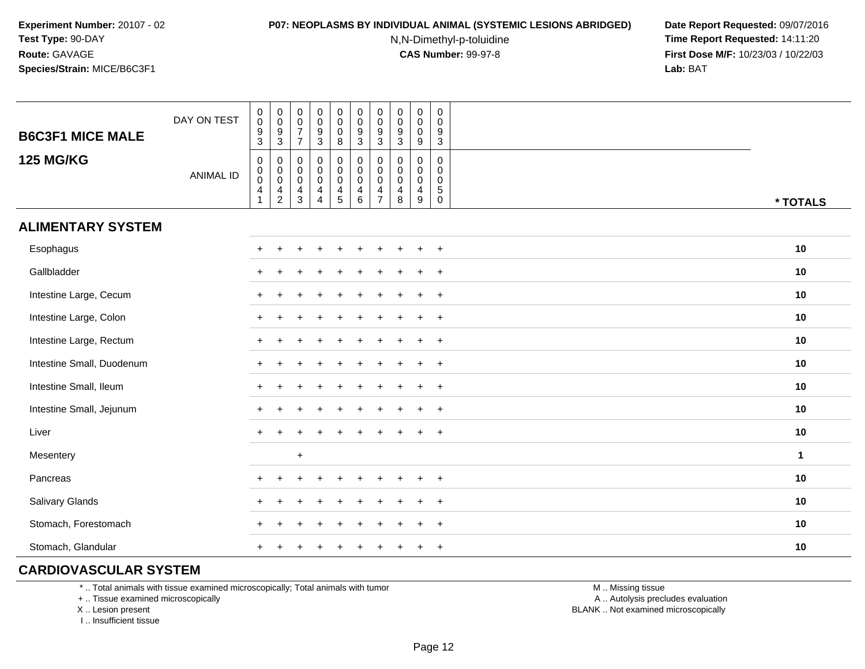#### **P07: NEOPLASMS BY INDIVIDUAL ANIMAL (SYSTEMIC LESIONS ABRIDGED) Date Report Requested:** 09/07/2016

N,N-Dimethyl-p-toluidine

 **Time Report Requested:** 14:11:20 **First Dose M/F:** 10/23/03 / 10/22/03<br>**Lab:** BAT **Lab:** BAT

| <b>B6C3F1 MICE MALE</b>   | DAY ON TEST      | $_{\rm 0}^{\rm 0}$<br>$\frac{9}{3}$                                            | $_{\rm 0}^{\rm 0}$<br>$\frac{9}{3}$                                                   | $\pmb{0}$<br>$\mathsf{O}\xspace$<br>$\overline{7}$<br>$\overline{7}$ | $\begin{array}{c} 0 \\ 0 \\ 9 \\ 3 \end{array}$         | $\begin{smallmatrix} 0\\0 \end{smallmatrix}$<br>$\frac{0}{8}$  | $\begin{smallmatrix} 0\\0 \end{smallmatrix}$<br>$\frac{9}{3}$ | $\mathbf 0$<br>$\mathbf 0$<br>9<br>3                   | $\pmb{0}$<br>0<br>$\boldsymbol{9}$<br>$\mathbf{3}$ | $\begin{smallmatrix}0\0\0\end{smallmatrix}$<br>$\pmb{0}$<br>$\overline{9}$ | $\mathsf{O}\xspace$<br>$\mathbf 0$<br>$\boldsymbol{9}$<br>$\overline{3}$ |          |
|---------------------------|------------------|--------------------------------------------------------------------------------|---------------------------------------------------------------------------------------|----------------------------------------------------------------------|---------------------------------------------------------|----------------------------------------------------------------|---------------------------------------------------------------|--------------------------------------------------------|----------------------------------------------------|----------------------------------------------------------------------------|--------------------------------------------------------------------------|----------|
| <b>125 MG/KG</b>          | <b>ANIMAL ID</b> | $\pmb{0}$<br>$\begin{smallmatrix}0\\0\end{smallmatrix}$<br>$\overline{4}$<br>1 | 0<br>$\begin{smallmatrix} 0\\0 \end{smallmatrix}$<br>$\overline{4}$<br>$\overline{2}$ | 0<br>$\pmb{0}$<br>$\mathsf 0$<br>$\overline{4}$<br>$\mathbf{3}$      | 0<br>$\overline{0}$<br>$\overline{4}$<br>$\overline{4}$ | $\begin{smallmatrix}0\0\0\0\end{smallmatrix}$<br>$\frac{4}{5}$ | $\pmb{0}$<br>$\overline{0}$<br>$\overline{4}$<br>$\,6\,$      | 0<br>$\mathbf 0$<br>$\mathbf 0$<br>4<br>$\overline{7}$ | $\mathbf 0$<br>0<br>$\mathbf 0$<br>4<br>8          | 0<br>$\mathbf 0$<br>$\mathbf 0$<br>$\overline{4}$<br>9                     | 0<br>$\mathbf 0$<br>$\mathbf 0$<br>$\,$ 5 $\,$<br>$\mathbf 0$            | * TOTALS |
| <b>ALIMENTARY SYSTEM</b>  |                  |                                                                                |                                                                                       |                                                                      |                                                         |                                                                |                                                               |                                                        |                                                    |                                                                            |                                                                          |          |
| Esophagus                 |                  | $\pm$                                                                          |                                                                                       |                                                                      |                                                         |                                                                |                                                               |                                                        |                                                    |                                                                            | $+$                                                                      | 10       |
| Gallbladder               |                  |                                                                                |                                                                                       |                                                                      |                                                         |                                                                |                                                               |                                                        |                                                    |                                                                            | $\ddot{}$                                                                | 10       |
| Intestine Large, Cecum    |                  |                                                                                |                                                                                       |                                                                      |                                                         |                                                                |                                                               |                                                        |                                                    |                                                                            | $\ddot{}$                                                                | 10       |
| Intestine Large, Colon    |                  |                                                                                |                                                                                       |                                                                      |                                                         |                                                                |                                                               |                                                        |                                                    |                                                                            | $\overline{ }$                                                           | 10       |
| Intestine Large, Rectum   |                  |                                                                                |                                                                                       |                                                                      |                                                         |                                                                |                                                               |                                                        |                                                    |                                                                            | $\ddot{}$                                                                | 10       |
| Intestine Small, Duodenum |                  |                                                                                |                                                                                       |                                                                      |                                                         |                                                                |                                                               |                                                        |                                                    |                                                                            | $+$                                                                      | 10       |
| Intestine Small, Ileum    |                  |                                                                                |                                                                                       |                                                                      |                                                         |                                                                |                                                               |                                                        |                                                    | $\div$                                                                     | $+$                                                                      | 10       |
| Intestine Small, Jejunum  |                  |                                                                                |                                                                                       |                                                                      |                                                         |                                                                |                                                               |                                                        |                                                    | $\ddot{}$                                                                  | $+$                                                                      | 10       |
| Liver                     |                  | $+$                                                                            |                                                                                       |                                                                      |                                                         |                                                                |                                                               |                                                        |                                                    |                                                                            | $+$                                                                      | 10       |
| Mesentery                 |                  |                                                                                |                                                                                       | $+$                                                                  |                                                         |                                                                |                                                               |                                                        |                                                    |                                                                            |                                                                          | 1        |
| Pancreas                  |                  | ÷                                                                              |                                                                                       |                                                                      |                                                         |                                                                |                                                               |                                                        |                                                    | $\div$                                                                     | $+$                                                                      | 10       |
| Salivary Glands           |                  |                                                                                |                                                                                       |                                                                      |                                                         |                                                                |                                                               |                                                        |                                                    |                                                                            | $\overline{+}$                                                           | 10       |
| Stomach, Forestomach      |                  |                                                                                |                                                                                       |                                                                      |                                                         |                                                                |                                                               |                                                        |                                                    |                                                                            | $\ddot{}$                                                                | 10       |
| Stomach, Glandular        |                  |                                                                                |                                                                                       |                                                                      |                                                         |                                                                |                                                               |                                                        |                                                    | $\ddot{}$                                                                  | $\overline{+}$                                                           | 10       |

## **CARDIOVASCULAR SYSTEM**

\* .. Total animals with tissue examined microscopically; Total animals with tumor

+ .. Tissue examined microscopically

X .. Lesion present

I .. Insufficient tissue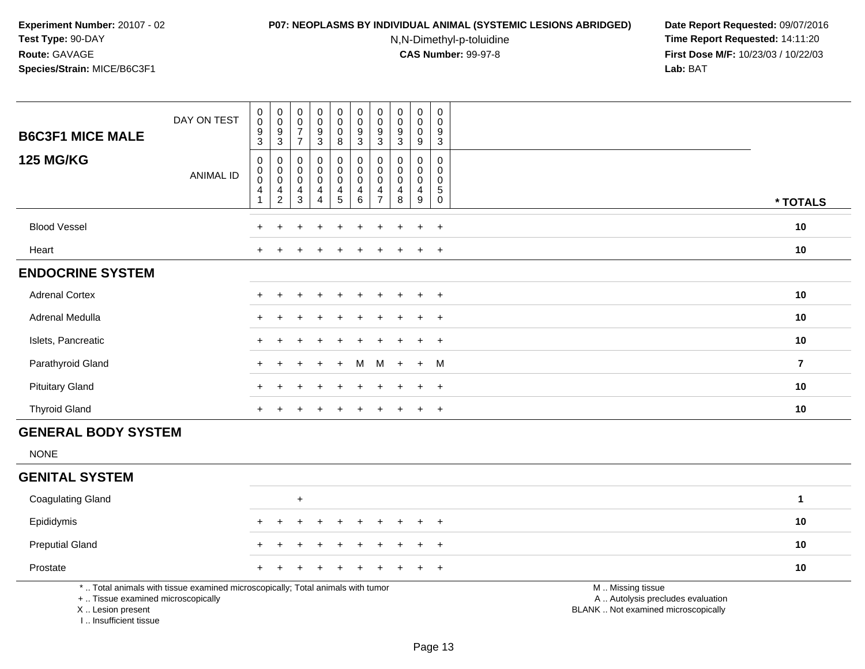I .. Insufficient tissue

## **P07: NEOPLASMS BY INDIVIDUAL ANIMAL (SYSTEMIC LESIONS ABRIDGED) Date Report Requested:** 09/07/2016

N,N-Dimethyl-p-toluidine

| DAY ON TEST<br><b>B6C3F1 MICE MALE</b>                                                                                                     | $\pmb{0}$<br>$\pmb{0}$<br>$\frac{9}{3}$               | $_{\rm 0}^{\rm 0}$<br>$\frac{9}{3}$                                            | 0<br>$\mathsf{O}\xspace$<br>$\overline{7}$<br>$\overline{7}$ | $\pmb{0}$<br>$\pmb{0}$<br>$\frac{9}{3}$      | $\pmb{0}$<br>$\mathsf{O}\xspace$<br>$\pmb{0}$<br>8                                 | $\pmb{0}$<br>$\mathsf{O}\xspace$<br>$\frac{9}{3}$              | 0<br>0<br>9<br>3                             | $\pmb{0}$<br>$\ddot{\mathbf{0}}$<br>$\boldsymbol{9}$<br>$\overline{3}$ | $\pmb{0}$<br>$\mathbf 0$<br>$\mathbf 0$<br>9 | $\mathbf 0$<br>$\mathbf 0$<br>9<br>$\mathbf{3}$               |                                                                                               |                |
|--------------------------------------------------------------------------------------------------------------------------------------------|-------------------------------------------------------|--------------------------------------------------------------------------------|--------------------------------------------------------------|----------------------------------------------|------------------------------------------------------------------------------------|----------------------------------------------------------------|----------------------------------------------|------------------------------------------------------------------------|----------------------------------------------|---------------------------------------------------------------|-----------------------------------------------------------------------------------------------|----------------|
| <b>125 MG/KG</b><br><b>ANIMAL ID</b>                                                                                                       | $\pmb{0}$<br>$\pmb{0}$<br>$\pmb{0}$<br>$\overline{4}$ | $\boldsymbol{0}$<br>$\pmb{0}$<br>$\pmb{0}$<br>$\overline{4}$<br>$\overline{2}$ | 0<br>0<br>$\mathbf 0$<br>4<br>$\mathbf{3}$                   | 0<br>$\pmb{0}$<br>$\boldsymbol{0}$<br>4<br>4 | $\pmb{0}$<br>$\pmb{0}$<br>$\mathbf 0$<br>$\overline{\mathbf{4}}$<br>$\overline{5}$ | $\pmb{0}$<br>$\mathsf 0$<br>$\mathbf 0$<br>4<br>$6\phantom{a}$ | 0<br>0<br>$\mathbf 0$<br>4<br>$\overline{7}$ | 0<br>$\mathbf 0$<br>$\pmb{0}$<br>4<br>8                                | 0<br>0<br>$\mathbf 0$<br>4<br>9              | $\mathbf 0$<br>$\mathbf 0$<br>$\mathbf 0$<br>5<br>$\mathbf 0$ |                                                                                               | * TOTALS       |
| <b>Blood Vessel</b>                                                                                                                        | $\ddot{}$                                             |                                                                                |                                                              |                                              |                                                                                    | $\ddot{}$                                                      |                                              |                                                                        | $\ddot{}$                                    | $+$                                                           |                                                                                               | 10             |
| Heart                                                                                                                                      |                                                       |                                                                                |                                                              |                                              |                                                                                    |                                                                |                                              |                                                                        |                                              | $+$                                                           |                                                                                               | 10             |
| <b>ENDOCRINE SYSTEM</b>                                                                                                                    |                                                       |                                                                                |                                                              |                                              |                                                                                    |                                                                |                                              |                                                                        |                                              |                                                               |                                                                                               |                |
| <b>Adrenal Cortex</b>                                                                                                                      |                                                       |                                                                                |                                                              |                                              |                                                                                    |                                                                |                                              |                                                                        | $\ddot{}$                                    | $+$                                                           |                                                                                               | 10             |
| Adrenal Medulla                                                                                                                            |                                                       |                                                                                |                                                              |                                              |                                                                                    |                                                                |                                              |                                                                        |                                              | $\ddot{}$                                                     |                                                                                               | 10             |
| Islets, Pancreatic                                                                                                                         | $\div$                                                |                                                                                |                                                              |                                              |                                                                                    |                                                                |                                              |                                                                        | ÷                                            | $+$                                                           |                                                                                               | 10             |
| Parathyroid Gland                                                                                                                          | $\div$                                                |                                                                                |                                                              |                                              |                                                                                    | м                                                              | м                                            |                                                                        | $+$                                          | M                                                             |                                                                                               | $\overline{7}$ |
| <b>Pituitary Gland</b>                                                                                                                     |                                                       |                                                                                |                                                              |                                              |                                                                                    |                                                                |                                              |                                                                        |                                              | $\overline{+}$                                                |                                                                                               | 10             |
| <b>Thyroid Gland</b>                                                                                                                       | $\div$                                                |                                                                                |                                                              |                                              |                                                                                    |                                                                |                                              |                                                                        | $\ddot{}$                                    | $+$                                                           |                                                                                               | 10             |
| <b>GENERAL BODY SYSTEM</b>                                                                                                                 |                                                       |                                                                                |                                                              |                                              |                                                                                    |                                                                |                                              |                                                                        |                                              |                                                               |                                                                                               |                |
| <b>NONE</b>                                                                                                                                |                                                       |                                                                                |                                                              |                                              |                                                                                    |                                                                |                                              |                                                                        |                                              |                                                               |                                                                                               |                |
| <b>GENITAL SYSTEM</b>                                                                                                                      |                                                       |                                                                                |                                                              |                                              |                                                                                    |                                                                |                                              |                                                                        |                                              |                                                               |                                                                                               |                |
| <b>Coagulating Gland</b>                                                                                                                   |                                                       |                                                                                | +                                                            |                                              |                                                                                    |                                                                |                                              |                                                                        |                                              |                                                               |                                                                                               | 1              |
| Epididymis                                                                                                                                 |                                                       |                                                                                |                                                              |                                              |                                                                                    |                                                                |                                              |                                                                        |                                              |                                                               |                                                                                               | 10             |
| <b>Preputial Gland</b>                                                                                                                     |                                                       |                                                                                |                                                              |                                              |                                                                                    |                                                                |                                              |                                                                        | ÷.                                           | $\overline{+}$                                                |                                                                                               | 10             |
| Prostate                                                                                                                                   |                                                       |                                                                                |                                                              |                                              |                                                                                    |                                                                |                                              |                                                                        |                                              | $\ddot{}$                                                     |                                                                                               | 10             |
| *  Total animals with tissue examined microscopically; Total animals with tumor<br>+  Tissue examined microscopically<br>X  Lesion present |                                                       |                                                                                |                                                              |                                              |                                                                                    |                                                                |                                              |                                                                        |                                              |                                                               | M  Missing tissue<br>A  Autolysis precludes evaluation<br>BLANK  Not examined microscopically |                |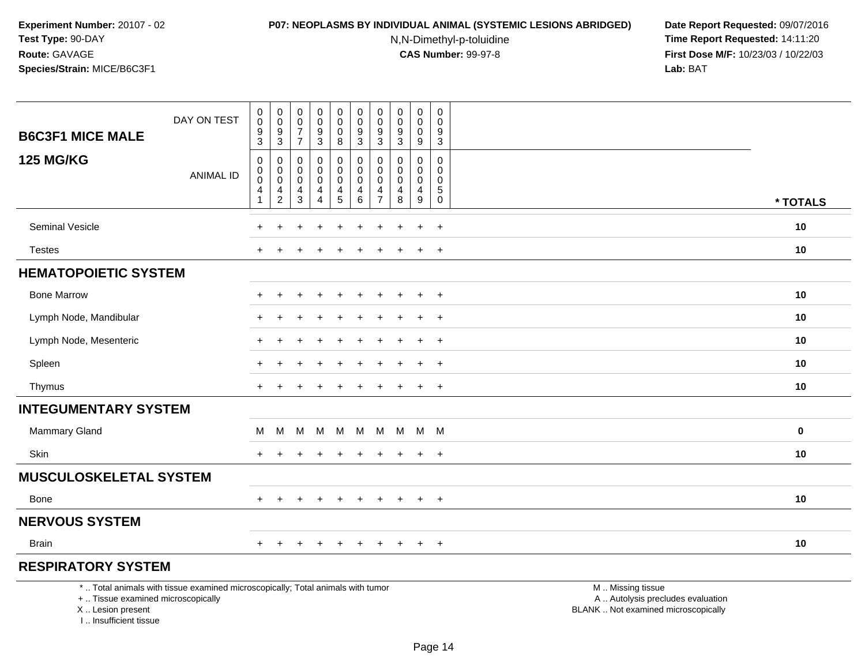## **P07: NEOPLASMS BY INDIVIDUAL ANIMAL (SYSTEMIC LESIONS ABRIDGED) Date Report Requested:** 09/07/2016

N,N-Dimethyl-p-toluidine

| <b>B6C3F1 MICE MALE</b>                                                            | DAY ON TEST                                                                     | $\pmb{0}$<br>$\mathsf{O}\xspace$<br>$\frac{9}{3}$                   | 0<br>$\mathbf 0$<br>$\boldsymbol{9}$<br>$\overline{3}$                      | $\,0\,$<br>$\mathbf 0$<br>$\overline{7}$<br>$\overline{7}$ | $\pmb{0}$<br>$\overline{0}$<br>$\frac{9}{3}$                             | $\pmb{0}$<br>$\mathbf 0$<br>$\mathbf 0$<br>$\overline{8}$               | $\pmb{0}$<br>$\pmb{0}$<br>$\frac{9}{3}$                                  | $\pmb{0}$<br>$\mathbf 0$<br>$\boldsymbol{9}$<br>$\mathbf{3}$     | 0<br>$\mathbf 0$<br>$\boldsymbol{9}$<br>$\overline{3}$        | $\pmb{0}$<br>$\mathbf 0$<br>$\mathbf 0$<br>$\overline{9}$ | 0<br>$\mathbf 0$<br>9<br>$\overline{3}$                      |                                                                                               |          |
|------------------------------------------------------------------------------------|---------------------------------------------------------------------------------|---------------------------------------------------------------------|-----------------------------------------------------------------------------|------------------------------------------------------------|--------------------------------------------------------------------------|-------------------------------------------------------------------------|--------------------------------------------------------------------------|------------------------------------------------------------------|---------------------------------------------------------------|-----------------------------------------------------------|--------------------------------------------------------------|-----------------------------------------------------------------------------------------------|----------|
| <b>125 MG/KG</b>                                                                   | <b>ANIMAL ID</b>                                                                | $\mathbf 0$<br>$\mathbf 0$<br>$\overline{0}$<br>$\overline{4}$<br>1 | $\mathbf 0$<br>$\mathbf 0$<br>$\pmb{0}$<br>$\overline{4}$<br>$\overline{c}$ | $\mathbf 0$<br>0<br>$\mathbf 0$<br>4<br>3                  | 0<br>$\mathbf 0$<br>$\boldsymbol{0}$<br>$\overline{4}$<br>$\overline{4}$ | 0<br>$\mathbf 0$<br>$\ddot{\mathbf{0}}$<br>$\overline{4}$<br>$\sqrt{5}$ | $\mathbf 0$<br>$\mathbf 0$<br>$\mathsf{O}\xspace$<br>$\overline{4}$<br>6 | $\mathbf 0$<br>$\mathbf 0$<br>$\mathbf 0$<br>4<br>$\overline{7}$ | $\Omega$<br>$\mathbf 0$<br>$\mathbf 0$<br>$\overline{4}$<br>8 | $\mathbf 0$<br>0<br>$\mathbf 0$<br>$\overline{4}$<br>9    | $\mathbf 0$<br>0<br>$\mathbf 0$<br>$\sqrt{5}$<br>$\mathbf 0$ |                                                                                               | * TOTALS |
| <b>Seminal Vesicle</b>                                                             |                                                                                 |                                                                     |                                                                             |                                                            |                                                                          |                                                                         |                                                                          |                                                                  |                                                               | $\div$                                                    | $+$                                                          |                                                                                               | 10       |
| <b>Testes</b>                                                                      |                                                                                 |                                                                     |                                                                             |                                                            |                                                                          |                                                                         |                                                                          |                                                                  |                                                               | $\ddot{}$                                                 | $\ddot{}$                                                    |                                                                                               | 10       |
| <b>HEMATOPOIETIC SYSTEM</b>                                                        |                                                                                 |                                                                     |                                                                             |                                                            |                                                                          |                                                                         |                                                                          |                                                                  |                                                               |                                                           |                                                              |                                                                                               |          |
| <b>Bone Marrow</b>                                                                 |                                                                                 |                                                                     |                                                                             |                                                            |                                                                          |                                                                         |                                                                          |                                                                  |                                                               |                                                           | $\ddot{}$                                                    |                                                                                               | 10       |
| Lymph Node, Mandibular                                                             |                                                                                 |                                                                     |                                                                             |                                                            |                                                                          |                                                                         |                                                                          |                                                                  |                                                               | $\ddot{}$                                                 | $\ddot{}$                                                    |                                                                                               | 10       |
| Lymph Node, Mesenteric                                                             |                                                                                 |                                                                     |                                                                             |                                                            |                                                                          |                                                                         |                                                                          |                                                                  |                                                               |                                                           | $\ddot{}$                                                    |                                                                                               | 10       |
| Spleen                                                                             |                                                                                 |                                                                     |                                                                             |                                                            |                                                                          |                                                                         |                                                                          |                                                                  |                                                               |                                                           | $\ddot{}$                                                    |                                                                                               | 10       |
| Thymus                                                                             |                                                                                 | $\ddot{}$                                                           |                                                                             |                                                            |                                                                          |                                                                         |                                                                          |                                                                  |                                                               | $\ddot{}$                                                 | $^{+}$                                                       |                                                                                               | 10       |
| <b>INTEGUMENTARY SYSTEM</b>                                                        |                                                                                 |                                                                     |                                                                             |                                                            |                                                                          |                                                                         |                                                                          |                                                                  |                                                               |                                                           |                                                              |                                                                                               |          |
| Mammary Gland                                                                      |                                                                                 | м                                                                   | M                                                                           | M                                                          | M                                                                        | M                                                                       | M                                                                        | M                                                                | M                                                             | M M                                                       |                                                              |                                                                                               | $\bf{0}$ |
| <b>Skin</b>                                                                        |                                                                                 |                                                                     |                                                                             |                                                            |                                                                          |                                                                         |                                                                          |                                                                  |                                                               |                                                           | $\overline{+}$                                               |                                                                                               | 10       |
| <b>MUSCULOSKELETAL SYSTEM</b>                                                      |                                                                                 |                                                                     |                                                                             |                                                            |                                                                          |                                                                         |                                                                          |                                                                  |                                                               |                                                           |                                                              |                                                                                               |          |
| <b>Bone</b>                                                                        |                                                                                 | $+$                                                                 | $+$                                                                         | $\pm$                                                      | $\ddot{}$                                                                | $\ddot{}$                                                               | $\overline{+}$                                                           | $+$                                                              | $+$                                                           | $+$                                                       | $+$                                                          |                                                                                               | 10       |
| <b>NERVOUS SYSTEM</b>                                                              |                                                                                 |                                                                     |                                                                             |                                                            |                                                                          |                                                                         |                                                                          |                                                                  |                                                               |                                                           |                                                              |                                                                                               |          |
| <b>Brain</b>                                                                       |                                                                                 |                                                                     |                                                                             |                                                            |                                                                          |                                                                         |                                                                          |                                                                  |                                                               | $\ddot{}$                                                 | $+$                                                          |                                                                                               | 10       |
| <b>RESPIRATORY SYSTEM</b>                                                          |                                                                                 |                                                                     |                                                                             |                                                            |                                                                          |                                                                         |                                                                          |                                                                  |                                                               |                                                           |                                                              |                                                                                               |          |
| +  Tissue examined microscopically<br>X  Lesion present<br>I., Insufficient tissue | *  Total animals with tissue examined microscopically; Total animals with tumor |                                                                     |                                                                             |                                                            |                                                                          |                                                                         |                                                                          |                                                                  |                                                               |                                                           |                                                              | M  Missing tissue<br>A  Autolysis precludes evaluation<br>BLANK  Not examined microscopically |          |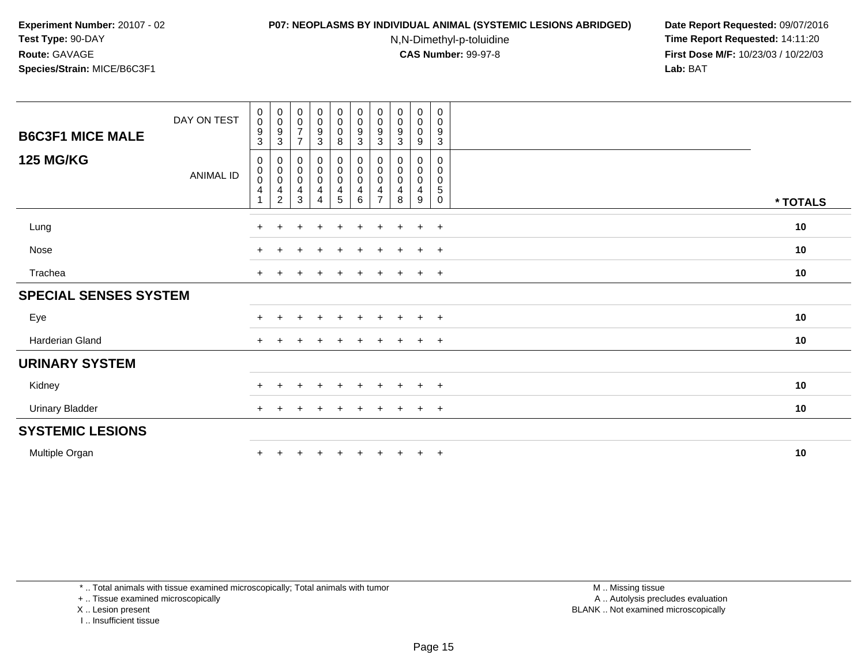#### **P07: NEOPLASMS BY INDIVIDUAL ANIMAL (SYSTEMIC LESIONS ABRIDGED) Date Report Requested:** 09/07/2016

N,N-Dimethyl-p-toluidine

 **Time Report Requested:** 14:11:20 **First Dose M/F:** 10/23/03 / 10/22/03<br>**Lab:** BAT **Lab:** BAT

| DAY ON TEST<br><b>B6C3F1 MICE MALE</b> |           | 0<br>$\mathbf 0$<br>9<br>3  | $\begin{smallmatrix}0\0\0\end{smallmatrix}$<br>9<br>3   | $_{\rm 0}^{\rm 0}$<br>$\overline{7}$<br>$\overline{7}$            | $\begin{smallmatrix} 0\\0 \end{smallmatrix}$<br>$\boldsymbol{9}$<br>$\ensuremath{\mathsf{3}}$            | $\begin{smallmatrix} 0\\0 \end{smallmatrix}$<br>$\pmb{0}$<br>$\bf8$ | $\begin{smallmatrix} 0\\0 \end{smallmatrix}$<br>9<br>3 | $\pmb{0}$<br>$\pmb{0}$<br>9<br>3 | $_{\rm 0}^{\rm 0}$<br>$\boldsymbol{9}$<br>$\mathbf{3}$ | $\begin{smallmatrix} 0\\0 \end{smallmatrix}$<br>$\mathbf 0$<br>9 | $\mathbf 0$<br>0<br>$\boldsymbol{9}$<br>$\sqrt{3}$           |          |
|----------------------------------------|-----------|-----------------------------|---------------------------------------------------------|-------------------------------------------------------------------|----------------------------------------------------------------------------------------------------------|---------------------------------------------------------------------|--------------------------------------------------------|----------------------------------|--------------------------------------------------------|------------------------------------------------------------------|--------------------------------------------------------------|----------|
| <b>125 MG/KG</b>                       | ANIMAL ID | $\mathbf{0}$<br>0<br>0<br>4 | 0<br>$\boldsymbol{0}$<br>$\,0\,$<br>4<br>$\overline{c}$ | $\boldsymbol{0}$<br>$\pmb{0}$<br>$\pmb{0}$<br>$\overline{4}$<br>3 | $\begin{smallmatrix} 0\\0 \end{smallmatrix}$<br>$\mathbf 0$<br>$\overline{\mathbf{4}}$<br>$\overline{4}$ | $_{\rm 0}^{\rm 0}$<br>$\pmb{0}$<br>$\overline{\mathbf{4}}$<br>5     | 0<br>0<br>$\mathbf 0$<br>4<br>6                        | 0<br>0<br>0<br>$\overline{7}$    | 0<br>0<br>$\pmb{0}$<br>$\overline{4}$<br>8             | 0<br>$\mathbf 0$<br>$\mathbf 0$<br>4<br>9                        | $\mathbf 0$<br>0<br>$\mathbf 0$<br>$\sqrt{5}$<br>$\mathbf 0$ | * TOTALS |
| Lung                                   |           | $+$                         | $+$                                                     | $\overline{ }$                                                    | $\pm$                                                                                                    | $\ddot{}$                                                           | $\ddot{}$                                              | $\pm$                            | $\ddot{}$                                              | $+$                                                              | $+$                                                          | 10       |
| Nose                                   |           | $\pm$                       |                                                         | $\pm$                                                             | $\pm$                                                                                                    | $\pm$                                                               | $\pm$                                                  | $\pm$                            | $\ddot{}$                                              | $+$                                                              | $+$                                                          | 10       |
| Trachea                                |           | $\ddot{}$                   |                                                         |                                                                   |                                                                                                          |                                                                     |                                                        |                                  | $\pm$                                                  | $+$                                                              | $+$                                                          | 10       |
| <b>SPECIAL SENSES SYSTEM</b>           |           |                             |                                                         |                                                                   |                                                                                                          |                                                                     |                                                        |                                  |                                                        |                                                                  |                                                              |          |
| Eye                                    |           | $\ddot{}$                   |                                                         | $\pm$                                                             | $+$                                                                                                      | $+$                                                                 | $\ddot{}$                                              | $\pm$                            | $+$                                                    | $+$                                                              | $+$                                                          | 10       |
| Harderian Gland                        |           | $+$                         | $\pm$                                                   | $\pm$                                                             | $\pm$                                                                                                    | $\pm$                                                               | $\ddot{}$                                              | $\pm$                            | $+$                                                    | $+$                                                              | $+$                                                          | 10       |
| <b>URINARY SYSTEM</b>                  |           |                             |                                                         |                                                                   |                                                                                                          |                                                                     |                                                        |                                  |                                                        |                                                                  |                                                              |          |
| Kidney                                 |           | $\ddot{}$                   |                                                         | $\pm$                                                             | $\ddot{}$                                                                                                | $\pm$                                                               | $\pm$                                                  | $\pm$                            | $\ddot{}$                                              | $+$                                                              | $^{+}$                                                       | 10       |
| <b>Urinary Bladder</b>                 |           | $+$                         |                                                         | $\div$                                                            | $\overline{ }$                                                                                           | $\overline{ }$                                                      | ÷                                                      | $\pm$                            | $\ddot{}$                                              | $+$                                                              | $+$                                                          | 10       |
| <b>SYSTEMIC LESIONS</b>                |           |                             |                                                         |                                                                   |                                                                                                          |                                                                     |                                                        |                                  |                                                        |                                                                  |                                                              |          |
| Multiple Organ                         |           | $\ddot{}$                   |                                                         |                                                                   |                                                                                                          |                                                                     |                                                        |                                  | $\ddot{}$                                              | $+$                                                              | $+$                                                          | 10       |

\* .. Total animals with tissue examined microscopically; Total animals with tumor

+ .. Tissue examined microscopically

X .. Lesion present

I .. Insufficient tissue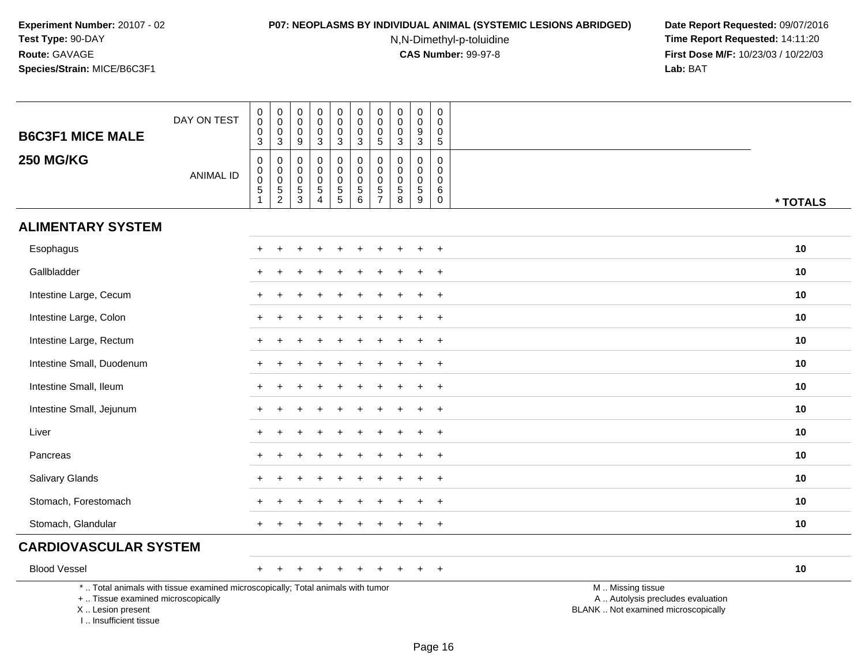#### **P07: NEOPLASMS BY INDIVIDUAL ANIMAL (SYSTEMIC LESIONS ABRIDGED) Date Report Requested:** 09/07/2016

N,N-Dimethyl-p-toluidine

| <b>B6C3F1 MICE MALE</b>                                                          | DAY ON TEST                                                                     | $\begin{smallmatrix}0\0\0\end{smallmatrix}$<br>0<br>$\overline{3}$ | $\pmb{0}$<br>$\overline{0}$<br>$\pmb{0}$<br>$\overline{3}$ | $\boldsymbol{0}$<br>$\mathsf{O}\xspace$<br>$\mathbf 0$<br>$\boldsymbol{9}$ | $\pmb{0}$<br>$\mathbf 0$<br>$\mathbf 0$<br>$\mathbf 3$       | 0<br>$\mathbf 0$<br>$\mathbf 0$<br>$\overline{3}$ | $_{\rm 0}^{\rm 0}$<br>0<br>$\overline{3}$                     | $\mathbf 0$<br>$\mathbf 0$<br>$\mathbf 0$<br>$5\phantom{.0}$ | $\pmb{0}$<br>$\mathsf{O}\xspace$<br>0<br>$\sqrt{3}$                      | $\pmb{0}$<br>$\ddot{\mathbf{0}}$<br>$\boldsymbol{9}$<br>$\overline{3}$ | 0<br>$\mathbf 0$<br>$\mathbf 0$<br>$\sqrt{5}$                |                                                                                               |  |
|----------------------------------------------------------------------------------|---------------------------------------------------------------------------------|--------------------------------------------------------------------|------------------------------------------------------------|----------------------------------------------------------------------------|--------------------------------------------------------------|---------------------------------------------------|---------------------------------------------------------------|--------------------------------------------------------------|--------------------------------------------------------------------------|------------------------------------------------------------------------|--------------------------------------------------------------|-----------------------------------------------------------------------------------------------|--|
| <b>250 MG/KG</b>                                                                 | <b>ANIMAL ID</b>                                                                | 0<br>0<br>$\boldsymbol{0}$<br>$\frac{5}{1}$                        | $\mathbf 0$<br>$\pmb{0}$<br>$\pmb{0}$<br>$\frac{5}{2}$     | $\mathbf 0$<br>0<br>$\mathbf 0$<br>$\frac{5}{3}$                           | 0<br>$\Omega$<br>$\mathbf 0$<br>$\sqrt{5}$<br>$\overline{4}$ | 0<br>$\pmb{0}$<br>$\pmb{0}$<br>$\overline{5}$     | $\mathbf 0$<br>$\mathbf 0$<br>$\mathbf 0$<br>$\overline{5}$ 6 | 0<br>$\Omega$<br>$\mathbf 0$<br>$\frac{5}{7}$                | $\mathbf 0$<br>$\mathbf 0$<br>0<br>$\begin{array}{c} 5 \\ 8 \end{array}$ | $\mathbf 0$<br>$\mathbf 0$<br>$\mathbf 0$<br>$\overline{5}$<br>9       | $\mathbf 0$<br>$\Omega$<br>$\mathbf 0$<br>$\,6$<br>$\pmb{0}$ | * TOTALS                                                                                      |  |
| <b>ALIMENTARY SYSTEM</b>                                                         |                                                                                 |                                                                    |                                                            |                                                                            |                                                              |                                                   |                                                               |                                                              |                                                                          |                                                                        |                                                              |                                                                                               |  |
| Esophagus                                                                        |                                                                                 |                                                                    |                                                            |                                                                            |                                                              |                                                   |                                                               |                                                              |                                                                          |                                                                        | $\ddot{}$                                                    | 10                                                                                            |  |
| Gallbladder                                                                      |                                                                                 |                                                                    |                                                            |                                                                            |                                                              |                                                   |                                                               |                                                              |                                                                          |                                                                        | $\ddot{}$                                                    | 10                                                                                            |  |
| Intestine Large, Cecum                                                           |                                                                                 |                                                                    |                                                            |                                                                            |                                                              |                                                   |                                                               |                                                              |                                                                          |                                                                        | $\overline{+}$                                               | 10                                                                                            |  |
| Intestine Large, Colon                                                           |                                                                                 |                                                                    |                                                            |                                                                            |                                                              |                                                   |                                                               |                                                              |                                                                          |                                                                        | $\ddot{}$                                                    | 10                                                                                            |  |
| Intestine Large, Rectum                                                          |                                                                                 |                                                                    |                                                            |                                                                            |                                                              |                                                   |                                                               |                                                              |                                                                          |                                                                        | $\ddot{}$                                                    | 10                                                                                            |  |
| Intestine Small, Duodenum                                                        |                                                                                 |                                                                    |                                                            |                                                                            |                                                              |                                                   |                                                               |                                                              |                                                                          |                                                                        | $\overline{ }$                                               | 10                                                                                            |  |
| Intestine Small, Ileum                                                           |                                                                                 |                                                                    |                                                            |                                                                            |                                                              |                                                   |                                                               |                                                              |                                                                          |                                                                        | $+$                                                          | 10                                                                                            |  |
| Intestine Small, Jejunum                                                         |                                                                                 | $\div$                                                             |                                                            |                                                                            |                                                              |                                                   |                                                               |                                                              |                                                                          |                                                                        | $\overline{ }$                                               | 10                                                                                            |  |
| Liver                                                                            |                                                                                 |                                                                    |                                                            |                                                                            |                                                              |                                                   |                                                               |                                                              |                                                                          |                                                                        | $+$                                                          | 10                                                                                            |  |
| Pancreas                                                                         |                                                                                 | $+$                                                                | $\div$                                                     |                                                                            |                                                              |                                                   |                                                               |                                                              |                                                                          | $\div$                                                                 | $+$                                                          | 10                                                                                            |  |
| Salivary Glands                                                                  |                                                                                 |                                                                    |                                                            |                                                                            |                                                              |                                                   |                                                               |                                                              |                                                                          |                                                                        | $\overline{+}$                                               | 10                                                                                            |  |
| Stomach, Forestomach                                                             |                                                                                 |                                                                    |                                                            |                                                                            |                                                              |                                                   |                                                               |                                                              |                                                                          |                                                                        | $\overline{ }$                                               | 10                                                                                            |  |
| Stomach, Glandular                                                               |                                                                                 |                                                                    |                                                            |                                                                            |                                                              |                                                   |                                                               |                                                              |                                                                          |                                                                        | $\ddot{}$                                                    | 10                                                                                            |  |
| <b>CARDIOVASCULAR SYSTEM</b>                                                     |                                                                                 |                                                                    |                                                            |                                                                            |                                                              |                                                   |                                                               |                                                              |                                                                          |                                                                        |                                                              |                                                                                               |  |
| <b>Blood Vessel</b>                                                              |                                                                                 | $+$                                                                |                                                            |                                                                            |                                                              | $\ddot{}$                                         |                                                               |                                                              |                                                                          |                                                                        | $+$                                                          | 10                                                                                            |  |
| +  Tissue examined microscopically<br>X  Lesion present<br>I Insufficient tissue | *  Total animals with tissue examined microscopically; Total animals with tumor |                                                                    |                                                            |                                                                            |                                                              |                                                   |                                                               |                                                              |                                                                          |                                                                        |                                                              | M  Missing tissue<br>A  Autolysis precludes evaluation<br>BLANK  Not examined microscopically |  |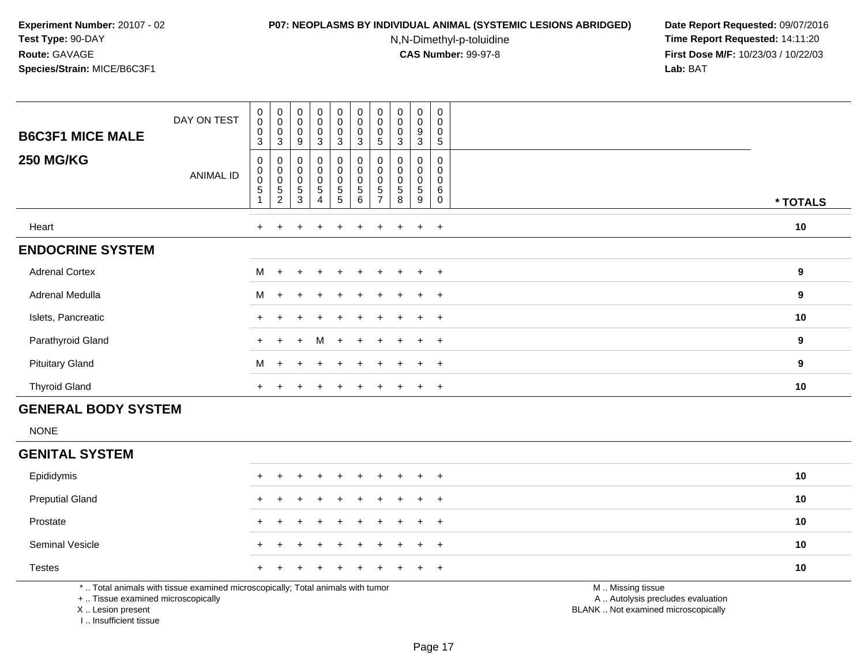#### **P07: NEOPLASMS BY INDIVIDUAL ANIMAL (SYSTEMIC LESIONS ABRIDGED) Date Report Requested:** 09/07/2016

N,N-Dimethyl-p-toluidine

 **Time Report Requested:** 14:11:20 **First Dose M/F:** 10/23/03 / 10/22/03<br>**Lab:** BAT **Lab:** BAT

| <b>B6C3F1 MICE MALE</b> | DAY ON TEST | 0<br>$\mathsf 0$<br>0<br>3                   | $_{\rm 0}^{\rm 0}$<br>$\pmb{0}$<br>3                              | $\begin{smallmatrix}0\0\0\0\end{smallmatrix}$<br>9 | $\begin{smallmatrix}0\0\0\0\end{smallmatrix}$<br>$\mathbf{3}$                   | $\begin{smallmatrix}0\\0\end{smallmatrix}$<br>$\pmb{0}$<br>3 | $\pmb{0}$<br>$\pmb{0}$<br>$\mathbf 0$<br>3 | $\pmb{0}$<br>$\pmb{0}$<br>0<br>5        | $\pmb{0}$<br>$\pmb{0}$<br>$\pmb{0}$<br>3        | 0<br>0<br>9<br>3                          | 0<br>$\mathbf 0$<br>0<br>5 |                  |
|-------------------------|-------------|----------------------------------------------|-------------------------------------------------------------------|----------------------------------------------------|---------------------------------------------------------------------------------|--------------------------------------------------------------|--------------------------------------------|-----------------------------------------|-------------------------------------------------|-------------------------------------------|----------------------------|------------------|
| <b>250 MG/KG</b>        | ANIMAL ID   | $\mathbf 0$<br>$\pmb{0}$<br>$\mathbf 0$<br>5 | 0<br>$\begin{smallmatrix}0\0\0\end{smallmatrix}$<br>$\frac{5}{2}$ | 0<br>$_{\rm 0}^{\rm 0}$<br>$\frac{5}{3}$           | $\boldsymbol{0}$<br>$\begin{matrix} 0 \\ 0 \\ 5 \end{matrix}$<br>$\overline{4}$ | 0<br>$\pmb{0}$<br>$\pmb{0}$<br>$\frac{5}{5}$                 | 0<br>$\mathbf 0$<br>5<br>6                 | 0<br>$\mathbf 0$<br>5<br>$\overline{7}$ | 0<br>$\pmb{0}$<br>$\pmb{0}$<br>$\,$ 5 $\,$<br>8 | 0<br>0<br>$\mathsf 0$<br>$\,$ 5 $\,$<br>9 | 0<br>$\mathbf 0$<br>6<br>0 | * TOTALS         |
| Heart                   |             | $\ddot{}$                                    |                                                                   | $\ddot{}$                                          | $\overline{+}$                                                                  | $+$                                                          | $\ddot{}$                                  | $\pm$                                   | $+$                                             | $+$                                       | $+$                        | 10               |
| <b>ENDOCRINE SYSTEM</b> |             |                                              |                                                                   |                                                    |                                                                                 |                                                              |                                            |                                         |                                                 |                                           |                            |                  |
| <b>Adrenal Cortex</b>   |             | M                                            | $+$                                                               | $+$                                                | $+$                                                                             | $+$                                                          | $+$                                        | $+$                                     | $\pm$                                           | $+$                                       | $+$                        | 9                |
| Adrenal Medulla         |             | M                                            | $+$                                                               | $+$                                                | $+$                                                                             | $+$                                                          | $+$                                        | $+$                                     | $\pm$                                           | $+$                                       | $+$                        | $\boldsymbol{9}$ |
| Islets, Pancreatic      |             |                                              |                                                                   |                                                    | $\div$                                                                          | $+$                                                          |                                            | $+$                                     | $+$                                             | $+$                                       | $+$                        | 10               |
| Parathyroid Gland       |             | $+$                                          | $+$                                                               | $+$                                                | M                                                                               | $+$                                                          | $+$                                        | $+$                                     | $+$                                             | $+$                                       | $+$                        | $\boldsymbol{9}$ |
| <b>Pituitary Gland</b>  |             | M                                            | $+$                                                               | $\ddot{}$                                          | $\ddot{}$                                                                       | $\div$                                                       | $\ddot{}$                                  | $+$                                     |                                                 | $\ddot{}$                                 | $+$                        | $\boldsymbol{9}$ |
| <b>Thyroid Gland</b>    |             | $\ddot{}$                                    | $\div$                                                            | $\div$                                             | $\pm$                                                                           | $\pm$                                                        | $\div$                                     | $\pm$                                   | $+$                                             | $+$                                       | $+$                        | 10               |

## **GENERAL BODY SYSTEM**

NONE

#### **GENITAL SYSTEM**

| Epididymis             |  | + + + + + + + + + + |  |  |  |  | 10 |
|------------------------|--|---------------------|--|--|--|--|----|
| <b>Preputial Gland</b> |  | + + + + + + + + + + |  |  |  |  | 10 |
| Prostate               |  | + + + + + + + + + + |  |  |  |  | 10 |
| <b>Seminal Vesicle</b> |  | + + + + + + + + + + |  |  |  |  | 10 |
| <b>Testes</b>          |  | + + + + + + + + + + |  |  |  |  | 10 |

\* .. Total animals with tissue examined microscopically; Total animals with tumor

+ .. Tissue examined microscopically

X .. Lesion present

I .. Insufficient tissue

M .. Missing tissue

y the contract of the contract of the contract of the contract of the contract of the contract of the contract of  $A$ . Autolysis precludes evaluation

Lesion present BLANK .. Not examined microscopically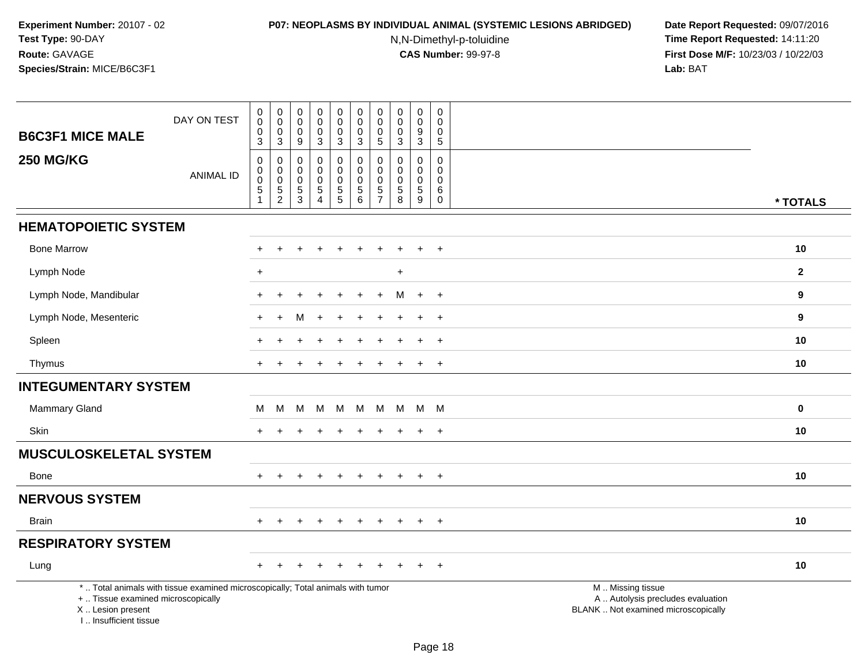#### **P07: NEOPLASMS BY INDIVIDUAL ANIMAL (SYSTEMIC LESIONS ABRIDGED) Date Report Requested:** 09/07/2016

N,N-Dimethyl-p-toluidine

| <b>B6C3F1 MICE MALE</b>                                                          | DAY ON TEST                                                                     | $\mathbf 0$<br>$\ddot{\mathbf{0}}$<br>$\mathbf 0$ | $\mathbf 0$<br>$\overline{0}$<br>$\mathbf 0$ | $\pmb{0}$<br>$\pmb{0}$<br>$\mathbf 0$   | $\mathsf{O}\xspace$<br>$\bar{0}$<br>0 | $\mathbf 0$<br>$\ddot{\mathbf{0}}$<br>0         | $\pmb{0}$<br>$\ddot{\mathbf{0}}$<br>$\mathbf 0$ | $\mathbf 0$<br>$\mathbf 0$<br>0           | $\mathbf 0$<br>0<br>$\mathbf 0$         | $\mathbf 0$<br>$\mathsf{O}\xspace$<br>9 | $\pmb{0}$<br>$\mathbf 0$<br>0   |                                                                                               |  |
|----------------------------------------------------------------------------------|---------------------------------------------------------------------------------|---------------------------------------------------|----------------------------------------------|-----------------------------------------|---------------------------------------|-------------------------------------------------|-------------------------------------------------|-------------------------------------------|-----------------------------------------|-----------------------------------------|---------------------------------|-----------------------------------------------------------------------------------------------|--|
|                                                                                  |                                                                                 | 3                                                 | 3                                            | 9                                       | 3                                     | 3                                               | 3                                               | $\sqrt{5}$                                | 3                                       | 3                                       | 5                               |                                                                                               |  |
| <b>250 MG/KG</b>                                                                 | <b>ANIMAL ID</b>                                                                | $\boldsymbol{0}$<br>$\mathbf 0$<br>$\mathbf 0$    | $\mathbf 0$<br>$\mathbf 0$<br>$\mathbf 0$    | $\mathbf 0$<br>$\mathbf 0$<br>$\pmb{0}$ | $\mathbf 0$<br>0<br>$\boldsymbol{0}$  | 0<br>$\mathsf{O}\xspace$<br>$\mathsf{O}\xspace$ | $\mathbf 0$<br>$\pmb{0}$<br>$\mathbf 0$         | $\mathbf 0$<br>$\mathbf 0$<br>$\mathbf 0$ | $\mathbf 0$<br>$\mathbf 0$<br>$\pmb{0}$ | $\mathbf 0$<br>0<br>$\mathbf 0$         | $\mathbf 0$<br>0<br>$\mathbf 0$ |                                                                                               |  |
|                                                                                  |                                                                                 | $\overline{5}$<br>1                               | $\sqrt{5}$<br>$\overline{c}$                 | $\,$ 5 $\,$<br>3                        | 5<br>$\overline{4}$                   | $\frac{5}{5}$                                   | $\,$ 5 $\,$<br>$\,6\,$                          | $\sqrt{5}$<br>$\overline{7}$              | 5<br>8                                  | $\sqrt{5}$<br>9                         | $\,6\,$<br>$\mathbf 0$          |                                                                                               |  |
|                                                                                  |                                                                                 |                                                   |                                              |                                         |                                       |                                                 |                                                 |                                           |                                         |                                         |                                 | * TOTALS                                                                                      |  |
| <b>HEMATOPOIETIC SYSTEM</b>                                                      |                                                                                 |                                                   |                                              |                                         |                                       |                                                 |                                                 |                                           |                                         |                                         |                                 |                                                                                               |  |
| <b>Bone Marrow</b>                                                               |                                                                                 |                                                   |                                              |                                         |                                       |                                                 |                                                 |                                           |                                         |                                         | $\ddot{}$                       | 10                                                                                            |  |
| Lymph Node                                                                       |                                                                                 | $\ddot{}$                                         |                                              |                                         |                                       |                                                 |                                                 |                                           | $\ddot{}$                               |                                         |                                 | $\overline{2}$                                                                                |  |
| Lymph Node, Mandibular                                                           |                                                                                 |                                                   |                                              |                                         |                                       |                                                 |                                                 |                                           | м                                       | $\overline{+}$                          | $+$                             | 9                                                                                             |  |
| Lymph Node, Mesenteric                                                           |                                                                                 | $\ddot{}$                                         | $\ddot{}$                                    | M                                       | $\ddot{}$                             | $\ddot{}$                                       | $\ddot{}$                                       | ÷                                         | ٠                                       | $\ddot{}$                               | $+$                             | 9                                                                                             |  |
| Spleen                                                                           |                                                                                 |                                                   |                                              |                                         |                                       |                                                 |                                                 |                                           |                                         |                                         | $\ddot{}$                       | 10                                                                                            |  |
| Thymus                                                                           |                                                                                 |                                                   |                                              |                                         |                                       |                                                 |                                                 |                                           |                                         | $\ddot{}$                               | $+$                             | 10                                                                                            |  |
| <b>INTEGUMENTARY SYSTEM</b>                                                      |                                                                                 |                                                   |                                              |                                         |                                       |                                                 |                                                 |                                           |                                         |                                         |                                 |                                                                                               |  |
| Mammary Gland                                                                    |                                                                                 | м                                                 | M                                            | M                                       | M                                     | M                                               | M                                               | M                                         | M                                       | M                                       | - M                             | $\bf{0}$                                                                                      |  |
| Skin                                                                             |                                                                                 |                                                   |                                              |                                         |                                       |                                                 |                                                 |                                           |                                         | $\ddot{}$                               | $+$                             | 10                                                                                            |  |
| <b>MUSCULOSKELETAL SYSTEM</b>                                                    |                                                                                 |                                                   |                                              |                                         |                                       |                                                 |                                                 |                                           |                                         |                                         |                                 |                                                                                               |  |
| <b>Bone</b>                                                                      |                                                                                 | $+$                                               | $+$                                          |                                         | $+$                                   | $+$                                             | $+$                                             | $+$                                       | $+$                                     | $+$                                     | $+$                             | 10                                                                                            |  |
| <b>NERVOUS SYSTEM</b>                                                            |                                                                                 |                                                   |                                              |                                         |                                       |                                                 |                                                 |                                           |                                         |                                         |                                 |                                                                                               |  |
| <b>Brain</b>                                                                     |                                                                                 |                                                   | $\ddot{}$                                    |                                         | $\div$                                | $\ddot{}$                                       | $\pm$                                           | $\ddot{}$                                 | $\div$                                  | $\ddot{}$                               | $+$                             | 10                                                                                            |  |
| <b>RESPIRATORY SYSTEM</b>                                                        |                                                                                 |                                                   |                                              |                                         |                                       |                                                 |                                                 |                                           |                                         |                                         |                                 |                                                                                               |  |
| Lung                                                                             |                                                                                 |                                                   |                                              |                                         |                                       |                                                 |                                                 |                                           |                                         |                                         | $\ddot{}$                       | 10                                                                                            |  |
| +  Tissue examined microscopically<br>X  Lesion present<br>I Insufficient tissue | *  Total animals with tissue examined microscopically; Total animals with tumor |                                                   |                                              |                                         |                                       |                                                 |                                                 |                                           |                                         |                                         |                                 | M  Missing tissue<br>A  Autolysis precludes evaluation<br>BLANK  Not examined microscopically |  |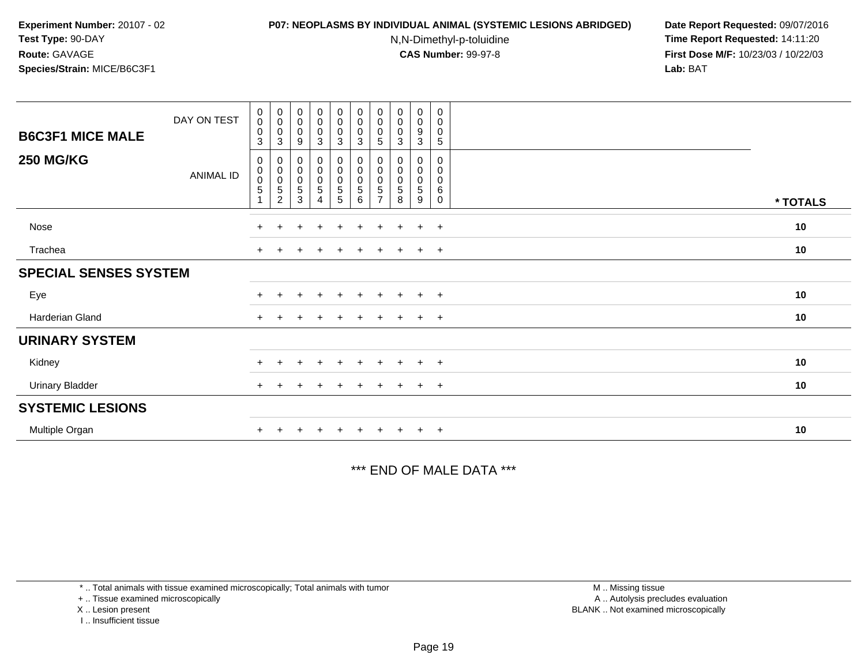#### **P07: NEOPLASMS BY INDIVIDUAL ANIMAL (SYSTEMIC LESIONS ABRIDGED) Date Report Requested:** 09/07/2016

N,N-Dimethyl-p-toluidine

 **Time Report Requested:** 14:11:20 **First Dose M/F:** 10/23/03 / 10/22/03<br>**Lab:** BAT **Lab:** BAT

| <b>B6C3F1 MICE MALE</b><br><b>250 MG/KG</b> | DAY ON TEST<br><b>ANIMAL ID</b> | $\mathbf 0$<br>$\mathsf 0$<br>$\mathbf 0$<br>3<br>0<br>$\mathbf 0$<br>$\pmb{0}$<br>$\sqrt{5}$ | $\begin{smallmatrix} 0\\0 \end{smallmatrix}$<br>0<br>3<br>0<br>$\begin{smallmatrix}0\0\0\end{smallmatrix}$<br>$\mathbf 5$ | $\begin{smallmatrix} 0\\0 \end{smallmatrix}$<br>$\pmb{0}$<br>9<br>0<br>$\begin{smallmatrix}0\0\0\5\end{smallmatrix}$ | $_{\rm 0}^{\rm 0}$<br>$\pmb{0}$<br>$\mathbf{3}$<br>$\mathbf 0$<br>$\begin{matrix} 0 \\ 0 \\ 5 \end{matrix}$ | $\begin{smallmatrix} 0\\0 \end{smallmatrix}$<br>$_{3}^{\rm 0}$<br>0<br>$\pmb{0}$<br>$\pmb{0}$<br>$\,$ 5 $\,$ | $\begin{smallmatrix} 0\\0 \end{smallmatrix}$<br>$\pmb{0}$<br>3<br>0<br>$\pmb{0}$<br>$\pmb{0}$<br>5 | $_{\rm 0}^{\rm 0}$<br>0<br>5<br>5 | $_{\rm 0}^{\rm 0}$<br>$\pmb{0}$<br>3<br>0<br>0<br>$\mathbf 5$ | $\begin{smallmatrix} 0\\0 \end{smallmatrix}$<br>$\boldsymbol{9}$<br>$\mathbf{3}$<br>0<br>$\mathbf 0$<br>$\mathbf 0$<br>5 | 0<br>$\boldsymbol{0}$<br>0<br>$\mathbf 5$<br>0<br>$\mathbf 0$<br>$\mathbf 0$<br>6 |          |
|---------------------------------------------|---------------------------------|-----------------------------------------------------------------------------------------------|---------------------------------------------------------------------------------------------------------------------------|----------------------------------------------------------------------------------------------------------------------|-------------------------------------------------------------------------------------------------------------|--------------------------------------------------------------------------------------------------------------|----------------------------------------------------------------------------------------------------|-----------------------------------|---------------------------------------------------------------|--------------------------------------------------------------------------------------------------------------------------|-----------------------------------------------------------------------------------|----------|
|                                             |                                 |                                                                                               | $\overline{c}$                                                                                                            | 3                                                                                                                    | $\overline{4}$                                                                                              | $\sqrt{5}$                                                                                                   | 6                                                                                                  |                                   | 8                                                             | 9                                                                                                                        | $\Omega$                                                                          | * TOTALS |
| Nose                                        |                                 | $+$                                                                                           | $+$                                                                                                                       | $\pm$                                                                                                                | $\overline{+}$                                                                                              | $\overline{+}$                                                                                               | $\ddot{}$                                                                                          | $\pm$                             | $\pm$                                                         | $+$                                                                                                                      | $+$                                                                               | 10       |
| Trachea                                     |                                 | $\pm$                                                                                         |                                                                                                                           |                                                                                                                      | $\div$                                                                                                      |                                                                                                              |                                                                                                    |                                   |                                                               | $\pm$                                                                                                                    | $+$                                                                               | 10       |
| <b>SPECIAL SENSES SYSTEM</b>                |                                 |                                                                                               |                                                                                                                           |                                                                                                                      |                                                                                                             |                                                                                                              |                                                                                                    |                                   |                                                               |                                                                                                                          |                                                                                   |          |
| Eye                                         |                                 | $+$                                                                                           | $+$                                                                                                                       | $\ddot{}$                                                                                                            | $\pm$                                                                                                       | $\pm$                                                                                                        | $+$                                                                                                | $+$                               | $+$                                                           | $+$                                                                                                                      | $+$                                                                               | 10       |
| Harderian Gland                             |                                 | $+$                                                                                           | $+$                                                                                                                       | $+$                                                                                                                  | $+$                                                                                                         | $^{+}$                                                                                                       | $+$                                                                                                | $+$                               | $+$                                                           | $+$                                                                                                                      | $+$                                                                               | 10       |
| <b>URINARY SYSTEM</b>                       |                                 |                                                                                               |                                                                                                                           |                                                                                                                      |                                                                                                             |                                                                                                              |                                                                                                    |                                   |                                                               |                                                                                                                          |                                                                                   |          |
| Kidney                                      |                                 | $+$                                                                                           | $+$                                                                                                                       | $\ddot{}$                                                                                                            | $\pm$                                                                                                       | $+$                                                                                                          | $\pm$                                                                                              | $+$                               | $+$                                                           | $+$                                                                                                                      | $+$                                                                               | 10       |
| <b>Urinary Bladder</b>                      |                                 | $+$                                                                                           |                                                                                                                           | $\pm$                                                                                                                | $\pm$                                                                                                       | $\pm$                                                                                                        |                                                                                                    |                                   | $\pm$                                                         | $+$                                                                                                                      | $+$                                                                               | 10       |
| <b>SYSTEMIC LESIONS</b>                     |                                 |                                                                                               |                                                                                                                           |                                                                                                                      |                                                                                                             |                                                                                                              |                                                                                                    |                                   |                                                               |                                                                                                                          |                                                                                   |          |
| Multiple Organ                              |                                 |                                                                                               |                                                                                                                           |                                                                                                                      |                                                                                                             |                                                                                                              |                                                                                                    |                                   | $\pm$                                                         | $+$                                                                                                                      | $+$                                                                               | 10       |

\*\*\* END OF MALE DATA \*\*\*

\* .. Total animals with tissue examined microscopically; Total animals with tumor

+ .. Tissue examined microscopically

X .. Lesion present

I .. Insufficient tissue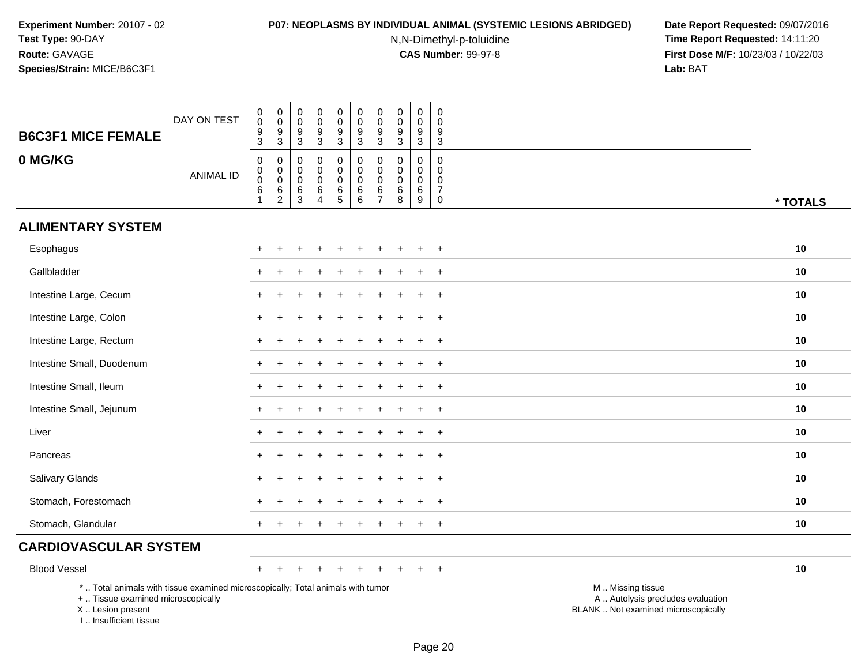#### **P07: NEOPLASMS BY INDIVIDUAL ANIMAL (SYSTEMIC LESIONS ABRIDGED) Date Report Requested:** 09/07/2016

N,N-Dimethyl-p-toluidine

| <b>B6C3F1 MICE FEMALE</b>                                                                                                                                           | DAY ON TEST      | $\begin{smallmatrix}0\0\0\end{smallmatrix}$<br>$\boldsymbol{9}$<br>3 | $\pmb{0}$<br>$\frac{0}{9}$<br>$\overline{3}$   | $\boldsymbol{0}$<br>$\ddot{\mathbf{0}}$<br>$\boldsymbol{9}$<br>$\mathsf 3$ | $\pmb{0}$<br>$\mathbf 0$<br>9<br>$\mathbf{3}$                          | 0<br>$\mathbf 0$<br>$\boldsymbol{9}$<br>3 | $\begin{smallmatrix}0\0\0\end{smallmatrix}$<br>$\overline{9}$<br>$\mathbf{3}$ | $\mathsf 0$<br>$\mathsf{O}\xspace$<br>$\boldsymbol{9}$<br>3 | $\mathbf 0$<br>$\mathbf 0$<br>9<br>$\mathbf{3}$ | $\mathbf 0$<br>$\mathbf 0$<br>9<br>$\mathbf{3}$         | 0<br>$\mathbf 0$<br>9<br>$\mathbf{3}$                                      |                                                                                               |
|---------------------------------------------------------------------------------------------------------------------------------------------------------------------|------------------|----------------------------------------------------------------------|------------------------------------------------|----------------------------------------------------------------------------|------------------------------------------------------------------------|-------------------------------------------|-------------------------------------------------------------------------------|-------------------------------------------------------------|-------------------------------------------------|---------------------------------------------------------|----------------------------------------------------------------------------|-----------------------------------------------------------------------------------------------|
| 0 MG/KG                                                                                                                                                             | <b>ANIMAL ID</b> | $\pmb{0}$<br>$\pmb{0}$<br>$\pmb{0}$<br>$\overline{6}$<br>1           | 0<br>$\pmb{0}$<br>$\mathsf 0$<br>$\frac{6}{2}$ | $\mathbf 0$<br>0<br>$\mathbf 0$<br>$^6_3$                                  | $\mathbf 0$<br>$\mathbf 0$<br>$\mathbf 0$<br>$\,6\,$<br>$\overline{4}$ | 0<br>$\mathbf 0$<br>$\mathbf 0$<br>$^6$ 5 | $\mathbf 0$<br>$\mathbf 0$<br>$\pmb{0}$<br>$\frac{6}{6}$                      | $\mathbf 0$<br>$\mathbf 0$<br>$\mathbf 0$<br>$\frac{6}{7}$  | $\mathbf 0$<br>$\mathbf 0$<br>0<br>6<br>$\,8\,$ | $\mathbf 0$<br>$\mathbf 0$<br>$\mathbf 0$<br>$\,6$<br>9 | $\mathbf 0$<br>$\mathbf 0$<br>$\mathbf 0$<br>$\overline{7}$<br>$\mathbf 0$ | * TOTALS                                                                                      |
| <b>ALIMENTARY SYSTEM</b>                                                                                                                                            |                  |                                                                      |                                                |                                                                            |                                                                        |                                           |                                                                               |                                                             |                                                 |                                                         |                                                                            |                                                                                               |
| Esophagus                                                                                                                                                           |                  |                                                                      |                                                |                                                                            |                                                                        |                                           |                                                                               |                                                             |                                                 |                                                         | $\ddot{}$                                                                  | 10                                                                                            |
| Gallbladder                                                                                                                                                         |                  |                                                                      |                                                |                                                                            |                                                                        |                                           |                                                                               |                                                             |                                                 |                                                         | $\ddot{}$                                                                  | 10                                                                                            |
| Intestine Large, Cecum                                                                                                                                              |                  |                                                                      |                                                |                                                                            |                                                                        |                                           |                                                                               |                                                             |                                                 |                                                         | $+$                                                                        | 10                                                                                            |
| Intestine Large, Colon                                                                                                                                              |                  |                                                                      |                                                |                                                                            |                                                                        |                                           |                                                                               |                                                             |                                                 |                                                         | $+$                                                                        | 10                                                                                            |
| Intestine Large, Rectum                                                                                                                                             |                  |                                                                      |                                                |                                                                            |                                                                        |                                           |                                                                               |                                                             |                                                 |                                                         | $\ddot{}$                                                                  | 10                                                                                            |
| Intestine Small, Duodenum                                                                                                                                           |                  |                                                                      |                                                |                                                                            |                                                                        |                                           |                                                                               |                                                             |                                                 |                                                         | $\ddot{}$                                                                  | 10                                                                                            |
| Intestine Small, Ileum                                                                                                                                              |                  | $+$                                                                  |                                                |                                                                            |                                                                        |                                           |                                                                               |                                                             |                                                 |                                                         | $+$                                                                        | 10                                                                                            |
| Intestine Small, Jejunum                                                                                                                                            |                  |                                                                      |                                                |                                                                            |                                                                        |                                           |                                                                               |                                                             |                                                 |                                                         | $+$                                                                        | 10                                                                                            |
| Liver                                                                                                                                                               |                  |                                                                      |                                                |                                                                            |                                                                        |                                           |                                                                               |                                                             |                                                 |                                                         | $\ddot{}$                                                                  | 10                                                                                            |
| Pancreas                                                                                                                                                            |                  |                                                                      |                                                |                                                                            |                                                                        |                                           |                                                                               |                                                             |                                                 |                                                         | $\overline{+}$                                                             | 10                                                                                            |
| Salivary Glands                                                                                                                                                     |                  |                                                                      |                                                |                                                                            |                                                                        |                                           |                                                                               |                                                             |                                                 |                                                         | $+$                                                                        | 10                                                                                            |
| Stomach, Forestomach                                                                                                                                                |                  |                                                                      |                                                |                                                                            |                                                                        |                                           |                                                                               |                                                             |                                                 |                                                         | $\ddot{}$                                                                  | 10                                                                                            |
| Stomach, Glandular                                                                                                                                                  |                  |                                                                      |                                                |                                                                            |                                                                        |                                           |                                                                               |                                                             |                                                 |                                                         | $\ddot{}$                                                                  | 10                                                                                            |
| <b>CARDIOVASCULAR SYSTEM</b>                                                                                                                                        |                  |                                                                      |                                                |                                                                            |                                                                        |                                           |                                                                               |                                                             |                                                 |                                                         |                                                                            |                                                                                               |
| <b>Blood Vessel</b>                                                                                                                                                 |                  | $+$                                                                  | $\div$                                         |                                                                            |                                                                        | $\div$                                    |                                                                               | $\pm$                                                       |                                                 | ÷                                                       | $+$                                                                        | 10                                                                                            |
| *  Total animals with tissue examined microscopically; Total animals with tumor<br>+  Tissue examined microscopically<br>X  Lesion present<br>I Insufficient tissue |                  |                                                                      |                                                |                                                                            |                                                                        |                                           |                                                                               |                                                             |                                                 |                                                         |                                                                            | M  Missing tissue<br>A  Autolysis precludes evaluation<br>BLANK  Not examined microscopically |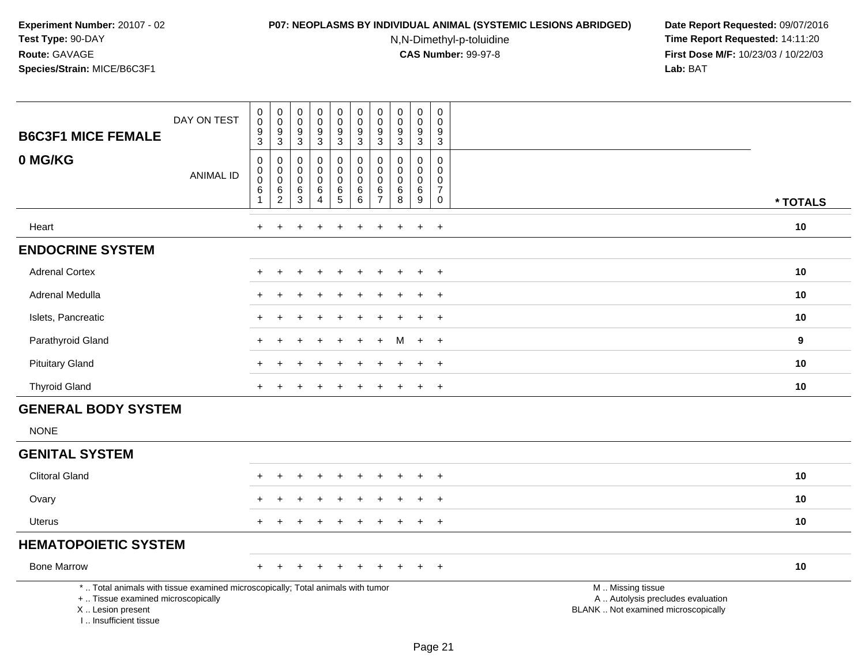#### **P07: NEOPLASMS BY INDIVIDUAL ANIMAL (SYSTEMIC LESIONS ABRIDGED) Date Report Requested:** 09/07/2016

N,N-Dimethyl-p-toluidine

| <b>B6C3F1 MICE FEMALE</b>                                                                                                                                           | DAY ON TEST      | $\pmb{0}$<br>$\pmb{0}$<br>$\boldsymbol{9}$<br>3                 | $\begin{smallmatrix} 0\\0 \end{smallmatrix}$<br>$\boldsymbol{9}$<br>$\mathbf{3}$ | $\mathbf 0$<br>$\mathsf{O}\xspace$<br>$\boldsymbol{9}$<br>3 | $\begin{smallmatrix}0\0\0\end{smallmatrix}$<br>$\overline{9}$<br>3 | $\pmb{0}$<br>$\overline{0}$<br>$\overline{9}$<br>$\mathbf{3}$                | $\pmb{0}$<br>$\ddot{\mathbf{0}}$<br>$\boldsymbol{9}$<br>$\mathbf{3}$ | $\mathbf 0$<br>$\mathbf 0$<br>9<br>3                                  | $\pmb{0}$<br>0<br>$9\,$<br>3           | $\pmb{0}$<br>0<br>$\boldsymbol{9}$<br>3                        | $\mathbf 0$<br>$\mathbf{0}$<br>9<br>$\mathbf{3}$                                     |                                                                                               |          |
|---------------------------------------------------------------------------------------------------------------------------------------------------------------------|------------------|-----------------------------------------------------------------|----------------------------------------------------------------------------------|-------------------------------------------------------------|--------------------------------------------------------------------|------------------------------------------------------------------------------|----------------------------------------------------------------------|-----------------------------------------------------------------------|----------------------------------------|----------------------------------------------------------------|--------------------------------------------------------------------------------------|-----------------------------------------------------------------------------------------------|----------|
| 0 MG/KG                                                                                                                                                             | <b>ANIMAL ID</b> | $\mathbf 0$<br>$\boldsymbol{0}$<br>$\mathbf 0$<br>$\,6\,$<br>-1 | $\boldsymbol{0}$<br>$\mathbf 0$<br>$\mathbf 0$<br>6<br>$\sqrt{2}$                | $\pmb{0}$<br>$\pmb{0}$<br>$\pmb{0}$<br>6<br>$\mathsf 3$     | 0<br>0<br>$\mathsf{O}\xspace$<br>$\,6\,$<br>$\overline{4}$         | $\pmb{0}$<br>$\mathsf{O}\xspace$<br>$\mathbf 0$<br>$\,6\,$<br>$\overline{5}$ | $\pmb{0}$<br>$\pmb{0}$<br>$\mathsf{O}\xspace$<br>$\,6$<br>$\,6\,$    | $\mathbf 0$<br>$\mathbf{0}$<br>$\mathbf 0$<br>$\,6$<br>$\overline{7}$ | 0<br>$\Omega$<br>$\mathbf 0$<br>6<br>8 | $\mathbf 0$<br>0<br>$\mathbf 0$<br>$\,6\,$<br>$\boldsymbol{9}$ | $\mathsf 0$<br>$\mathbf 0$<br>$\mathbf 0$<br>$\boldsymbol{7}$<br>$\mathsf{O}\xspace$ |                                                                                               | * TOTALS |
| Heart                                                                                                                                                               |                  | $+$                                                             | ÷                                                                                |                                                             |                                                                    | ÷.                                                                           |                                                                      | ÷                                                                     |                                        | $\ddot{+}$                                                     | $+$                                                                                  |                                                                                               | 10       |
| <b>ENDOCRINE SYSTEM</b>                                                                                                                                             |                  |                                                                 |                                                                                  |                                                             |                                                                    |                                                                              |                                                                      |                                                                       |                                        |                                                                |                                                                                      |                                                                                               |          |
| <b>Adrenal Cortex</b>                                                                                                                                               |                  |                                                                 |                                                                                  |                                                             |                                                                    |                                                                              |                                                                      |                                                                       |                                        | $\ddot{}$                                                      | $+$                                                                                  |                                                                                               | 10       |
| <b>Adrenal Medulla</b>                                                                                                                                              |                  |                                                                 |                                                                                  |                                                             |                                                                    |                                                                              |                                                                      |                                                                       |                                        |                                                                | $\ddot{}$                                                                            |                                                                                               | 10       |
| Islets, Pancreatic                                                                                                                                                  |                  |                                                                 |                                                                                  |                                                             |                                                                    |                                                                              |                                                                      |                                                                       |                                        |                                                                | $\ddot{}$                                                                            |                                                                                               | 10       |
| Parathyroid Gland                                                                                                                                                   |                  |                                                                 |                                                                                  |                                                             |                                                                    |                                                                              |                                                                      |                                                                       | м                                      | $\ddot{}$                                                      | $+$                                                                                  |                                                                                               | 9        |
| <b>Pituitary Gland</b>                                                                                                                                              |                  |                                                                 |                                                                                  |                                                             |                                                                    |                                                                              |                                                                      |                                                                       |                                        | $\ddot{}$                                                      | $+$                                                                                  |                                                                                               | 10       |
| <b>Thyroid Gland</b>                                                                                                                                                |                  | $+$                                                             |                                                                                  |                                                             |                                                                    | $\div$                                                                       | $\ddot{}$                                                            | $\pm$                                                                 |                                        | $\ddot{}$                                                      | $+$                                                                                  |                                                                                               | 10       |
| <b>GENERAL BODY SYSTEM</b>                                                                                                                                          |                  |                                                                 |                                                                                  |                                                             |                                                                    |                                                                              |                                                                      |                                                                       |                                        |                                                                |                                                                                      |                                                                                               |          |
| <b>NONE</b>                                                                                                                                                         |                  |                                                                 |                                                                                  |                                                             |                                                                    |                                                                              |                                                                      |                                                                       |                                        |                                                                |                                                                                      |                                                                                               |          |
| <b>GENITAL SYSTEM</b>                                                                                                                                               |                  |                                                                 |                                                                                  |                                                             |                                                                    |                                                                              |                                                                      |                                                                       |                                        |                                                                |                                                                                      |                                                                                               |          |
| <b>Clitoral Gland</b>                                                                                                                                               |                  |                                                                 |                                                                                  |                                                             |                                                                    |                                                                              |                                                                      |                                                                       |                                        |                                                                | $\ddot{}$                                                                            |                                                                                               | 10       |
| Ovary                                                                                                                                                               |                  |                                                                 |                                                                                  |                                                             |                                                                    |                                                                              |                                                                      |                                                                       |                                        |                                                                | $\ddot{}$                                                                            |                                                                                               | 10       |
| Uterus                                                                                                                                                              |                  | $\pm$                                                           |                                                                                  |                                                             | $\div$                                                             |                                                                              |                                                                      |                                                                       |                                        | $\ddot{}$                                                      | $+$                                                                                  |                                                                                               | 10       |
| <b>HEMATOPOIETIC SYSTEM</b>                                                                                                                                         |                  |                                                                 |                                                                                  |                                                             |                                                                    |                                                                              |                                                                      |                                                                       |                                        |                                                                |                                                                                      |                                                                                               |          |
| <b>Bone Marrow</b>                                                                                                                                                  |                  |                                                                 |                                                                                  |                                                             |                                                                    |                                                                              |                                                                      |                                                                       |                                        |                                                                | $^{+}$                                                                               |                                                                                               | 10       |
| *  Total animals with tissue examined microscopically; Total animals with tumor<br>+  Tissue examined microscopically<br>X  Lesion present<br>I Insufficient tissue |                  |                                                                 |                                                                                  |                                                             |                                                                    |                                                                              |                                                                      |                                                                       |                                        |                                                                |                                                                                      | M  Missing tissue<br>A  Autolysis precludes evaluation<br>BLANK  Not examined microscopically |          |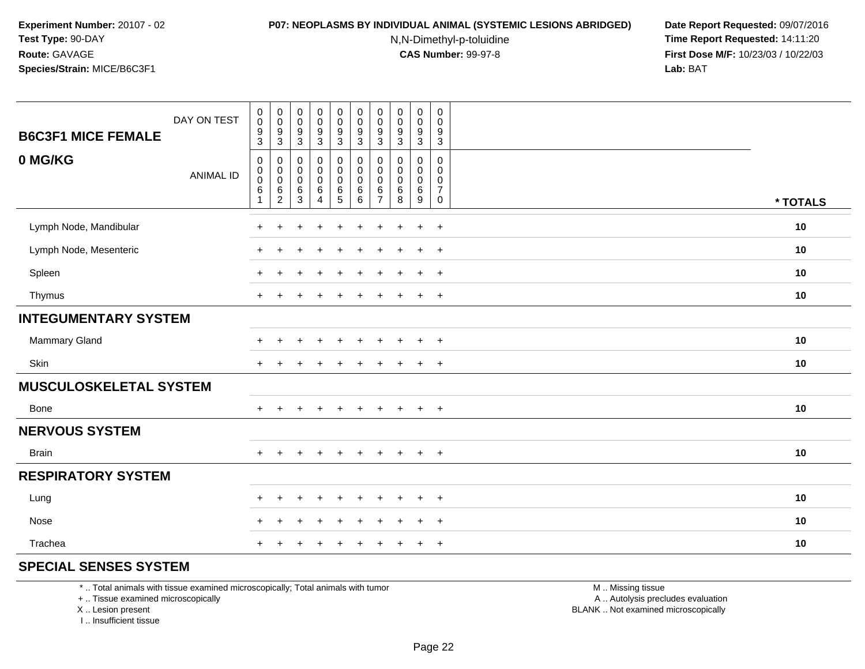#### **P07: NEOPLASMS BY INDIVIDUAL ANIMAL (SYSTEMIC LESIONS ABRIDGED) Date Report Requested:** 09/07/2016

N,N-Dimethyl-p-toluidine

 **Time Report Requested:** 14:11:20 **First Dose M/F:** 10/23/03 / 10/22/03<br>**Lab:** BAT **Lab:** BAT

| DAY ON TEST<br><b>B6C3F1 MICE FEMALE</b> | $_{\rm 0}^{\rm 0}$<br>$\frac{9}{3}$                                     | $\begin{smallmatrix} 0\\0 \end{smallmatrix}$<br>$\frac{9}{3}$ | $\pmb{0}$<br>$\overline{0}$<br>$\frac{9}{3}$          | $\pmb{0}$<br>$\pmb{0}$<br>$\frac{9}{3}$                    | $\pmb{0}$<br>$\pmb{0}$<br>$\frac{9}{3}$                 | $\begin{smallmatrix} 0\\0 \end{smallmatrix}$<br>$\frac{9}{3}$ | $\pmb{0}$<br>$\pmb{0}$<br>$\boldsymbol{9}$<br>3 | $\pmb{0}$<br>$\ddot{\mathbf{0}}$<br>$\frac{9}{3}$       | $\pmb{0}$<br>$\pmb{0}$<br>$\frac{9}{3}$                      | $\mathbf 0$<br>$\mathbf 0$<br>9<br>3                   |          |
|------------------------------------------|-------------------------------------------------------------------------|---------------------------------------------------------------|-------------------------------------------------------|------------------------------------------------------------|---------------------------------------------------------|---------------------------------------------------------------|-------------------------------------------------|---------------------------------------------------------|--------------------------------------------------------------|--------------------------------------------------------|----------|
| 0 MG/KG<br><b>ANIMAL ID</b>              | $\mathbf 0$<br>$\pmb{0}$<br>$\pmb{0}$<br>$6\phantom{a}$<br>$\mathbf{1}$ | $\mathbf 0$<br>0<br>$\mathbf 0$<br>$\,6\,$<br>$\sqrt{2}$      | $\mathbf 0$<br>$\pmb{0}$<br>$\pmb{0}$<br>$\,6\,$<br>3 | 0<br>$\pmb{0}$<br>$\mathbf 0$<br>$\,6\,$<br>$\overline{4}$ | 0<br>$\mathsf 0$<br>$\mathbf 0$<br>6<br>$5\phantom{.0}$ | 0<br>$\mathsf 0$<br>$\mathsf 0$<br>$\,6\,$<br>$\,6\,$         | $\mathbf 0$<br>0<br>0<br>6<br>$\overline{7}$    | $\mathbf 0$<br>$\mathbf 0$<br>$\pmb{0}$<br>$\,6\,$<br>8 | 0<br>$\mathbf 0$<br>$\pmb{0}$<br>$\,6\,$<br>$\boldsymbol{9}$ | 0<br>$\mathbf 0$<br>$\mathbf 0$<br>$\overline{7}$<br>0 | * TOTALS |
| Lymph Node, Mandibular                   | $+$                                                                     | $\ddot{}$                                                     | $\ddot{}$                                             | $\ddot{}$                                                  | $\ddot{}$                                               | $\ddot{}$                                                     | $+$                                             | $\ddot{}$                                               | $+$                                                          | $+$                                                    | 10       |
| Lymph Node, Mesenteric                   | $\ddot{}$                                                               | ÷                                                             |                                                       | ÷                                                          |                                                         | $\div$                                                        | $\pm$                                           |                                                         | $+$                                                          | $+$                                                    | 10       |
| Spleen                                   | $+$                                                                     | ÷                                                             |                                                       | $\div$                                                     |                                                         | $\ddot{}$                                                     | $\pm$                                           |                                                         | $+$                                                          | $+$                                                    | 10       |
| Thymus                                   | $+$                                                                     |                                                               |                                                       |                                                            |                                                         | $\div$                                                        |                                                 |                                                         | $\ddot{}$                                                    | $^{+}$                                                 | 10       |
| <b>INTEGUMENTARY SYSTEM</b>              |                                                                         |                                                               |                                                       |                                                            |                                                         |                                                               |                                                 |                                                         |                                                              |                                                        |          |
| <b>Mammary Gland</b>                     | $\pm$                                                                   |                                                               |                                                       |                                                            |                                                         |                                                               |                                                 |                                                         | $\ddot{}$                                                    | $\overline{+}$                                         | 10       |
| Skin                                     | $+$                                                                     |                                                               |                                                       |                                                            |                                                         |                                                               |                                                 |                                                         | $\ddot{}$                                                    | $\overline{+}$                                         | 10       |
| <b>MUSCULOSKELETAL SYSTEM</b>            |                                                                         |                                                               |                                                       |                                                            |                                                         |                                                               |                                                 |                                                         |                                                              |                                                        |          |
| <b>Bone</b>                              | $+$                                                                     | $+$                                                           | $\pm$                                                 | $+$                                                        | $+$                                                     | $\ddot{}$                                                     | $+$                                             | $\pm$                                                   | $+$                                                          | $+$                                                    | 10       |
| <b>NERVOUS SYSTEM</b>                    |                                                                         |                                                               |                                                       |                                                            |                                                         |                                                               |                                                 |                                                         |                                                              |                                                        |          |
| <b>Brain</b>                             | $+$                                                                     |                                                               |                                                       | $\ddot{}$                                                  |                                                         | $\ddot{}$                                                     | $\pm$                                           | $\ddot{}$                                               | $+$                                                          | $+$                                                    | 10       |
| <b>RESPIRATORY SYSTEM</b>                |                                                                         |                                                               |                                                       |                                                            |                                                         |                                                               |                                                 |                                                         |                                                              |                                                        |          |
| Lung                                     | $\ddot{}$                                                               | ÷                                                             |                                                       |                                                            |                                                         |                                                               |                                                 |                                                         | $\ddot{}$                                                    | $+$                                                    | 10       |
| Nose                                     | $+$                                                                     | $\ddot{}$                                                     |                                                       | ÷                                                          |                                                         | $\div$                                                        |                                                 |                                                         | $\ddot{}$                                                    | $\overline{+}$                                         | 10       |
| Trachea                                  | $\ddot{}$                                                               |                                                               |                                                       |                                                            |                                                         |                                                               |                                                 |                                                         | $\ddot{}$                                                    | $\overline{+}$                                         | 10       |

### **SPECIAL SENSES SYSTEM**

\* .. Total animals with tissue examined microscopically; Total animals with tumor

+ .. Tissue examined microscopically

X .. Lesion present

I .. Insufficient tissue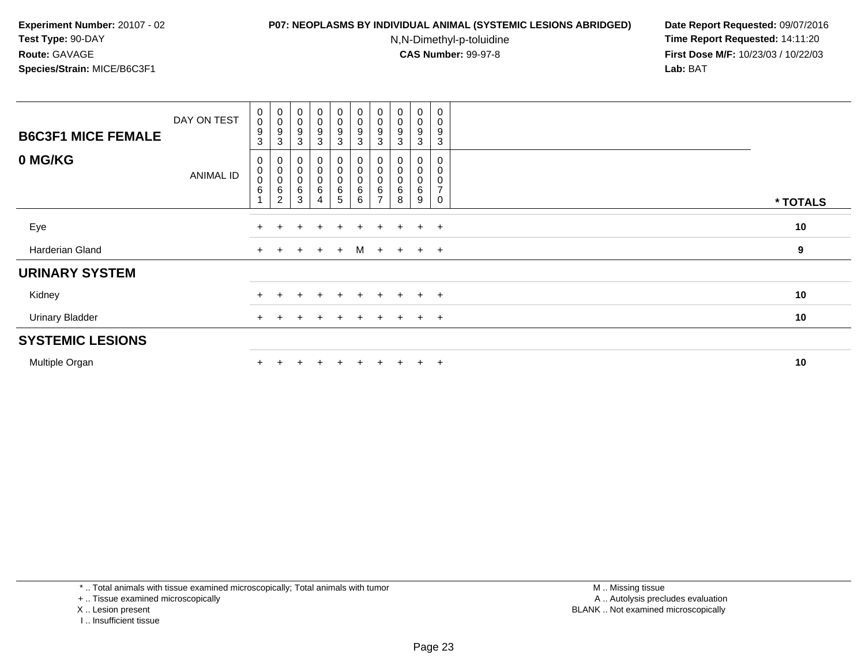#### **P07: NEOPLASMS BY INDIVIDUAL ANIMAL (SYSTEMIC LESIONS ABRIDGED) Date Report Requested:** 09/07/2016

N,N-Dimethyl-p-toluidine

 **Time Report Requested:** 14:11:20 **First Dose M/F:** 10/23/03 / 10/22/03<br>**Lab:** BAT **Lab:** BAT

| <b>B6C3F1 MICE FEMALE</b> | DAY ON TEST | $\begin{smallmatrix}0\0\0\9\end{smallmatrix}$<br>$\sqrt{3}$   | $\begin{smallmatrix}0\\0\\9\end{smallmatrix}$<br>$\ensuremath{\mathsf{3}}$ | $\begin{smallmatrix}0\0\0\9\end{smallmatrix}$<br>$\mathbf{3}$          | $\begin{smallmatrix}0\0\0\9\end{smallmatrix}$<br>$\mathbf{3}$ | 0<br>0<br>9<br>3                | $\begin{smallmatrix}0\\0\end{smallmatrix}$<br>9<br>$\sqrt{3}$ | $_0^0$<br>$\boldsymbol{9}$<br>3                        | O<br>0<br>9<br>3 | $_{\rm 0}^{\rm 0}$<br>$\boldsymbol{9}$<br>3         | 0<br>0<br>9<br>3                             |          |
|---------------------------|-------------|---------------------------------------------------------------|----------------------------------------------------------------------------|------------------------------------------------------------------------|---------------------------------------------------------------|---------------------------------|---------------------------------------------------------------|--------------------------------------------------------|------------------|-----------------------------------------------------|----------------------------------------------|----------|
| 0 MG/KG                   | ANIMAL ID   | $\pmb{0}$<br>$\begin{smallmatrix}0\0\0\end{smallmatrix}$<br>6 | $\begin{smallmatrix}0\\0\\0\end{smallmatrix}$<br>$\,6\,$<br>$\overline{c}$ | $\begin{smallmatrix}0\\0\\0\end{smallmatrix}$<br>$\,6$<br>$\mathbf{3}$ | $\begin{matrix} 0 \\ 0 \\ 0 \end{matrix}$<br>$\,6\,$<br>4     | 0<br>0<br>$\mathbf 0$<br>6<br>5 | 0<br>$\pmb{0}$<br>$\pmb{0}$<br>6<br>6                         | $_{\rm 0}^{\rm 0}$<br>$\pmb{0}$<br>6<br>$\overline{ }$ | 0<br>0<br>6<br>8 | $\pmb{0}$<br>$\pmb{0}$<br>$\pmb{0}$<br>$\,6\,$<br>9 | 0<br>0<br>0<br>$\overline{\phantom{a}}$<br>0 | * TOTALS |
|                           |             |                                                               |                                                                            |                                                                        |                                                               |                                 |                                                               |                                                        |                  |                                                     |                                              |          |
| Eye                       |             |                                                               |                                                                            |                                                                        |                                                               |                                 |                                                               | $\pm$                                                  | $+$              |                                                     | $+$                                          | 10       |
| Harderian Gland           |             | $+$                                                           | $+$                                                                        | $+$                                                                    | $+$                                                           | $+$                             |                                                               |                                                        | $M + + + + +$    |                                                     |                                              | 9        |
| <b>URINARY SYSTEM</b>     |             |                                                               |                                                                            |                                                                        |                                                               |                                 |                                                               |                                                        |                  |                                                     |                                              |          |
| Kidney                    |             | $+$                                                           |                                                                            |                                                                        | ÷                                                             | $\ddot{}$                       | $+$                                                           | $+$                                                    | $+$              |                                                     | $+$ $+$                                      | 10       |
| <b>Urinary Bladder</b>    |             | $+$                                                           |                                                                            |                                                                        |                                                               | $\ddot{}$                       | $+$                                                           | $+$                                                    | $+$              |                                                     | $+$ $+$                                      | 10       |
| <b>SYSTEMIC LESIONS</b>   |             |                                                               |                                                                            |                                                                        |                                                               |                                 |                                                               |                                                        |                  |                                                     |                                              |          |
| Multiple Organ            |             |                                                               |                                                                            |                                                                        |                                                               | $\div$                          | $+$                                                           | $+$                                                    | $+$              |                                                     | $+$ $+$                                      | 10       |

\* .. Total animals with tissue examined microscopically; Total animals with tumor

+ .. Tissue examined microscopically

- X .. Lesion present
- I .. Insufficient tissue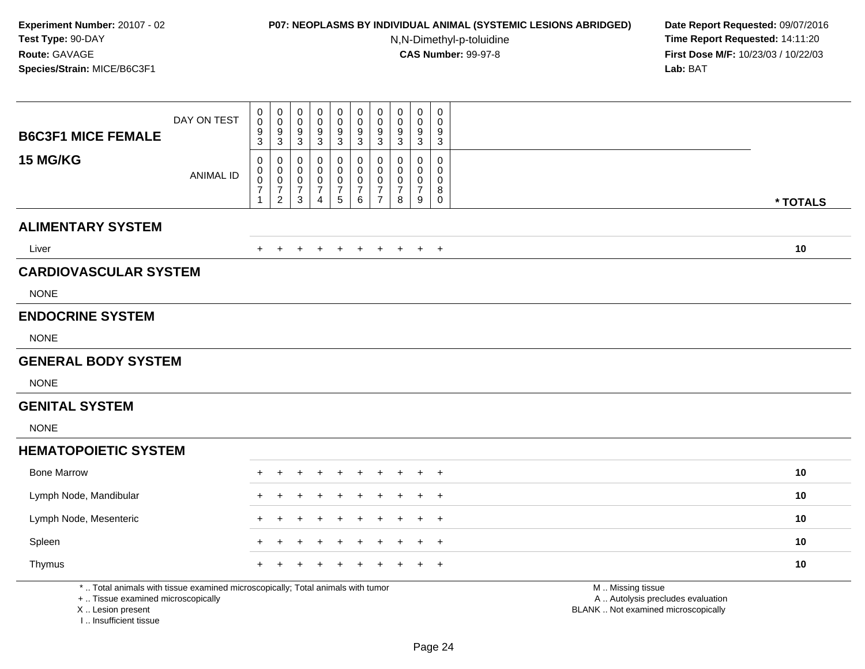# **P07: NEOPLASMS BY INDIVIDUAL ANIMAL (SYSTEMIC LESIONS ABRIDGED) Date Report Requested:** 09/07/2016

N,N-Dimethyl-p-toluidine

| <b>B6C3F1 MICE FEMALE</b>                                                                                                                                           | DAY ON TEST      | 0<br>$\pmb{0}$<br>9<br>3                                        | $\boldsymbol{0}$<br>$\mathbf 0$<br>9<br>$\mathsf 3$                           | $\mathbf 0$<br>0<br>9<br>3                   | $\pmb{0}$<br>0<br>9<br>$\mathbf{3}$                               | $\pmb{0}$<br>$\mathbf 0$<br>$\boldsymbol{9}$<br>$\mathfrak{S}$                | $\pmb{0}$<br>$\pmb{0}$<br>$\boldsymbol{9}$<br>$\mathbf{3}$ | $\mathbf 0$<br>$\mathbf 0$<br>$9\,$<br>$\mathbf{3}$                           | $\pmb{0}$<br>0<br>9<br>3           | $\mathbf 0$<br>0<br>$9\,$<br>$\mathbf{3}$                                     | $\mathbf 0$<br>$\Omega$<br>9<br>$\mathbf{3}$     |                                                                                               |
|---------------------------------------------------------------------------------------------------------------------------------------------------------------------|------------------|-----------------------------------------------------------------|-------------------------------------------------------------------------------|----------------------------------------------|-------------------------------------------------------------------|-------------------------------------------------------------------------------|------------------------------------------------------------|-------------------------------------------------------------------------------|------------------------------------|-------------------------------------------------------------------------------|--------------------------------------------------|-----------------------------------------------------------------------------------------------|
| 15 MG/KG                                                                                                                                                            | <b>ANIMAL ID</b> | 0<br>$\pmb{0}$<br>$\mathbf 0$<br>$\overline{7}$<br>$\mathbf{1}$ | $\pmb{0}$<br>$\mathbf 0$<br>$\mathbf 0$<br>$\boldsymbol{7}$<br>$\overline{2}$ | 0<br>0<br>$\mathbf 0$<br>$\overline{7}$<br>3 | 0<br>$\mathbf 0$<br>$\pmb{0}$<br>$\overline{7}$<br>$\overline{4}$ | $\mathbf 0$<br>$\mathsf 0$<br>${\bf 0}$<br>$\boldsymbol{7}$<br>$\overline{5}$ | $\pmb{0}$<br>$\mathbf 0$<br>$\frac{0}{7}$<br>$\,6\,$       | $\mathbf 0$<br>$\mathbf 0$<br>$\mathbf 0$<br>$\overline{7}$<br>$\overline{7}$ | 0<br>0<br>0<br>$\overline{7}$<br>8 | $\mathbf 0$<br>$\mathbf 0$<br>$\pmb{0}$<br>$\overline{7}$<br>$\boldsymbol{9}$ | 0<br>$\Omega$<br>$\mathbf 0$<br>8<br>$\mathbf 0$ | * TOTALS                                                                                      |
| <b>ALIMENTARY SYSTEM</b>                                                                                                                                            |                  |                                                                 |                                                                               |                                              |                                                                   |                                                                               |                                                            |                                                                               |                                    |                                                                               |                                                  |                                                                                               |
| Liver                                                                                                                                                               |                  |                                                                 |                                                                               | $\ddot{}$                                    |                                                                   | $\div$                                                                        | $\pm$                                                      | $\pm$                                                                         | $\pm$                              | $+$                                                                           | $+$                                              | 10                                                                                            |
| <b>CARDIOVASCULAR SYSTEM</b>                                                                                                                                        |                  |                                                                 |                                                                               |                                              |                                                                   |                                                                               |                                                            |                                                                               |                                    |                                                                               |                                                  |                                                                                               |
| <b>NONE</b>                                                                                                                                                         |                  |                                                                 |                                                                               |                                              |                                                                   |                                                                               |                                                            |                                                                               |                                    |                                                                               |                                                  |                                                                                               |
| <b>ENDOCRINE SYSTEM</b>                                                                                                                                             |                  |                                                                 |                                                                               |                                              |                                                                   |                                                                               |                                                            |                                                                               |                                    |                                                                               |                                                  |                                                                                               |
| <b>NONE</b>                                                                                                                                                         |                  |                                                                 |                                                                               |                                              |                                                                   |                                                                               |                                                            |                                                                               |                                    |                                                                               |                                                  |                                                                                               |
| <b>GENERAL BODY SYSTEM</b>                                                                                                                                          |                  |                                                                 |                                                                               |                                              |                                                                   |                                                                               |                                                            |                                                                               |                                    |                                                                               |                                                  |                                                                                               |
| <b>NONE</b>                                                                                                                                                         |                  |                                                                 |                                                                               |                                              |                                                                   |                                                                               |                                                            |                                                                               |                                    |                                                                               |                                                  |                                                                                               |
| <b>GENITAL SYSTEM</b>                                                                                                                                               |                  |                                                                 |                                                                               |                                              |                                                                   |                                                                               |                                                            |                                                                               |                                    |                                                                               |                                                  |                                                                                               |
| <b>NONE</b>                                                                                                                                                         |                  |                                                                 |                                                                               |                                              |                                                                   |                                                                               |                                                            |                                                                               |                                    |                                                                               |                                                  |                                                                                               |
| <b>HEMATOPOIETIC SYSTEM</b>                                                                                                                                         |                  |                                                                 |                                                                               |                                              |                                                                   |                                                                               |                                                            |                                                                               |                                    |                                                                               |                                                  |                                                                                               |
| <b>Bone Marrow</b>                                                                                                                                                  |                  |                                                                 |                                                                               |                                              |                                                                   |                                                                               |                                                            |                                                                               |                                    |                                                                               | $\overline{1}$                                   | 10                                                                                            |
| Lymph Node, Mandibular                                                                                                                                              |                  |                                                                 |                                                                               |                                              |                                                                   |                                                                               |                                                            |                                                                               |                                    |                                                                               | $\overline{1}$                                   | 10                                                                                            |
| Lymph Node, Mesenteric                                                                                                                                              |                  |                                                                 |                                                                               |                                              |                                                                   |                                                                               |                                                            |                                                                               |                                    |                                                                               | $\div$                                           | 10                                                                                            |
| Spleen                                                                                                                                                              |                  |                                                                 |                                                                               |                                              |                                                                   |                                                                               |                                                            |                                                                               |                                    |                                                                               | $\pm$                                            | 10                                                                                            |
| Thymus                                                                                                                                                              |                  |                                                                 |                                                                               |                                              |                                                                   |                                                                               |                                                            |                                                                               |                                    |                                                                               | $\overline{ }$                                   | 10                                                                                            |
| *  Total animals with tissue examined microscopically; Total animals with tumor<br>+  Tissue examined microscopically<br>X  Lesion present<br>I Insufficient tissue |                  |                                                                 |                                                                               |                                              |                                                                   |                                                                               |                                                            |                                                                               |                                    |                                                                               |                                                  | M  Missing tissue<br>A  Autolysis precludes evaluation<br>BLANK  Not examined microscopically |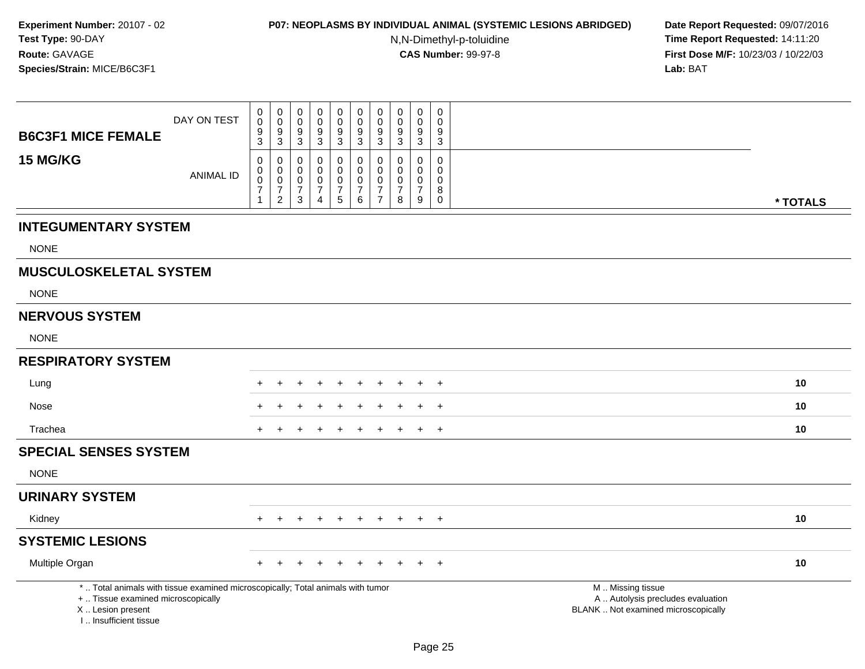### **P07: NEOPLASMS BY INDIVIDUAL ANIMAL (SYSTEMIC LESIONS ABRIDGED) Date Report Requested:** 09/07/2016

N,N-Dimethyl-p-toluidine

|                                                                                                                                                                     | DAY ON TEST      | $\mathbf 0$<br>$\mathbf 0$<br>$\boldsymbol{9}$              | $\pmb{0}$<br>$\pmb{0}$<br>$\boldsymbol{9}$                        | $\mathbf 0$<br>$\mathbf 0$<br>$9\,$               | 0<br>$\mathbf 0$<br>9                            | $\pmb{0}$<br>$\pmb{0}$<br>$\boldsymbol{9}$                | $\pmb{0}$<br>$\mathsf 0$<br>$\boldsymbol{9}$      | $\pmb{0}$<br>$\mathbf 0$<br>9           | $\pmb{0}$<br>$\mathbf 0$<br>$9\,$       | $\mathbf 0$<br>$\mathbf 0$<br>9                          | $\mathbf 0$<br>$\mathbf 0$<br>9             |                                                                                               |          |
|---------------------------------------------------------------------------------------------------------------------------------------------------------------------|------------------|-------------------------------------------------------------|-------------------------------------------------------------------|---------------------------------------------------|--------------------------------------------------|-----------------------------------------------------------|---------------------------------------------------|-----------------------------------------|-----------------------------------------|----------------------------------------------------------|---------------------------------------------|-----------------------------------------------------------------------------------------------|----------|
| <b>B6C3F1 MICE FEMALE</b>                                                                                                                                           |                  | 3                                                           | $\mathbf{3}$                                                      | 3                                                 | $\sqrt{3}$                                       | $\mathbf{3}$                                              | $\mathbf{3}$                                      | $\mathbf{3}$                            | $\sqrt{3}$                              | $\mathbf{3}$                                             | $\mathbf{3}$                                |                                                                                               |          |
| 15 MG/KG                                                                                                                                                            | <b>ANIMAL ID</b> | $\mathbf 0$<br>$\mathbf 0$<br>$\mathbf 0$<br>$\overline{7}$ | $\mathbf 0$<br>$\pmb{0}$<br>$\mathsf{O}\xspace$<br>$\overline{7}$ | 0<br>$\mathbf 0$<br>$\mathbf 0$<br>$\overline{7}$ | 0<br>$\Omega$<br>$\mathbf 0$<br>$\boldsymbol{7}$ | 0<br>$\mathbf 0$<br>$\mathsf{O}\xspace$<br>$\overline{7}$ | 0<br>$\mathbf 0$<br>$\mathbf 0$<br>$\overline{7}$ | 0<br>$\mathbf 0$<br>0<br>$\overline{7}$ | 0<br>$\mathbf 0$<br>0<br>$\overline{7}$ | $\mathbf 0$<br>$\Omega$<br>$\mathbf 0$<br>$\overline{7}$ | $\mathbf 0$<br>$\Omega$<br>$\mathbf 0$<br>8 |                                                                                               |          |
|                                                                                                                                                                     |                  | $\mathbf{1}$                                                | $\overline{2}$                                                    | $\sqrt{3}$                                        | 4                                                | 5                                                         | $6\phantom{1}6$                                   | $\overline{7}$                          | 8                                       | 9                                                        | $\mathbf 0$                                 |                                                                                               | * TOTALS |
| <b>INTEGUMENTARY SYSTEM</b>                                                                                                                                         |                  |                                                             |                                                                   |                                                   |                                                  |                                                           |                                                   |                                         |                                         |                                                          |                                             |                                                                                               |          |
| <b>NONE</b>                                                                                                                                                         |                  |                                                             |                                                                   |                                                   |                                                  |                                                           |                                                   |                                         |                                         |                                                          |                                             |                                                                                               |          |
| <b>MUSCULOSKELETAL SYSTEM</b>                                                                                                                                       |                  |                                                             |                                                                   |                                                   |                                                  |                                                           |                                                   |                                         |                                         |                                                          |                                             |                                                                                               |          |
| <b>NONE</b>                                                                                                                                                         |                  |                                                             |                                                                   |                                                   |                                                  |                                                           |                                                   |                                         |                                         |                                                          |                                             |                                                                                               |          |
| <b>NERVOUS SYSTEM</b>                                                                                                                                               |                  |                                                             |                                                                   |                                                   |                                                  |                                                           |                                                   |                                         |                                         |                                                          |                                             |                                                                                               |          |
| <b>NONE</b>                                                                                                                                                         |                  |                                                             |                                                                   |                                                   |                                                  |                                                           |                                                   |                                         |                                         |                                                          |                                             |                                                                                               |          |
| <b>RESPIRATORY SYSTEM</b>                                                                                                                                           |                  |                                                             |                                                                   |                                                   |                                                  |                                                           |                                                   |                                         |                                         |                                                          |                                             |                                                                                               |          |
| Lung                                                                                                                                                                |                  |                                                             |                                                                   |                                                   |                                                  |                                                           |                                                   |                                         |                                         |                                                          | $+$                                         |                                                                                               | 10       |
| Nose                                                                                                                                                                |                  |                                                             |                                                                   |                                                   |                                                  |                                                           |                                                   |                                         |                                         |                                                          | $\ddot{}$                                   |                                                                                               | 10       |
| Trachea                                                                                                                                                             |                  |                                                             |                                                                   |                                                   |                                                  |                                                           |                                                   |                                         |                                         |                                                          | $+$                                         |                                                                                               | 10       |
| <b>SPECIAL SENSES SYSTEM</b>                                                                                                                                        |                  |                                                             |                                                                   |                                                   |                                                  |                                                           |                                                   |                                         |                                         |                                                          |                                             |                                                                                               |          |
| <b>NONE</b>                                                                                                                                                         |                  |                                                             |                                                                   |                                                   |                                                  |                                                           |                                                   |                                         |                                         |                                                          |                                             |                                                                                               |          |
| <b>URINARY SYSTEM</b>                                                                                                                                               |                  |                                                             |                                                                   |                                                   |                                                  |                                                           |                                                   |                                         |                                         |                                                          |                                             |                                                                                               |          |
| Kidney                                                                                                                                                              |                  |                                                             |                                                                   |                                                   |                                                  |                                                           |                                                   |                                         |                                         | $\pm$                                                    | $+$                                         |                                                                                               | 10       |
| <b>SYSTEMIC LESIONS</b>                                                                                                                                             |                  |                                                             |                                                                   |                                                   |                                                  |                                                           |                                                   |                                         |                                         |                                                          |                                             |                                                                                               |          |
| Multiple Organ                                                                                                                                                      |                  |                                                             |                                                                   |                                                   |                                                  |                                                           |                                                   |                                         |                                         |                                                          | $+$                                         |                                                                                               | 10       |
| *  Total animals with tissue examined microscopically; Total animals with tumor<br>+  Tissue examined microscopically<br>X  Lesion present<br>I Insufficient tissue |                  |                                                             |                                                                   |                                                   |                                                  |                                                           |                                                   |                                         |                                         |                                                          |                                             | M  Missing tissue<br>A  Autolysis precludes evaluation<br>BLANK  Not examined microscopically |          |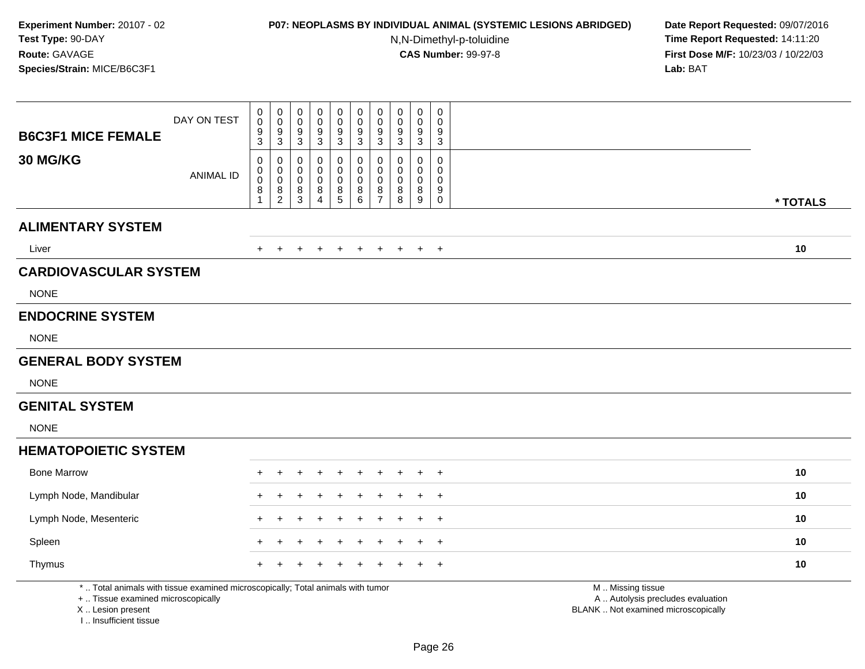# **P07: NEOPLASMS BY INDIVIDUAL ANIMAL (SYSTEMIC LESIONS ABRIDGED) Date Report Requested:** 09/07/2016

N,N-Dimethyl-p-toluidine

| <b>B6C3F1 MICE FEMALE</b>                                                                                                                                           | DAY ON TEST      | 0<br>$\pmb{0}$<br>9<br>3                   | $\boldsymbol{0}$<br>$\mathsf{O}\xspace$<br>$\boldsymbol{9}$<br>$\mathbf{3}$ | $\boldsymbol{0}$<br>$\mathbf 0$<br>9<br>$\mathfrak{S}$    | $\pmb{0}$<br>0<br>9<br>3                   | $\pmb{0}$<br>$\mathbf 0$<br>$\boldsymbol{9}$<br>$\mathsf 3$                    | $\pmb{0}$<br>0<br>9<br>$\mathbf{3}$                             | $\pmb{0}$<br>$\mathbf 0$<br>$9\,$<br>$\mathbf 3$               | $\pmb{0}$<br>$\mathbf 0$<br>$9\,$<br>3 | $\mathbf 0$<br>0<br>9<br>$\mathbf{3}$                       | 0<br>$\mathbf 0$<br>9<br>3                                          |                                                                                               |
|---------------------------------------------------------------------------------------------------------------------------------------------------------------------|------------------|--------------------------------------------|-----------------------------------------------------------------------------|-----------------------------------------------------------|--------------------------------------------|--------------------------------------------------------------------------------|-----------------------------------------------------------------|----------------------------------------------------------------|----------------------------------------|-------------------------------------------------------------|---------------------------------------------------------------------|-----------------------------------------------------------------------------------------------|
| 30 MG/KG                                                                                                                                                            | <b>ANIMAL ID</b> | 0<br>0<br>$\mathsf 0$<br>8<br>$\mathbf{1}$ | $\pmb{0}$<br>$\overline{0}$<br>0<br>$\frac{8}{2}$                           | $\pmb{0}$<br>$\mathbf 0$<br>$\mathsf{O}\xspace$<br>$^8_3$ | 0<br>0<br>$\pmb{0}$<br>8<br>$\overline{4}$ | $\pmb{0}$<br>$\mathbf 0$<br>$\pmb{0}$<br>$\begin{array}{c} 8 \\ 5 \end{array}$ | 0<br>$\mathbf 0$<br>$\mathsf{O}\xspace$<br>8<br>$6\overline{6}$ | $\mathbf 0$<br>$\pmb{0}$<br>$\mathbf 0$<br>8<br>$\overline{7}$ | 0<br>0<br>$\mathbf 0$<br>8<br>8        | 0<br>$\mathbf 0$<br>$\mathsf{O}\xspace$<br>8<br>$\mathsf g$ | $\mathsf{O}\xspace$<br>$\mathbf 0$<br>$\pmb{0}$<br>9<br>$\mathbf 0$ | * TOTALS                                                                                      |
| <b>ALIMENTARY SYSTEM</b>                                                                                                                                            |                  |                                            |                                                                             |                                                           |                                            |                                                                                |                                                                 |                                                                |                                        |                                                             |                                                                     |                                                                                               |
| Liver                                                                                                                                                               |                  |                                            |                                                                             | $\pm$                                                     | $\div$                                     |                                                                                | $\overline{+}$                                                  | $\pm$                                                          | $\pm$                                  | $+$                                                         | $+$                                                                 | 10                                                                                            |
| <b>CARDIOVASCULAR SYSTEM</b>                                                                                                                                        |                  |                                            |                                                                             |                                                           |                                            |                                                                                |                                                                 |                                                                |                                        |                                                             |                                                                     |                                                                                               |
| <b>NONE</b>                                                                                                                                                         |                  |                                            |                                                                             |                                                           |                                            |                                                                                |                                                                 |                                                                |                                        |                                                             |                                                                     |                                                                                               |
| <b>ENDOCRINE SYSTEM</b>                                                                                                                                             |                  |                                            |                                                                             |                                                           |                                            |                                                                                |                                                                 |                                                                |                                        |                                                             |                                                                     |                                                                                               |
| <b>NONE</b>                                                                                                                                                         |                  |                                            |                                                                             |                                                           |                                            |                                                                                |                                                                 |                                                                |                                        |                                                             |                                                                     |                                                                                               |
| <b>GENERAL BODY SYSTEM</b>                                                                                                                                          |                  |                                            |                                                                             |                                                           |                                            |                                                                                |                                                                 |                                                                |                                        |                                                             |                                                                     |                                                                                               |
| <b>NONE</b>                                                                                                                                                         |                  |                                            |                                                                             |                                                           |                                            |                                                                                |                                                                 |                                                                |                                        |                                                             |                                                                     |                                                                                               |
| <b>GENITAL SYSTEM</b>                                                                                                                                               |                  |                                            |                                                                             |                                                           |                                            |                                                                                |                                                                 |                                                                |                                        |                                                             |                                                                     |                                                                                               |
| <b>NONE</b>                                                                                                                                                         |                  |                                            |                                                                             |                                                           |                                            |                                                                                |                                                                 |                                                                |                                        |                                                             |                                                                     |                                                                                               |
| <b>HEMATOPOIETIC SYSTEM</b>                                                                                                                                         |                  |                                            |                                                                             |                                                           |                                            |                                                                                |                                                                 |                                                                |                                        |                                                             |                                                                     |                                                                                               |
| <b>Bone Marrow</b>                                                                                                                                                  |                  |                                            |                                                                             |                                                           |                                            |                                                                                |                                                                 |                                                                |                                        |                                                             | $\overline{+}$                                                      | 10                                                                                            |
| Lymph Node, Mandibular                                                                                                                                              |                  |                                            |                                                                             |                                                           |                                            |                                                                                |                                                                 |                                                                |                                        |                                                             | $\ddot{}$                                                           | 10                                                                                            |
| Lymph Node, Mesenteric                                                                                                                                              |                  |                                            |                                                                             |                                                           |                                            |                                                                                |                                                                 |                                                                |                                        |                                                             | $\ddot{}$                                                           | 10                                                                                            |
| Spleen                                                                                                                                                              |                  |                                            |                                                                             |                                                           |                                            |                                                                                |                                                                 |                                                                |                                        |                                                             | $\pm$                                                               | 10                                                                                            |
| Thymus                                                                                                                                                              |                  |                                            |                                                                             |                                                           |                                            |                                                                                |                                                                 |                                                                |                                        |                                                             | $\overline{ }$                                                      | 10                                                                                            |
| *  Total animals with tissue examined microscopically; Total animals with tumor<br>+  Tissue examined microscopically<br>X  Lesion present<br>I Insufficient tissue |                  |                                            |                                                                             |                                                           |                                            |                                                                                |                                                                 |                                                                |                                        |                                                             |                                                                     | M  Missing tissue<br>A  Autolysis precludes evaluation<br>BLANK  Not examined microscopically |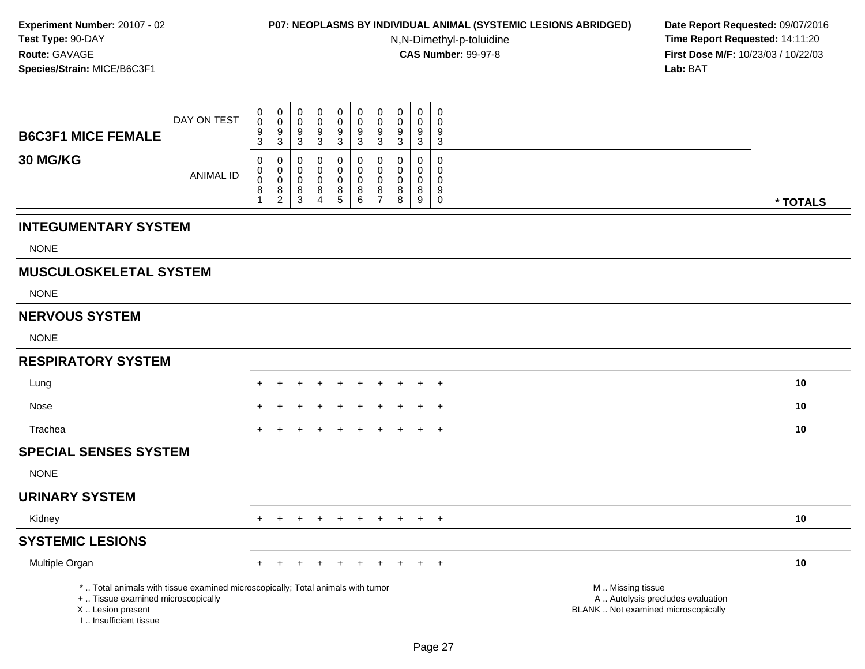### **P07: NEOPLASMS BY INDIVIDUAL ANIMAL (SYSTEMIC LESIONS ABRIDGED) Date Report Requested:** 09/07/2016

N,N-Dimethyl-p-toluidine

|                                                                                                                                                                       | DAY ON TEST      | $\pmb{0}$<br>$\mathbf 0$<br>$\boldsymbol{9}$ | $\pmb{0}$<br>$\pmb{0}$<br>$\boldsymbol{9}$      | $\mathbf 0$<br>$\mathbf 0$<br>$9\,$ | $\mathbf 0$<br>$\mathbf 0$<br>9 | $\pmb{0}$<br>$\pmb{0}$<br>9 | $\pmb{0}$<br>$\mathbf 0$<br>$\boldsymbol{9}$ | $\pmb{0}$<br>$\mathbf 0$<br>9   | $\mathbf 0$<br>$\mathbf 0$ | $\pmb{0}$<br>$\mathbf 0$<br>$9\,$         | $\mathbf 0$<br>$\mathbf 0$<br>9           |                                                                                               |          |
|-----------------------------------------------------------------------------------------------------------------------------------------------------------------------|------------------|----------------------------------------------|-------------------------------------------------|-------------------------------------|---------------------------------|-----------------------------|----------------------------------------------|---------------------------------|----------------------------|-------------------------------------------|-------------------------------------------|-----------------------------------------------------------------------------------------------|----------|
| <b>B6C3F1 MICE FEMALE</b>                                                                                                                                             |                  | 3                                            | $\mathbf{3}$                                    | 3                                   | $\mathbf{3}$                    | 3                           | $\mathbf{3}$                                 | $\sqrt{3}$                      | $\frac{9}{3}$              | $\mathbf{3}$                              | $\mathbf{3}$                              |                                                                                               |          |
| <b>30 MG/KG</b>                                                                                                                                                       | <b>ANIMAL ID</b> | 0<br>$\mathbf 0$<br>$\mathbf 0$              | $\mathbf 0$<br>$\pmb{0}$<br>$\mathsf{O}\xspace$ | 0<br>0<br>$\mathbf 0$               | 0<br>0<br>$\mathbf 0$           | 0<br>0<br>$\mathbf 0$       | 0<br>$\mathbf 0$<br>$\mathbf 0$              | $\mathbf 0$<br>$\mathbf 0$<br>0 | 0<br>0<br>$\mathbf 0$      | $\mathbf 0$<br>$\mathbf 0$<br>$\mathbf 0$ | $\mathbf 0$<br>$\mathbf 0$<br>$\mathbf 0$ |                                                                                               |          |
|                                                                                                                                                                       |                  | 8<br>-1                                      | 8<br>$\sqrt{2}$                                 | 8<br>$\mathbf{3}$                   | 8<br>4                          | 8<br>5                      | 8<br>$\,6\,$                                 | 8<br>$\overline{7}$             | 8<br>8                     | 8<br>9                                    | $9\,$<br>$\mathbf 0$                      |                                                                                               | * TOTALS |
|                                                                                                                                                                       |                  |                                              |                                                 |                                     |                                 |                             |                                              |                                 |                            |                                           |                                           |                                                                                               |          |
| <b>INTEGUMENTARY SYSTEM</b>                                                                                                                                           |                  |                                              |                                                 |                                     |                                 |                             |                                              |                                 |                            |                                           |                                           |                                                                                               |          |
| <b>NONE</b>                                                                                                                                                           |                  |                                              |                                                 |                                     |                                 |                             |                                              |                                 |                            |                                           |                                           |                                                                                               |          |
| <b>MUSCULOSKELETAL SYSTEM</b>                                                                                                                                         |                  |                                              |                                                 |                                     |                                 |                             |                                              |                                 |                            |                                           |                                           |                                                                                               |          |
| <b>NONE</b>                                                                                                                                                           |                  |                                              |                                                 |                                     |                                 |                             |                                              |                                 |                            |                                           |                                           |                                                                                               |          |
| <b>NERVOUS SYSTEM</b>                                                                                                                                                 |                  |                                              |                                                 |                                     |                                 |                             |                                              |                                 |                            |                                           |                                           |                                                                                               |          |
| <b>NONE</b>                                                                                                                                                           |                  |                                              |                                                 |                                     |                                 |                             |                                              |                                 |                            |                                           |                                           |                                                                                               |          |
| <b>RESPIRATORY SYSTEM</b>                                                                                                                                             |                  |                                              |                                                 |                                     |                                 |                             |                                              |                                 |                            |                                           |                                           |                                                                                               |          |
| Lung                                                                                                                                                                  |                  |                                              |                                                 |                                     |                                 |                             |                                              | $\div$                          |                            | ÷                                         | $+$                                       |                                                                                               | 10       |
| Nose                                                                                                                                                                  |                  |                                              |                                                 |                                     |                                 |                             |                                              |                                 |                            |                                           | $\ddot{}$                                 |                                                                                               | 10       |
| Trachea                                                                                                                                                               |                  |                                              |                                                 |                                     |                                 |                             |                                              |                                 |                            |                                           | $+$                                       |                                                                                               | 10       |
| <b>SPECIAL SENSES SYSTEM</b>                                                                                                                                          |                  |                                              |                                                 |                                     |                                 |                             |                                              |                                 |                            |                                           |                                           |                                                                                               |          |
| <b>NONE</b>                                                                                                                                                           |                  |                                              |                                                 |                                     |                                 |                             |                                              |                                 |                            |                                           |                                           |                                                                                               |          |
| <b>URINARY SYSTEM</b>                                                                                                                                                 |                  |                                              |                                                 |                                     |                                 |                             |                                              |                                 |                            |                                           |                                           |                                                                                               |          |
| Kidney                                                                                                                                                                |                  |                                              |                                                 |                                     |                                 |                             |                                              |                                 |                            | $+$                                       | $+$                                       |                                                                                               | 10       |
| <b>SYSTEMIC LESIONS</b>                                                                                                                                               |                  |                                              |                                                 |                                     |                                 |                             |                                              |                                 |                            |                                           |                                           |                                                                                               |          |
| Multiple Organ                                                                                                                                                        |                  |                                              |                                                 |                                     |                                 |                             |                                              |                                 |                            |                                           | $+$                                       |                                                                                               | 10       |
| *  Total animals with tissue examined microscopically; Total animals with tumor<br>+  Tissue examined microscopically<br>X  Lesion present<br>I., Insufficient tissue |                  |                                              |                                                 |                                     |                                 |                             |                                              |                                 |                            |                                           |                                           | M  Missing tissue<br>A  Autolysis precludes evaluation<br>BLANK  Not examined microscopically |          |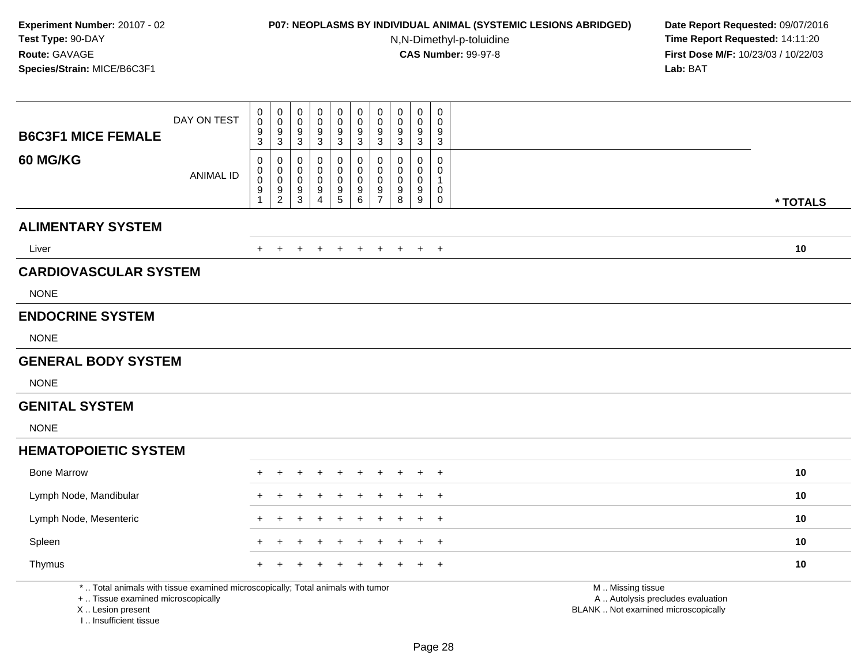# **P07: NEOPLASMS BY INDIVIDUAL ANIMAL (SYSTEMIC LESIONS ABRIDGED) Date Report Requested:** 09/07/2016

N,N-Dimethyl-p-toluidine

| <b>B6C3F1 MICE FEMALE</b>                                                                                                                                           | DAY ON TEST      | $\,0\,$<br>$\pmb{0}$<br>9<br>3 | $\pmb{0}$<br>$\pmb{0}$<br>$\frac{9}{3}$                   | $\pmb{0}$<br>$\mathbf 0$<br>$\boldsymbol{9}$<br>$\overline{3}$ | $\pmb{0}$<br>0<br>9<br>3           | $\mathsf 0$<br>$\pmb{0}$<br>$\boldsymbol{9}$<br>$\overline{3}$                   | $\pmb{0}$<br>$\mathsf 0$<br>$\boldsymbol{9}$<br>$\mathbf{3}$ | $\pmb{0}$<br>$\pmb{0}$<br>$9\,$<br>$\mathbf 3$                       | $\pmb{0}$<br>$\mathbf 0$<br>9<br>3        | $\mathbf 0$<br>$\mathbf 0$<br>9<br>$\overline{3}$                  | $\pmb{0}$<br>$\Omega$<br>9<br>$\mathbf{3}$                     |                                                                                               |
|---------------------------------------------------------------------------------------------------------------------------------------------------------------------|------------------|--------------------------------|-----------------------------------------------------------|----------------------------------------------------------------|------------------------------------|----------------------------------------------------------------------------------|--------------------------------------------------------------|----------------------------------------------------------------------|-------------------------------------------|--------------------------------------------------------------------|----------------------------------------------------------------|-----------------------------------------------------------------------------------------------|
| 60 MG/KG                                                                                                                                                            | <b>ANIMAL ID</b> | 0<br>0<br>$\mathsf 0$<br>9     | 0<br>$\mathsf{O}$<br>$\ddot{\mathbf{0}}$<br>$\frac{9}{2}$ | 0<br>$\mathbf 0$<br>$\mathbf 0$<br>$\frac{9}{3}$               | 0<br>0<br>0<br>9<br>$\overline{4}$ | 0<br>$\mathbf 0$<br>$\mathsf{O}\xspace$<br>$\begin{array}{c} 9 \\ 5 \end{array}$ | 0<br>$\mathbf 0$<br>$\mathsf{O}\xspace$<br>$^9$ 6            | $\mathbf 0$<br>$\mathbf 0$<br>$\mathbf 0$<br>$9\,$<br>$\overline{7}$ | 0<br>$\mathbf 0$<br>$\mathbf 0$<br>9<br>8 | 0<br>$\mathbf 0$<br>$\mathsf{O}\xspace$<br>$9\,$<br>$\overline{9}$ | 0<br>$\mathbf 0$<br>$\mathbf{1}$<br>$\mathbf 0$<br>$\mathbf 0$ | * TOTALS                                                                                      |
| <b>ALIMENTARY SYSTEM</b>                                                                                                                                            |                  |                                |                                                           |                                                                |                                    |                                                                                  |                                                              |                                                                      |                                           |                                                                    |                                                                |                                                                                               |
| Liver                                                                                                                                                               |                  |                                |                                                           | $\pm$                                                          | $\pm$                              |                                                                                  | $\pm$                                                        |                                                                      |                                           | $+$                                                                | $+$                                                            | 10                                                                                            |
| <b>CARDIOVASCULAR SYSTEM</b>                                                                                                                                        |                  |                                |                                                           |                                                                |                                    |                                                                                  |                                                              |                                                                      |                                           |                                                                    |                                                                |                                                                                               |
| <b>NONE</b>                                                                                                                                                         |                  |                                |                                                           |                                                                |                                    |                                                                                  |                                                              |                                                                      |                                           |                                                                    |                                                                |                                                                                               |
| <b>ENDOCRINE SYSTEM</b>                                                                                                                                             |                  |                                |                                                           |                                                                |                                    |                                                                                  |                                                              |                                                                      |                                           |                                                                    |                                                                |                                                                                               |
| <b>NONE</b>                                                                                                                                                         |                  |                                |                                                           |                                                                |                                    |                                                                                  |                                                              |                                                                      |                                           |                                                                    |                                                                |                                                                                               |
| <b>GENERAL BODY SYSTEM</b>                                                                                                                                          |                  |                                |                                                           |                                                                |                                    |                                                                                  |                                                              |                                                                      |                                           |                                                                    |                                                                |                                                                                               |
| <b>NONE</b>                                                                                                                                                         |                  |                                |                                                           |                                                                |                                    |                                                                                  |                                                              |                                                                      |                                           |                                                                    |                                                                |                                                                                               |
| <b>GENITAL SYSTEM</b>                                                                                                                                               |                  |                                |                                                           |                                                                |                                    |                                                                                  |                                                              |                                                                      |                                           |                                                                    |                                                                |                                                                                               |
| <b>NONE</b>                                                                                                                                                         |                  |                                |                                                           |                                                                |                                    |                                                                                  |                                                              |                                                                      |                                           |                                                                    |                                                                |                                                                                               |
| <b>HEMATOPOIETIC SYSTEM</b>                                                                                                                                         |                  |                                |                                                           |                                                                |                                    |                                                                                  |                                                              |                                                                      |                                           |                                                                    |                                                                |                                                                                               |
| <b>Bone Marrow</b>                                                                                                                                                  |                  |                                |                                                           |                                                                |                                    |                                                                                  |                                                              |                                                                      |                                           |                                                                    | $\ddot{}$                                                      | 10                                                                                            |
| Lymph Node, Mandibular                                                                                                                                              |                  |                                |                                                           |                                                                |                                    |                                                                                  |                                                              |                                                                      |                                           |                                                                    | $\overline{ }$                                                 | 10                                                                                            |
| Lymph Node, Mesenteric                                                                                                                                              |                  |                                |                                                           |                                                                |                                    |                                                                                  |                                                              |                                                                      |                                           |                                                                    | $\ddot{}$                                                      | 10                                                                                            |
| Spleen                                                                                                                                                              |                  |                                |                                                           |                                                                |                                    |                                                                                  |                                                              |                                                                      |                                           |                                                                    | $\overline{+}$                                                 | 10                                                                                            |
| Thymus                                                                                                                                                              |                  |                                |                                                           |                                                                |                                    |                                                                                  |                                                              |                                                                      |                                           |                                                                    | $\ddot{}$                                                      | 10                                                                                            |
| *  Total animals with tissue examined microscopically; Total animals with tumor<br>+  Tissue examined microscopically<br>X  Lesion present<br>I Insufficient tissue |                  |                                |                                                           |                                                                |                                    |                                                                                  |                                                              |                                                                      |                                           |                                                                    |                                                                | M  Missing tissue<br>A  Autolysis precludes evaluation<br>BLANK  Not examined microscopically |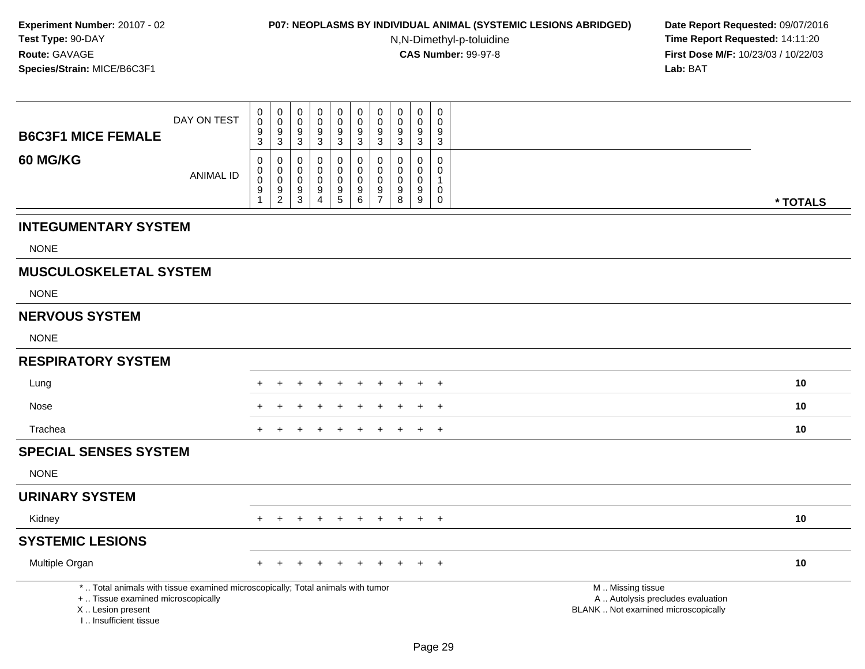### **P07: NEOPLASMS BY INDIVIDUAL ANIMAL (SYSTEMIC LESIONS ABRIDGED) Date Report Requested:** 09/07/2016

N,N-Dimethyl-p-toluidine

| <b>B6C3F1 MICE FEMALE</b>                                                                                                                                           | DAY ON TEST      | $\mathbf 0$<br>$\mathbf 0$<br>$\frac{9}{3}$ | $\mathbf 0$<br>$\mathsf 0$<br>$\boldsymbol{9}$ | $\pmb{0}$<br>$\mathbf 0$<br>9 | $\mathsf 0$<br>$\mathbf 0$<br>9 | $\mathsf{O}\xspace$<br>$\mathsf{O}\xspace$<br>$9\,$  | $\mathsf 0$<br>$\ddot{\mathbf{0}}$<br>$\frac{9}{3}$ | $\pmb{0}$<br>$\mathbf 0$<br>9   | $\boldsymbol{0}$<br>$\mathbf 0$<br>$9\,$ | $\mathbf 0$<br>$\mathbf 0$<br>9 | $\mathbf 0$<br>$\Omega$<br>9 |                                                                                               |          |
|---------------------------------------------------------------------------------------------------------------------------------------------------------------------|------------------|---------------------------------------------|------------------------------------------------|-------------------------------|---------------------------------|------------------------------------------------------|-----------------------------------------------------|---------------------------------|------------------------------------------|---------------------------------|------------------------------|-----------------------------------------------------------------------------------------------|----------|
|                                                                                                                                                                     |                  |                                             | $\mathbf{3}$                                   | $\mathbf{3}$                  | 3                               | 3                                                    |                                                     | $\mathbf{3}$                    | $\mathbf{3}$                             | $\mathbf{3}$                    | $\mathbf{3}$                 |                                                                                               |          |
| <b>60 MG/KG</b>                                                                                                                                                     | <b>ANIMAL ID</b> | $\mathbf 0$<br>$\mathbf 0$                  | 0<br>$\mathbf 0$                               | $\mathbf 0$<br>$\mathbf 0$    | $\mathbf 0$<br>0                | 0<br>0                                               | $\pmb{0}$<br>$\mathbf 0$                            | $\mathbf 0$<br>$\mathbf 0$      | 0<br>0                                   | $\pmb{0}$<br>$\mathbf 0$        | 0<br>$\mathbf 0$             |                                                                                               |          |
|                                                                                                                                                                     |                  | $\ddot{\mathbf{0}}$<br>$\boldsymbol{9}$     | $\mathsf 0$<br>$\frac{9}{2}$                   | $\mathbf 0$<br>$9\,$          | $\mathbf 0$<br>9                | $\mathbf 0$<br>$\begin{array}{c} 9 \\ 5 \end{array}$ | $\mathbf 0$<br>$^9$ 6                               | $\mathbf 0$<br>$\boldsymbol{9}$ | $\boldsymbol{0}$<br>9                    | $\mathbf 0$<br>$\boldsymbol{9}$ | $\mathbf{1}$<br>$\mathbf 0$  |                                                                                               |          |
|                                                                                                                                                                     |                  |                                             |                                                | 3                             | 4                               |                                                      |                                                     | $\overline{7}$                  | 8                                        | 9                               | $\mathbf 0$                  |                                                                                               | * TOTALS |
| <b>INTEGUMENTARY SYSTEM</b>                                                                                                                                         |                  |                                             |                                                |                               |                                 |                                                      |                                                     |                                 |                                          |                                 |                              |                                                                                               |          |
| <b>NONE</b>                                                                                                                                                         |                  |                                             |                                                |                               |                                 |                                                      |                                                     |                                 |                                          |                                 |                              |                                                                                               |          |
| <b>MUSCULOSKELETAL SYSTEM</b>                                                                                                                                       |                  |                                             |                                                |                               |                                 |                                                      |                                                     |                                 |                                          |                                 |                              |                                                                                               |          |
| <b>NONE</b>                                                                                                                                                         |                  |                                             |                                                |                               |                                 |                                                      |                                                     |                                 |                                          |                                 |                              |                                                                                               |          |
| <b>NERVOUS SYSTEM</b>                                                                                                                                               |                  |                                             |                                                |                               |                                 |                                                      |                                                     |                                 |                                          |                                 |                              |                                                                                               |          |
| <b>NONE</b>                                                                                                                                                         |                  |                                             |                                                |                               |                                 |                                                      |                                                     |                                 |                                          |                                 |                              |                                                                                               |          |
| <b>RESPIRATORY SYSTEM</b>                                                                                                                                           |                  |                                             |                                                |                               |                                 |                                                      |                                                     |                                 |                                          |                                 |                              |                                                                                               |          |
| Lung                                                                                                                                                                |                  |                                             |                                                |                               |                                 |                                                      |                                                     |                                 |                                          |                                 | $+$                          |                                                                                               | 10       |
| Nose                                                                                                                                                                |                  |                                             |                                                |                               |                                 |                                                      |                                                     |                                 |                                          |                                 | $\ddot{}$                    |                                                                                               | 10       |
| Trachea                                                                                                                                                             |                  |                                             |                                                |                               |                                 |                                                      |                                                     |                                 |                                          |                                 | $+$                          |                                                                                               | 10       |
| <b>SPECIAL SENSES SYSTEM</b>                                                                                                                                        |                  |                                             |                                                |                               |                                 |                                                      |                                                     |                                 |                                          |                                 |                              |                                                                                               |          |
| <b>NONE</b>                                                                                                                                                         |                  |                                             |                                                |                               |                                 |                                                      |                                                     |                                 |                                          |                                 |                              |                                                                                               |          |
| <b>URINARY SYSTEM</b>                                                                                                                                               |                  |                                             |                                                |                               |                                 |                                                      |                                                     |                                 |                                          |                                 |                              |                                                                                               |          |
| Kidney                                                                                                                                                              |                  |                                             |                                                |                               |                                 |                                                      |                                                     |                                 |                                          | $+$                             | $+$                          |                                                                                               | 10       |
| <b>SYSTEMIC LESIONS</b>                                                                                                                                             |                  |                                             |                                                |                               |                                 |                                                      |                                                     |                                 |                                          |                                 |                              |                                                                                               |          |
| Multiple Organ                                                                                                                                                      |                  |                                             |                                                |                               |                                 |                                                      |                                                     |                                 |                                          |                                 | $\overline{+}$               |                                                                                               | 10       |
| *  Total animals with tissue examined microscopically; Total animals with tumor<br>+  Tissue examined microscopically<br>X  Lesion present<br>I Insufficient tissue |                  |                                             |                                                |                               |                                 |                                                      |                                                     |                                 |                                          |                                 |                              | M  Missing tissue<br>A  Autolysis precludes evaluation<br>BLANK  Not examined microscopically |          |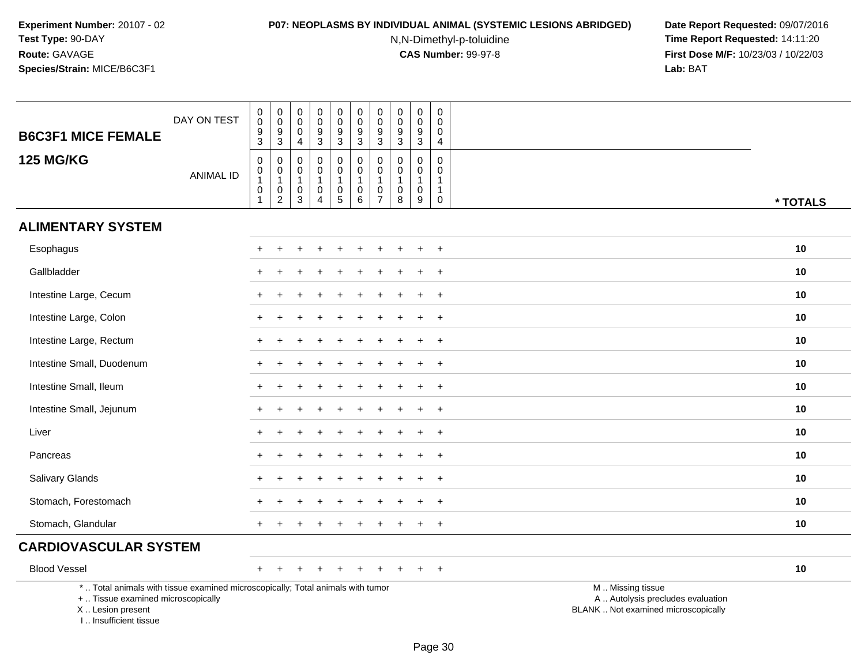#### **P07: NEOPLASMS BY INDIVIDUAL ANIMAL (SYSTEMIC LESIONS ABRIDGED) Date Report Requested:** 09/07/2016

N,N-Dimethyl-p-toluidine

| <b>B6C3F1 MICE FEMALE</b>                                                                                                                                           | DAY ON TEST      | 0<br>$\mathbf 0$<br>$\boldsymbol{9}$<br>$\mathbf{3}$ | $\boldsymbol{0}$<br>$\pmb{0}$<br>$\overline{9}$<br>$\mathbf{3}$           | 0<br>$\mathbf 0$<br>$\mathbf 0$<br>$\overline{4}$                         | 0<br>$\mathbf 0$<br>9<br>$\mathbf 3$                              | 0<br>$\pmb{0}$<br>$\boldsymbol{9}$<br>$\ensuremath{\mathsf{3}}$                   | 0<br>$\mathbf 0$<br>$\boldsymbol{9}$<br>$\mathbf{3}$                | 0<br>0<br>9<br>$\mathbf{3}$                                       | 0<br>$\pmb{0}$<br>9<br>$\mathbf{3}$                       | $\overline{0}$<br>$\pmb{0}$<br>$\boldsymbol{9}$<br>$\mathbf 3$              | 0<br>0<br>$\mathbf 0$<br>$\overline{4}$                  |                                                                                               |          |
|---------------------------------------------------------------------------------------------------------------------------------------------------------------------|------------------|------------------------------------------------------|---------------------------------------------------------------------------|---------------------------------------------------------------------------|-------------------------------------------------------------------|-----------------------------------------------------------------------------------|---------------------------------------------------------------------|-------------------------------------------------------------------|-----------------------------------------------------------|-----------------------------------------------------------------------------|----------------------------------------------------------|-----------------------------------------------------------------------------------------------|----------|
| <b>125 MG/KG</b>                                                                                                                                                    | <b>ANIMAL ID</b> | $\mathsf 0$<br>0<br>$\mathbf{1}$<br>$\pmb{0}$<br>1   | $\mathbf 0$<br>$\mathbf 0$<br>$\mathbf{1}$<br>$\pmb{0}$<br>$\overline{2}$ | $\mathbf 0$<br>$\mathbf 0$<br>$\mathbf{1}$<br>$\mathbf 0$<br>$\mathbf{3}$ | $\mathbf 0$<br>$\mathbf 0$<br>$\mathbf{1}$<br>0<br>$\overline{4}$ | $\mathbf 0$<br>$\pmb{0}$<br>$\mathbf{1}$<br>$\begin{array}{c} 0 \\ 5 \end{array}$ | $\mathbf 0$<br>$\mathbf 0$<br>$\mathbf{1}$<br>$\boldsymbol{0}$<br>6 | $\mathbf 0$<br>$\mathbf 0$<br>$\mathbf{1}$<br>0<br>$\overline{7}$ | $\Omega$<br>$\mathbf 0$<br>$\mathbf{1}$<br>$\pmb{0}$<br>8 | $\mathbf 0$<br>$\mathbf 0$<br>$\mathbf{1}$<br>$\mathbf 0$<br>$\overline{9}$ | $\mathbf 0$<br>$\mathbf{0}$<br>-1<br>$\overline{1}$<br>0 |                                                                                               | * TOTALS |
| <b>ALIMENTARY SYSTEM</b>                                                                                                                                            |                  |                                                      |                                                                           |                                                                           |                                                                   |                                                                                   |                                                                     |                                                                   |                                                           |                                                                             |                                                          |                                                                                               |          |
| Esophagus                                                                                                                                                           |                  |                                                      |                                                                           |                                                                           |                                                                   |                                                                                   |                                                                     |                                                                   |                                                           |                                                                             | $\overline{+}$                                           |                                                                                               | 10       |
| Gallbladder                                                                                                                                                         |                  |                                                      |                                                                           |                                                                           |                                                                   |                                                                                   |                                                                     |                                                                   |                                                           |                                                                             | $\ddot{}$                                                |                                                                                               | 10       |
| Intestine Large, Cecum                                                                                                                                              |                  |                                                      |                                                                           |                                                                           |                                                                   |                                                                                   |                                                                     |                                                                   |                                                           |                                                                             | $+$                                                      |                                                                                               | 10       |
| Intestine Large, Colon                                                                                                                                              |                  |                                                      |                                                                           |                                                                           |                                                                   |                                                                                   |                                                                     |                                                                   |                                                           |                                                                             | $\overline{ }$                                           |                                                                                               | 10       |
| Intestine Large, Rectum                                                                                                                                             |                  |                                                      |                                                                           |                                                                           |                                                                   |                                                                                   |                                                                     |                                                                   |                                                           |                                                                             | $+$                                                      |                                                                                               | 10       |
| Intestine Small, Duodenum                                                                                                                                           |                  |                                                      |                                                                           |                                                                           |                                                                   |                                                                                   |                                                                     |                                                                   |                                                           |                                                                             | $+$                                                      |                                                                                               | 10       |
| Intestine Small, Ileum                                                                                                                                              |                  |                                                      |                                                                           |                                                                           |                                                                   |                                                                                   |                                                                     |                                                                   |                                                           |                                                                             | $\overline{ }$                                           |                                                                                               | 10       |
| Intestine Small, Jejunum                                                                                                                                            |                  |                                                      |                                                                           |                                                                           |                                                                   |                                                                                   |                                                                     |                                                                   |                                                           |                                                                             | $\overline{ }$                                           |                                                                                               | 10       |
| Liver                                                                                                                                                               |                  | $+$                                                  |                                                                           |                                                                           |                                                                   |                                                                                   |                                                                     |                                                                   |                                                           | $\overline{ }$                                                              | $+$                                                      |                                                                                               | 10       |
| Pancreas                                                                                                                                                            |                  |                                                      |                                                                           |                                                                           |                                                                   |                                                                                   |                                                                     |                                                                   |                                                           |                                                                             | $\overline{ }$                                           |                                                                                               | 10       |
| Salivary Glands                                                                                                                                                     |                  |                                                      |                                                                           |                                                                           |                                                                   |                                                                                   |                                                                     |                                                                   |                                                           |                                                                             | $\div$                                                   |                                                                                               | 10       |
| Stomach, Forestomach                                                                                                                                                |                  |                                                      |                                                                           |                                                                           |                                                                   |                                                                                   |                                                                     |                                                                   |                                                           |                                                                             | $\ddot{}$                                                |                                                                                               | 10       |
| Stomach, Glandular                                                                                                                                                  |                  |                                                      |                                                                           |                                                                           |                                                                   |                                                                                   |                                                                     |                                                                   |                                                           |                                                                             | $+$                                                      |                                                                                               | 10       |
| <b>CARDIOVASCULAR SYSTEM</b>                                                                                                                                        |                  |                                                      |                                                                           |                                                                           |                                                                   |                                                                                   |                                                                     |                                                                   |                                                           |                                                                             |                                                          |                                                                                               |          |
| <b>Blood Vessel</b>                                                                                                                                                 |                  |                                                      |                                                                           |                                                                           |                                                                   |                                                                                   |                                                                     |                                                                   |                                                           |                                                                             | $\overline{+}$                                           |                                                                                               | 10       |
| *  Total animals with tissue examined microscopically; Total animals with tumor<br>+  Tissue examined microscopically<br>X  Lesion present<br>I Insufficient tissue |                  |                                                      |                                                                           |                                                                           |                                                                   |                                                                                   |                                                                     |                                                                   |                                                           |                                                                             |                                                          | M  Missing tissue<br>A  Autolysis precludes evaluation<br>BLANK  Not examined microscopically |          |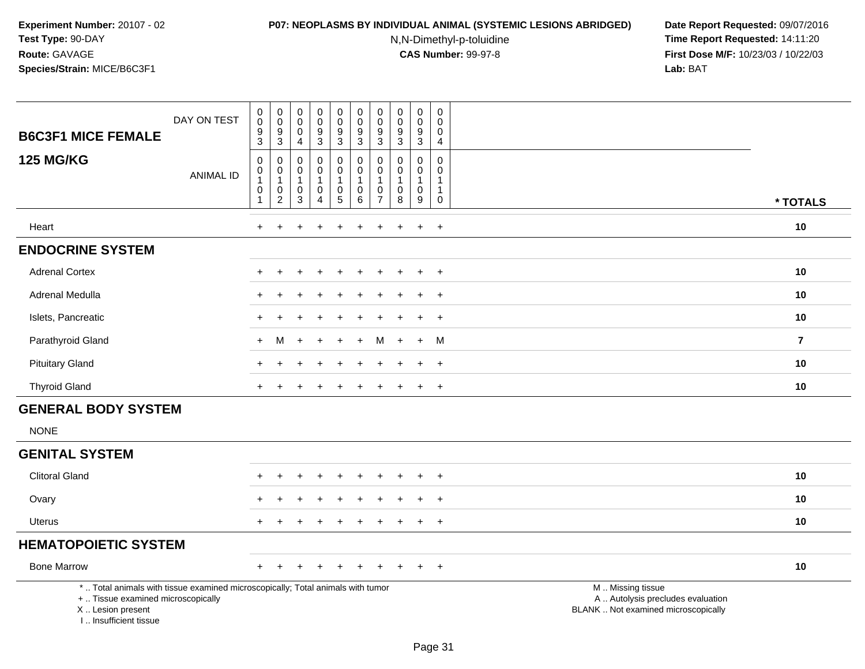#### **P07: NEOPLASMS BY INDIVIDUAL ANIMAL (SYSTEMIC LESIONS ABRIDGED) Date Report Requested:** 09/07/2016

N,N-Dimethyl-p-toluidine

| <b>B6C3F1 MICE FEMALE</b>                                                                                                                                           | DAY ON TEST      | $\begin{smallmatrix} 0\\0 \end{smallmatrix}$<br>$\frac{9}{3}$       | $\pmb{0}$<br>$\overline{0}$<br>$\boldsymbol{9}$<br>3 | $\mathbf 0$<br>$\mathbf 0$<br>$\mathbf 0$<br>$\overline{4}$             | $\pmb{0}$<br>$\overline{0}$<br>9<br>$\mathbf{3}$     | $\pmb{0}$<br>$\overline{0}$<br>$\boldsymbol{9}$<br>$\overline{3}$                   | $\mathbf 0$<br>$\overline{0}$<br>$\boldsymbol{9}$<br>$\overline{3}$ | $_{\rm 0}^{\rm 0}$<br>$\frac{9}{3}$                                         | $\mathsf{O}\xspace$<br>$\ddot{\mathbf{0}}$<br>9<br>$\overline{3}$ | $\mathbf 0$<br>$\overline{0}$<br>$\boldsymbol{9}$<br>$\overline{3}$ | $\pmb{0}$<br>$\ddot{\mathbf{0}}$<br>$\mathbf 0$<br>$\overline{4}$                 |                                                                                               |                |
|---------------------------------------------------------------------------------------------------------------------------------------------------------------------|------------------|---------------------------------------------------------------------|------------------------------------------------------|-------------------------------------------------------------------------|------------------------------------------------------|-------------------------------------------------------------------------------------|---------------------------------------------------------------------|-----------------------------------------------------------------------------|-------------------------------------------------------------------|---------------------------------------------------------------------|-----------------------------------------------------------------------------------|-----------------------------------------------------------------------------------------------|----------------|
| <b>125 MG/KG</b>                                                                                                                                                    | <b>ANIMAL ID</b> | $\pmb{0}$<br>$\pmb{0}$<br>$\mathbf{1}$<br>$\pmb{0}$<br>$\mathbf{1}$ | 0<br>0<br>$\mathbf{1}$<br>$\mathbf 0$<br>$\sqrt{2}$  | $\mathbf 0$<br>$\mathbf 0$<br>$\mathbf{1}$<br>$\mathbf 0$<br>$\sqrt{3}$ | 0<br>$\mathbf 0$<br>$\mathbf{1}$<br>$\mathbf 0$<br>4 | $\mathsf 0$<br>$\mathbf 0$<br>$\mathbf{1}$<br>$\mathsf{O}\xspace$<br>$\overline{5}$ | $\pmb{0}$<br>$\pmb{0}$<br>$\mathbf{1}$<br>$\mathbf 0$<br>$\,6\,$    | $\mathbf 0$<br>$\mathbf 0$<br>$\mathbf{1}$<br>$\mathbf 0$<br>$\overline{7}$ | $\mathbf 0$<br>0<br>$\mathbf{1}$<br>$\mathbf 0$<br>8              | 0<br>0<br>$\mathbf{1}$<br>$\mathsf{O}\xspace$<br>9                  | $\mathsf{O}\xspace$<br>$\mathbf 0$<br>$\mathbf{1}$<br>$\mathbf{1}$<br>$\mathbf 0$ |                                                                                               | * TOTALS       |
| Heart                                                                                                                                                               |                  | $\ddot{}$                                                           | ÷                                                    |                                                                         |                                                      | $\div$                                                                              | +                                                                   | +                                                                           |                                                                   | $\ddot{}$                                                           | $+$                                                                               |                                                                                               | 10             |
| <b>ENDOCRINE SYSTEM</b>                                                                                                                                             |                  |                                                                     |                                                      |                                                                         |                                                      |                                                                                     |                                                                     |                                                                             |                                                                   |                                                                     |                                                                                   |                                                                                               |                |
| <b>Adrenal Cortex</b>                                                                                                                                               |                  |                                                                     |                                                      |                                                                         |                                                      |                                                                                     |                                                                     |                                                                             |                                                                   | $\ddot{}$                                                           | $+$                                                                               |                                                                                               | 10             |
| Adrenal Medulla                                                                                                                                                     |                  |                                                                     |                                                      |                                                                         |                                                      |                                                                                     |                                                                     |                                                                             |                                                                   | ÷                                                                   | $+$                                                                               |                                                                                               | 10             |
| Islets, Pancreatic                                                                                                                                                  |                  |                                                                     |                                                      |                                                                         |                                                      |                                                                                     |                                                                     |                                                                             |                                                                   |                                                                     | $\ddot{}$                                                                         |                                                                                               | 10             |
| Parathyroid Gland                                                                                                                                                   |                  | $\ddot{}$                                                           | М                                                    |                                                                         |                                                      |                                                                                     |                                                                     |                                                                             |                                                                   | $\ddot{}$                                                           | M                                                                                 |                                                                                               | $\overline{7}$ |
| <b>Pituitary Gland</b>                                                                                                                                              |                  |                                                                     |                                                      |                                                                         |                                                      |                                                                                     |                                                                     |                                                                             |                                                                   | $\ddot{}$                                                           | $+$                                                                               |                                                                                               | 10             |
| <b>Thyroid Gland</b>                                                                                                                                                |                  | $\ddot{}$                                                           |                                                      |                                                                         |                                                      |                                                                                     | $\div$                                                              | +                                                                           |                                                                   | $\ddot{}$                                                           | $^{+}$                                                                            |                                                                                               | 10             |
| <b>GENERAL BODY SYSTEM</b>                                                                                                                                          |                  |                                                                     |                                                      |                                                                         |                                                      |                                                                                     |                                                                     |                                                                             |                                                                   |                                                                     |                                                                                   |                                                                                               |                |
| <b>NONE</b>                                                                                                                                                         |                  |                                                                     |                                                      |                                                                         |                                                      |                                                                                     |                                                                     |                                                                             |                                                                   |                                                                     |                                                                                   |                                                                                               |                |
| <b>GENITAL SYSTEM</b>                                                                                                                                               |                  |                                                                     |                                                      |                                                                         |                                                      |                                                                                     |                                                                     |                                                                             |                                                                   |                                                                     |                                                                                   |                                                                                               |                |
| <b>Clitoral Gland</b>                                                                                                                                               |                  |                                                                     |                                                      |                                                                         |                                                      |                                                                                     |                                                                     |                                                                             |                                                                   |                                                                     |                                                                                   |                                                                                               | 10             |
| Ovary                                                                                                                                                               |                  |                                                                     |                                                      |                                                                         |                                                      |                                                                                     |                                                                     |                                                                             |                                                                   |                                                                     | $\overline{+}$                                                                    |                                                                                               | 10             |
| <b>Uterus</b>                                                                                                                                                       |                  | $\ddot{}$                                                           |                                                      |                                                                         | ÷                                                    |                                                                                     |                                                                     |                                                                             |                                                                   | $\ddot{}$                                                           | $^{+}$                                                                            |                                                                                               | 10             |
| <b>HEMATOPOIETIC SYSTEM</b>                                                                                                                                         |                  |                                                                     |                                                      |                                                                         |                                                      |                                                                                     |                                                                     |                                                                             |                                                                   |                                                                     |                                                                                   |                                                                                               |                |
| <b>Bone Marrow</b>                                                                                                                                                  |                  |                                                                     |                                                      |                                                                         |                                                      |                                                                                     |                                                                     |                                                                             |                                                                   |                                                                     | $^{+}$                                                                            |                                                                                               | 10             |
| *  Total animals with tissue examined microscopically; Total animals with tumor<br>+  Tissue examined microscopically<br>X  Lesion present<br>I Insufficient tissue |                  |                                                                     |                                                      |                                                                         |                                                      |                                                                                     |                                                                     |                                                                             |                                                                   |                                                                     |                                                                                   | M  Missing tissue<br>A  Autolysis precludes evaluation<br>BLANK  Not examined microscopically |                |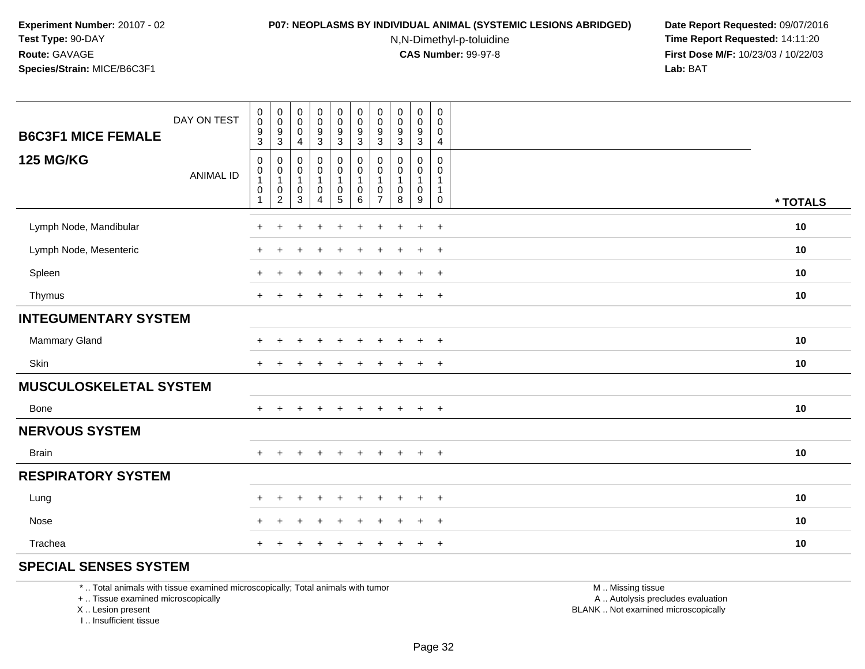#### **P07: NEOPLASMS BY INDIVIDUAL ANIMAL (SYSTEMIC LESIONS ABRIDGED) Date Report Requested:** 09/07/2016

N,N-Dimethyl-p-toluidine

 **Time Report Requested:** 14:11:20 **First Dose M/F:** 10/23/03 / 10/22/03<br>**Lab:** BAT **Lab:** BAT

| DAY ON TEST<br><b>B6C3F1 MICE FEMALE</b> | $\boldsymbol{0}$<br>$\pmb{0}$<br>$\frac{9}{3}$ | $\pmb{0}$<br>$\pmb{0}$<br>$^9_3$                                     | $\boldsymbol{0}$<br>$\pmb{0}$<br>$\mathbf 0$<br>$\overline{4}$               | $\pmb{0}$<br>$\pmb{0}$<br>$\frac{9}{3}$              | $\overline{0}$<br>$\mathbf 0$<br>$\frac{9}{3}$                      | $\mathbf 0$<br>$\pmb{0}$<br>$\frac{9}{3}$ | $\pmb{0}$<br>0<br>$\frac{9}{3}$               | $\mathbf 0$<br>$\pmb{0}$<br>$\boldsymbol{9}$<br>$\mathbf{3}$ | 0<br>$\pmb{0}$<br>$\boldsymbol{9}$<br>$\mathbf{3}$ | $\mathbf 0$<br>$\mathbf 0$<br>$\mathbf 0$<br>4              |          |
|------------------------------------------|------------------------------------------------|----------------------------------------------------------------------|------------------------------------------------------------------------------|------------------------------------------------------|---------------------------------------------------------------------|-------------------------------------------|-----------------------------------------------|--------------------------------------------------------------|----------------------------------------------------|-------------------------------------------------------------|----------|
| <b>125 MG/KG</b><br><b>ANIMAL ID</b>     | $\mathsf{O}$<br>0<br>0<br>$\mathbf{1}$         | $\pmb{0}$<br>$\pmb{0}$<br>$\mathbf 1$<br>$\pmb{0}$<br>$\overline{c}$ | $\boldsymbol{0}$<br>$\pmb{0}$<br>$\mathbf{1}$<br>$\mathbf 0$<br>$\mathbf{3}$ | 0<br>$\mathsf 0$<br>$\mathbf{1}$<br>$\mathsf 0$<br>4 | $\pmb{0}$<br>$\pmb{0}$<br>$\mathbf{1}$<br>$\mathbf 0$<br>$\sqrt{5}$ | 0<br>$\pmb{0}$<br>1<br>$\mathbf 0$<br>6   | 0<br>0<br>$\mathbf{1}$<br>0<br>$\overline{7}$ | $\mathbf 0$<br>$\mathbf 0$<br>$\mathbf 0$<br>8               | 0<br>0<br>$\mathbf{1}$<br>$\mathbf 0$<br>$9\,$     | $\mathbf 0$<br>$\Omega$<br>1<br>$\mathbf{1}$<br>$\mathbf 0$ | * TOTALS |
| Lymph Node, Mandibular                   | $\ddot{}$                                      | $\pm$                                                                |                                                                              | $\ddot{}$                                            | ÷                                                                   | $\ddot{}$                                 | $\pm$                                         | $\overline{ }$                                               | $\ddot{}$                                          | $+$                                                         | 10       |
| Lymph Node, Mesenteric                   | $\ddot{}$                                      | $\pm$                                                                |                                                                              | ÷                                                    |                                                                     |                                           |                                               | $\,$                                                         | $+$                                                | $+$                                                         | 10       |
| Spleen                                   | $\ddot{}$                                      | ÷                                                                    |                                                                              |                                                      |                                                                     |                                           |                                               |                                                              | $\ddot{}$                                          | $+$                                                         | 10       |
| Thymus                                   | $+$                                            | $\pm$                                                                |                                                                              |                                                      |                                                                     |                                           |                                               |                                                              | $+$                                                | $+$                                                         | 10       |
| <b>INTEGUMENTARY SYSTEM</b>              |                                                |                                                                      |                                                                              |                                                      |                                                                     |                                           |                                               |                                                              |                                                    |                                                             |          |
| Mammary Gland                            | $\ddot{}$                                      |                                                                      |                                                                              |                                                      |                                                                     |                                           |                                               |                                                              | $\ddot{}$                                          | $+$                                                         | 10       |
| Skin                                     | $\ddot{}$                                      |                                                                      |                                                                              |                                                      |                                                                     |                                           |                                               |                                                              | $\pm$                                              | $+$                                                         | 10       |
| <b>MUSCULOSKELETAL SYSTEM</b>            |                                                |                                                                      |                                                                              |                                                      |                                                                     |                                           |                                               |                                                              |                                                    |                                                             |          |
| Bone                                     | $\ddot{}$                                      | $+$                                                                  | $\overline{+}$                                                               | $+$                                                  | $+$                                                                 | $\ddot{}$                                 | $\pm$                                         | $+$                                                          | $+$                                                | $+$                                                         | 10       |
| <b>NERVOUS SYSTEM</b>                    |                                                |                                                                      |                                                                              |                                                      |                                                                     |                                           |                                               |                                                              |                                                    |                                                             |          |
| Brain                                    | $\ddot{}$                                      |                                                                      |                                                                              | $\div$                                               |                                                                     | $\ddot{}$                                 | $\div$                                        | $\pm$                                                        | $\ddot{}$                                          | $+$                                                         | 10       |
| <b>RESPIRATORY SYSTEM</b>                |                                                |                                                                      |                                                                              |                                                      |                                                                     |                                           |                                               |                                                              |                                                    |                                                             |          |
| Lung                                     | $\ddot{}$                                      | $\div$                                                               |                                                                              |                                                      |                                                                     |                                           |                                               |                                                              | ÷                                                  | $+$                                                         | 10       |
| Nose                                     | $\pm$                                          |                                                                      |                                                                              |                                                      |                                                                     |                                           |                                               |                                                              | ÷                                                  | $\overline{+}$                                              | 10       |
| Trachea                                  | $\ddot{}$                                      |                                                                      |                                                                              |                                                      |                                                                     |                                           |                                               |                                                              | $\pm$                                              | $+$                                                         | 10       |

### **SPECIAL SENSES SYSTEM**

\* .. Total animals with tissue examined microscopically; Total animals with tumor

+ .. Tissue examined microscopically

X .. Lesion present

I .. Insufficient tissue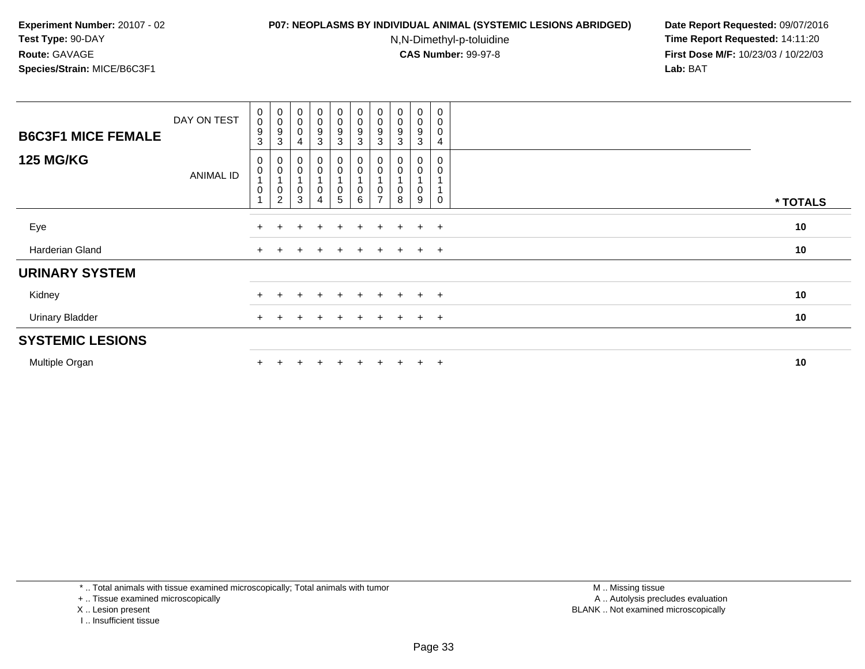#### **P07: NEOPLASMS BY INDIVIDUAL ANIMAL (SYSTEMIC LESIONS ABRIDGED) Date Report Requested:** 09/07/2016

N,N-Dimethyl-p-toluidine

 **Time Report Requested:** 14:11:20 **First Dose M/F:** 10/23/03 / 10/22/03<br>**Lab:** BAT **Lab:** BAT

| <b>B6C3F1 MICE FEMALE</b> | DAY ON TEST | $_{\rm 0}^{\rm 0}$<br>9<br>3                  | $\begin{smallmatrix}0\0\0\9\end{smallmatrix}$<br>3                  | $\begin{smallmatrix}0\\0\\0\end{smallmatrix}$<br>4         | $\begin{smallmatrix} 0\\0 \end{smallmatrix}$<br>9<br>3 | $_{\rm 0}^{\rm 0}$<br>$\boldsymbol{9}$<br>$\mathbf{3}$ | $_{\rm 0}^{\rm 0}$<br>9<br>3                                   | $\begin{smallmatrix} 0\\0 \end{smallmatrix}$<br>9<br>3 | $\begin{smallmatrix} 0\\0 \end{smallmatrix}$<br>9<br>3 | $_0^0$<br>9<br>3 | $\boldsymbol{0}$<br>$\overline{0}$<br>4 |          |
|---------------------------|-------------|-----------------------------------------------|---------------------------------------------------------------------|------------------------------------------------------------|--------------------------------------------------------|--------------------------------------------------------|----------------------------------------------------------------|--------------------------------------------------------|--------------------------------------------------------|------------------|-----------------------------------------|----------|
| <b>125 MG/KG</b>          | ANIMAL ID   | 0<br>$\pmb{0}$<br>$\overline{A}$<br>$\pmb{0}$ | $_{\rm 0}^{\rm 0}$<br>$\overline{A}$<br>$\pmb{0}$<br>$\overline{2}$ | $\begin{matrix} 0 \\ 0 \\ 1 \end{matrix}$<br>$\frac{0}{3}$ | 0<br>0<br>0<br>4                                       | 0<br>$\pmb{0}$<br>$\boldsymbol{0}$<br>5                | $\begin{smallmatrix}0\\0\end{smallmatrix}$<br>$\mathbf 0$<br>6 | 0<br>$\pmb{0}$<br>0<br>$\overline{ }$                  | 0<br>0<br>8                                            | 0<br>0<br>0<br>9 | 0<br>$\Omega$                           | * TOTALS |
| Eye                       |             | $+$                                           |                                                                     | $\pm$                                                      | $\pm$                                                  | $+$                                                    | $\pm$                                                          | $\pm$                                                  | $\pm$                                                  | $\ddot{}$        | $+$                                     | 10       |
| Harderian Gland           |             | $\ddot{}$                                     | $\pm$                                                               | $\pm$                                                      | $^{+}$                                                 | $+$                                                    | $+$                                                            | $+$                                                    | $+$                                                    | $+$ $+$          |                                         | 10       |
| <b>URINARY SYSTEM</b>     |             |                                               |                                                                     |                                                            |                                                        |                                                        |                                                                |                                                        |                                                        |                  |                                         |          |
| Kidney                    |             | $+$                                           |                                                                     |                                                            | $\div$                                                 | $+$                                                    | $\pm$                                                          | $+$                                                    | $\div$                                                 | $+$              | $+$                                     | 10       |
| <b>Urinary Bladder</b>    |             | $+$                                           |                                                                     | $\pm$                                                      | $+$                                                    | $+$                                                    | $+$                                                            | $+$                                                    | $+$                                                    | $+$              | $+$                                     | 10       |
| <b>SYSTEMIC LESIONS</b>   |             |                                               |                                                                     |                                                            |                                                        |                                                        |                                                                |                                                        |                                                        |                  |                                         |          |
| Multiple Organ            |             |                                               |                                                                     |                                                            | $\div$                                                 |                                                        | $+$                                                            | $+$                                                    | $\div$                                                 | $\pm$            | $+$                                     | 10       |

\* .. Total animals with tissue examined microscopically; Total animals with tumor

+ .. Tissue examined microscopically

- X .. Lesion present
- I .. Insufficient tissue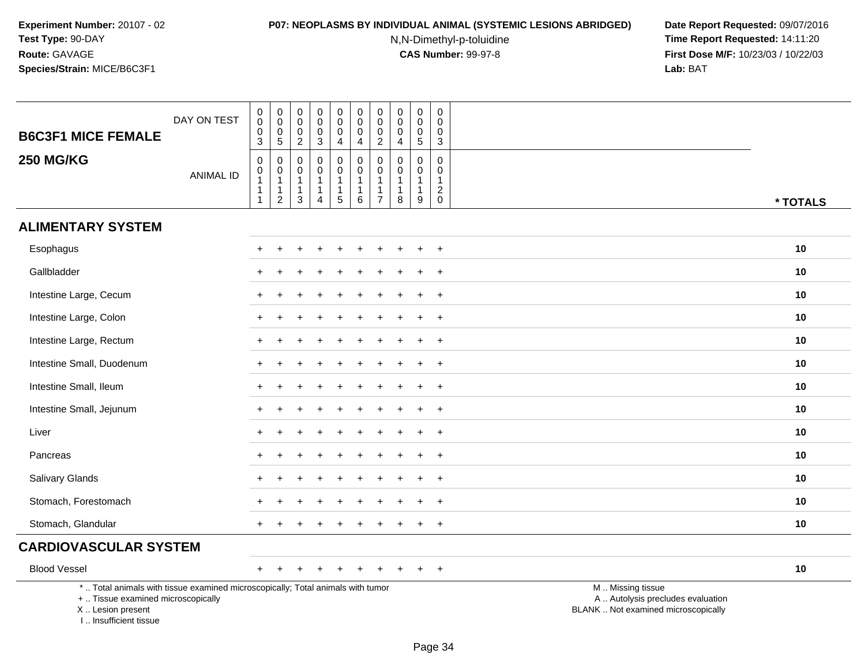#### **P07: NEOPLASMS BY INDIVIDUAL ANIMAL (SYSTEMIC LESIONS ABRIDGED) Date Report Requested:** 09/07/2016

N,N-Dimethyl-p-toluidine

| <b>B6C3F1 MICE FEMALE</b>                                                                                                                                           | DAY ON TEST      | $\begin{smallmatrix}0\0\0\end{smallmatrix}$<br>$\pmb{0}$<br>3 | $\pmb{0}$<br>$\mathbf 0$<br>$\pmb{0}$<br>$\sqrt{5}$           | $\boldsymbol{0}$<br>$\mathsf{O}\xspace$<br>$\mathbf 0$<br>$\overline{2}$          | $\pmb{0}$<br>$\mathbf 0$<br>$\mathbf 0$<br>$\mathbf{3}$                      | 0<br>$\mathbf 0$<br>0<br>4              | $\begin{smallmatrix}0\0\0\end{smallmatrix}$<br>$\mathbf 0$<br>$\overline{4}$ | $\mathsf 0$<br>$\mathbf 0$<br>$\mathbf 0$<br>$\overline{2}$                  | $\mathbf 0$<br>$\pmb{0}$<br>$\mathbf 0$<br>$\overline{4}$ | $\mathbf 0$<br>$\mathbf 0$<br>$\mathbf 0$<br>$\sqrt{5}$              | 0<br>$\mathbf 0$<br>$\mathbf 0$<br>3                       |                                                                                               |
|---------------------------------------------------------------------------------------------------------------------------------------------------------------------|------------------|---------------------------------------------------------------|---------------------------------------------------------------|-----------------------------------------------------------------------------------|------------------------------------------------------------------------------|-----------------------------------------|------------------------------------------------------------------------------|------------------------------------------------------------------------------|-----------------------------------------------------------|----------------------------------------------------------------------|------------------------------------------------------------|-----------------------------------------------------------------------------------------------|
| <b>250 MG/KG</b>                                                                                                                                                    | <b>ANIMAL ID</b> | $\pmb{0}$<br>$\pmb{0}$<br>$\mathbf{1}$<br>1<br>$\mathbf{1}$   | $\mathbf 0$<br>$\pmb{0}$<br>$\overline{1}$<br>1<br>$\sqrt{2}$ | $\mathbf 0$<br>$\boldsymbol{0}$<br>$\mathbf{1}$<br>$\overline{1}$<br>$\mathbf{3}$ | $\mathbf 0$<br>$\mathbf 0$<br>$\mathbf{1}$<br>$\mathbf{1}$<br>$\overline{4}$ | 0<br>$\mathsf{O}\xspace$<br>1<br>1<br>5 | $\mathbf 0$<br>$\mathbf 0$<br>$\mathbf{1}$<br>$\mathbf{1}$<br>$\,6\,$        | $\mathbf 0$<br>$\mathsf 0$<br>$\mathbf{1}$<br>$\mathbf{1}$<br>$\overline{7}$ | $\mathbf 0$<br>0<br>-1<br>$\,8\,$                         | $\mathbf 0$<br>$\mathbf 0$<br>$\overline{1}$<br>$\mathbf 1$<br>$9\,$ | $\mathbf 0$<br>$\mathbf 0$<br>$\mathbf{1}$<br>$^2_{\rm 0}$ | * TOTALS                                                                                      |
| <b>ALIMENTARY SYSTEM</b>                                                                                                                                            |                  |                                                               |                                                               |                                                                                   |                                                                              |                                         |                                                                              |                                                                              |                                                           |                                                                      |                                                            |                                                                                               |
| Esophagus                                                                                                                                                           |                  |                                                               |                                                               |                                                                                   |                                                                              |                                         |                                                                              |                                                                              |                                                           |                                                                      | $\ddot{}$                                                  | 10                                                                                            |
| Gallbladder                                                                                                                                                         |                  |                                                               |                                                               |                                                                                   |                                                                              |                                         |                                                                              |                                                                              |                                                           |                                                                      | $\ddot{}$                                                  | 10                                                                                            |
| Intestine Large, Cecum                                                                                                                                              |                  |                                                               |                                                               |                                                                                   |                                                                              |                                         |                                                                              |                                                                              |                                                           |                                                                      | $+$                                                        | 10                                                                                            |
| Intestine Large, Colon                                                                                                                                              |                  |                                                               |                                                               |                                                                                   |                                                                              |                                         |                                                                              |                                                                              |                                                           |                                                                      | $+$                                                        | 10                                                                                            |
| Intestine Large, Rectum                                                                                                                                             |                  |                                                               |                                                               |                                                                                   |                                                                              |                                         |                                                                              |                                                                              |                                                           |                                                                      | $\ddot{}$                                                  | 10                                                                                            |
| Intestine Small, Duodenum                                                                                                                                           |                  |                                                               |                                                               |                                                                                   |                                                                              |                                         |                                                                              |                                                                              |                                                           |                                                                      | $\ddot{}$                                                  | 10                                                                                            |
| Intestine Small, Ileum                                                                                                                                              |                  |                                                               |                                                               |                                                                                   |                                                                              |                                         |                                                                              |                                                                              |                                                           |                                                                      | $+$                                                        | 10                                                                                            |
| Intestine Small, Jejunum                                                                                                                                            |                  |                                                               |                                                               |                                                                                   |                                                                              |                                         |                                                                              |                                                                              |                                                           |                                                                      | $\overline{+}$                                             | 10                                                                                            |
| Liver                                                                                                                                                               |                  |                                                               |                                                               |                                                                                   |                                                                              |                                         |                                                                              |                                                                              |                                                           |                                                                      | $\ddot{}$                                                  | 10                                                                                            |
| Pancreas                                                                                                                                                            |                  |                                                               |                                                               |                                                                                   |                                                                              |                                         |                                                                              |                                                                              |                                                           |                                                                      | $\overline{+}$                                             | 10                                                                                            |
| Salivary Glands                                                                                                                                                     |                  |                                                               |                                                               |                                                                                   |                                                                              |                                         |                                                                              |                                                                              |                                                           |                                                                      | $+$                                                        | 10                                                                                            |
| Stomach, Forestomach                                                                                                                                                |                  |                                                               |                                                               |                                                                                   |                                                                              |                                         |                                                                              |                                                                              |                                                           |                                                                      | $\overline{+}$                                             | 10                                                                                            |
| Stomach, Glandular                                                                                                                                                  |                  |                                                               |                                                               |                                                                                   |                                                                              |                                         |                                                                              |                                                                              |                                                           |                                                                      | $\overline{+}$                                             | 10                                                                                            |
| <b>CARDIOVASCULAR SYSTEM</b>                                                                                                                                        |                  |                                                               |                                                               |                                                                                   |                                                                              |                                         |                                                                              |                                                                              |                                                           |                                                                      |                                                            |                                                                                               |
| <b>Blood Vessel</b>                                                                                                                                                 |                  | $+$                                                           |                                                               |                                                                                   |                                                                              |                                         |                                                                              |                                                                              |                                                           |                                                                      | $+$                                                        | 10                                                                                            |
| *  Total animals with tissue examined microscopically; Total animals with tumor<br>+  Tissue examined microscopically<br>X  Lesion present<br>I Insufficient tissue |                  |                                                               |                                                               |                                                                                   |                                                                              |                                         |                                                                              |                                                                              |                                                           |                                                                      |                                                            | M  Missing tissue<br>A  Autolysis precludes evaluation<br>BLANK  Not examined microscopically |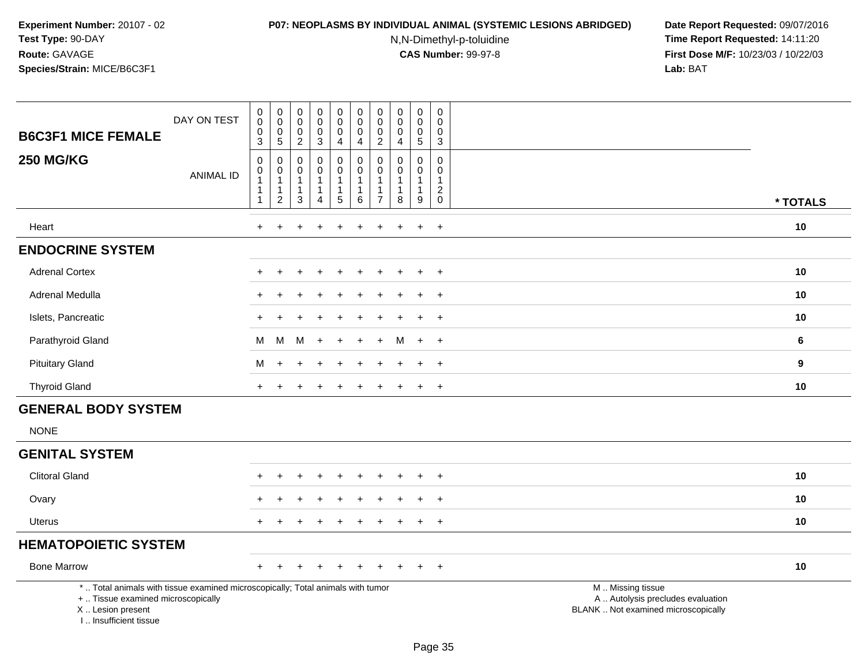#### **P07: NEOPLASMS BY INDIVIDUAL ANIMAL (SYSTEMIC LESIONS ABRIDGED) Date Report Requested:** 09/07/2016

N,N-Dimethyl-p-toluidine

| DAY ON TEST<br><b>B6C3F1 MICE FEMALE</b>                                                                                                                            | $\mathbf 0$<br>$\overline{0}$<br>$\pmb{0}$<br>3 | $_{\rm 0}^{\rm 0}$<br>$\frac{0}{5}$                                                 | $\boldsymbol{0}$<br>$\ddot{\mathbf{0}}$<br>$\mathbf 0$<br>$\overline{2}$ | $\pmb{0}$<br>$\overline{0}$<br>$\mathsf{O}\xspace$<br>$\mathbf{3}$       | $\begin{smallmatrix}0\0\0\end{smallmatrix}$<br>$\mathsf{O}\xspace$<br>4 | $\pmb{0}$<br>$\overline{0}$<br>$\pmb{0}$<br>$\overline{4}$ | $\pmb{0}$<br>$\pmb{0}$<br>$\mathbf 0$<br>$\overline{2}$                        | $\mathbf 0$<br>$\mathbf 0$<br>$\mathbf 0$<br>$\overline{a}$ | $\mathbf 0$<br>$\overline{0}$<br>$\mathbf 0$<br>5               | $\pmb{0}$<br>$\ddot{\mathbf{0}}$<br>$\pmb{0}$<br>$\overline{3}$              |                                                                                               |                |
|---------------------------------------------------------------------------------------------------------------------------------------------------------------------|-------------------------------------------------|-------------------------------------------------------------------------------------|--------------------------------------------------------------------------|--------------------------------------------------------------------------|-------------------------------------------------------------------------|------------------------------------------------------------|--------------------------------------------------------------------------------|-------------------------------------------------------------|-----------------------------------------------------------------|------------------------------------------------------------------------------|-----------------------------------------------------------------------------------------------|----------------|
| <b>250 MG/KG</b><br><b>ANIMAL ID</b>                                                                                                                                | $\pmb{0}$<br>$\pmb{0}$<br>1<br>1                | $\mathbf 0$<br>$\boldsymbol{0}$<br>$\mathbf{1}$<br>$\overline{1}$<br>$\overline{c}$ | $\mathbf 0$<br>$\mathbf 0$<br>$\mathbf{1}$<br>$\overline{1}$<br>3        | $\boldsymbol{0}$<br>$\boldsymbol{0}$<br>$\mathbf{1}$<br>$\mathbf 1$<br>4 | 0<br>$\mathbf 0$<br>$\overline{1}$<br>$\mathbf{1}$<br>$\sqrt{5}$        | $\pmb{0}$<br>$\pmb{0}$<br>$\mathbf{1}$<br>1<br>6           | $\mathbf 0$<br>$\mathbf 0$<br>$\mathbf{1}$<br>$\overline{1}$<br>$\overline{7}$ | $\mathbf 0$<br>0<br>$\mathbf{1}$<br>$\mathbf{1}$<br>8       | $\mathbf 0$<br>$\mathbf 0$<br>$\mathbf{1}$<br>$\mathbf{1}$<br>9 | $\mathbf 0$<br>$\mathbf{0}$<br>$\mathbf{1}$<br>$\overline{2}$<br>$\mathsf 0$ |                                                                                               | * TOTALS       |
| Heart                                                                                                                                                               | $\ddot{}$                                       | ÷                                                                                   |                                                                          |                                                                          | ÷                                                                       | $\ddot{}$                                                  | ÷                                                                              | ÷.                                                          | $\ddot{}$                                                       | $+$                                                                          |                                                                                               | 10             |
| <b>ENDOCRINE SYSTEM</b>                                                                                                                                             |                                                 |                                                                                     |                                                                          |                                                                          |                                                                         |                                                            |                                                                                |                                                             |                                                                 |                                                                              |                                                                                               |                |
| <b>Adrenal Cortex</b>                                                                                                                                               |                                                 |                                                                                     |                                                                          |                                                                          |                                                                         |                                                            |                                                                                |                                                             | $\ddot{}$                                                       | $+$                                                                          |                                                                                               | 10             |
| Adrenal Medulla                                                                                                                                                     |                                                 |                                                                                     |                                                                          |                                                                          |                                                                         |                                                            |                                                                                |                                                             |                                                                 | $\overline{+}$                                                               |                                                                                               | 10             |
| Islets, Pancreatic                                                                                                                                                  |                                                 |                                                                                     |                                                                          |                                                                          |                                                                         |                                                            |                                                                                |                                                             |                                                                 | $\ddot{}$                                                                    |                                                                                               | 10             |
| Parathyroid Gland                                                                                                                                                   | м                                               | м                                                                                   | M                                                                        | $\ddot{}$                                                                |                                                                         |                                                            |                                                                                | м                                                           | $\ddot{}$                                                       | $+$                                                                          |                                                                                               | $6\phantom{1}$ |
| <b>Pituitary Gland</b>                                                                                                                                              | м                                               |                                                                                     |                                                                          |                                                                          |                                                                         |                                                            |                                                                                |                                                             | $\ddot{}$                                                       | $+$                                                                          |                                                                                               | 9              |
| <b>Thyroid Gland</b>                                                                                                                                                | $\ddot{}$                                       |                                                                                     |                                                                          |                                                                          |                                                                         | $\div$                                                     |                                                                                |                                                             | $\ddot{}$                                                       | $\overline{+}$                                                               |                                                                                               | 10             |
| <b>GENERAL BODY SYSTEM</b>                                                                                                                                          |                                                 |                                                                                     |                                                                          |                                                                          |                                                                         |                                                            |                                                                                |                                                             |                                                                 |                                                                              |                                                                                               |                |
| <b>NONE</b>                                                                                                                                                         |                                                 |                                                                                     |                                                                          |                                                                          |                                                                         |                                                            |                                                                                |                                                             |                                                                 |                                                                              |                                                                                               |                |
| <b>GENITAL SYSTEM</b>                                                                                                                                               |                                                 |                                                                                     |                                                                          |                                                                          |                                                                         |                                                            |                                                                                |                                                             |                                                                 |                                                                              |                                                                                               |                |
| <b>Clitoral Gland</b>                                                                                                                                               |                                                 |                                                                                     |                                                                          |                                                                          |                                                                         |                                                            |                                                                                |                                                             |                                                                 | $\pm$                                                                        |                                                                                               | 10             |
| Ovary                                                                                                                                                               |                                                 |                                                                                     |                                                                          |                                                                          |                                                                         |                                                            |                                                                                |                                                             |                                                                 | $\ddot{}$                                                                    |                                                                                               | 10             |
| <b>Uterus</b>                                                                                                                                                       |                                                 |                                                                                     |                                                                          |                                                                          |                                                                         |                                                            |                                                                                |                                                             | $\ddot{}$                                                       | $\ddot{}$                                                                    |                                                                                               | 10             |
| <b>HEMATOPOIETIC SYSTEM</b>                                                                                                                                         |                                                 |                                                                                     |                                                                          |                                                                          |                                                                         |                                                            |                                                                                |                                                             |                                                                 |                                                                              |                                                                                               |                |
| <b>Bone Marrow</b>                                                                                                                                                  |                                                 |                                                                                     |                                                                          |                                                                          |                                                                         |                                                            |                                                                                |                                                             |                                                                 | $\overline{+}$                                                               |                                                                                               | 10             |
| *  Total animals with tissue examined microscopically; Total animals with tumor<br>+  Tissue examined microscopically<br>X  Lesion present<br>I Insufficient tissue |                                                 |                                                                                     |                                                                          |                                                                          |                                                                         |                                                            |                                                                                |                                                             |                                                                 |                                                                              | M  Missing tissue<br>A  Autolysis precludes evaluation<br>BLANK  Not examined microscopically |                |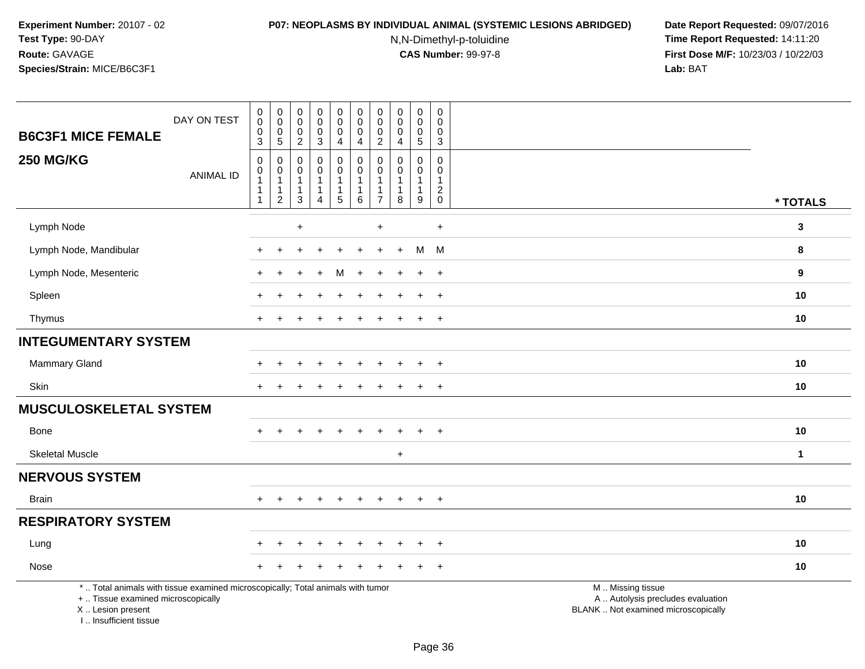## **P07: NEOPLASMS BY INDIVIDUAL ANIMAL (SYSTEMIC LESIONS ABRIDGED) Date Report Requested:** 09/07/2016

N,N-Dimethyl-p-toluidine

| <b>B6C3F1 MICE FEMALE</b>                                                                                                                                           | DAY ON TEST      | $\begin{smallmatrix} 0\\0 \end{smallmatrix}$<br>$\boldsymbol{0}$<br>$\mathbf{3}$                 | $\pmb{0}$<br>$\overline{0}$<br>$\mathbf 0$<br>$\sqrt{5}$      | 0<br>$\pmb{0}$<br>$\mathbf 0$<br>$\overline{2}$                 | $\pmb{0}$<br>$\bar{0}$<br>$\mathsf 0$<br>$\mathbf{3}$                        | $\mathbf 0$<br>$\ddot{\mathbf{0}}$<br>$\mathsf 0$<br>4                              | $\pmb{0}$<br>$\ddot{\mathbf{0}}$<br>$\mathbf 0$<br>4 | $\mathbf 0$<br>$\ddot{\mathbf{0}}$<br>$\mathbf 0$<br>$\overline{2}$            | $\pmb{0}$<br>$\ddot{\mathbf{0}}$<br>$\mathbf 0$<br>$\overline{a}$ | $\pmb{0}$<br>$\mathbf 0$<br>$\mathbf 0$<br>5 | $\pmb{0}$<br>$\overline{0}$<br>$\mathbf 0$<br>$\overline{3}$ |                                                                                               |              |
|---------------------------------------------------------------------------------------------------------------------------------------------------------------------|------------------|--------------------------------------------------------------------------------------------------|---------------------------------------------------------------|-----------------------------------------------------------------|------------------------------------------------------------------------------|-------------------------------------------------------------------------------------|------------------------------------------------------|--------------------------------------------------------------------------------|-------------------------------------------------------------------|----------------------------------------------|--------------------------------------------------------------|-----------------------------------------------------------------------------------------------|--------------|
| <b>250 MG/KG</b>                                                                                                                                                    | <b>ANIMAL ID</b> | $\boldsymbol{0}$<br>$\begin{smallmatrix}0\\1\end{smallmatrix}$<br>$\overline{1}$<br>$\mathbf{1}$ | $\mathbf 0$<br>$\pmb{0}$<br>$\mathbf{1}$<br>$\mathbf{1}$<br>2 | $\mathbf 0$<br>$\mathbf 0$<br>$\mathbf{1}$<br>$\mathbf{1}$<br>3 | $\mathbf 0$<br>$\mathsf 0$<br>$\mathbf{1}$<br>$\mathbf{1}$<br>$\overline{4}$ | $\mathsf 0$<br>$\mathbf 0$<br>$\mathbf{1}$<br>$\begin{array}{c} 1 \\ 5 \end{array}$ | $\mathbf 0$<br>$\pmb{0}$<br>1<br>1<br>$\,6\,$        | $\mathbf 0$<br>$\mathbf 0$<br>$\mathbf{1}$<br>$\overline{1}$<br>$\overline{7}$ | $\mathbf 0$<br>$\mathbf 0$<br>$\mathbf{1}$<br>$\mathbf{1}$<br>8   | $\mathbf 0$<br>0<br>$\mathbf{1}$<br>1<br>9   | $\mathbf 0$<br>$\mathbf 0$<br>$\mathbf{1}$<br>$^2_{\rm 0}$   |                                                                                               | * TOTALS     |
| Lymph Node                                                                                                                                                          |                  |                                                                                                  |                                                               | $\ddot{}$                                                       |                                                                              |                                                                                     |                                                      | $\ddot{}$                                                                      |                                                                   |                                              | $+$                                                          |                                                                                               | $\mathbf{3}$ |
| Lymph Node, Mandibular                                                                                                                                              |                  |                                                                                                  |                                                               |                                                                 |                                                                              |                                                                                     |                                                      |                                                                                | $\div$                                                            | M                                            | M                                                            |                                                                                               | 8            |
| Lymph Node, Mesenteric                                                                                                                                              |                  |                                                                                                  |                                                               |                                                                 |                                                                              | м                                                                                   |                                                      |                                                                                |                                                                   | $\ddot{}$                                    | $\overline{+}$                                               |                                                                                               | 9            |
| Spleen                                                                                                                                                              |                  |                                                                                                  |                                                               |                                                                 |                                                                              |                                                                                     |                                                      |                                                                                |                                                                   |                                              | $\overline{+}$                                               |                                                                                               | 10           |
| Thymus                                                                                                                                                              |                  |                                                                                                  |                                                               |                                                                 |                                                                              |                                                                                     |                                                      |                                                                                |                                                                   | $\ddot{}$                                    | $\overline{+}$                                               |                                                                                               | 10           |
| <b>INTEGUMENTARY SYSTEM</b>                                                                                                                                         |                  |                                                                                                  |                                                               |                                                                 |                                                                              |                                                                                     |                                                      |                                                                                |                                                                   |                                              |                                                              |                                                                                               |              |
| Mammary Gland                                                                                                                                                       |                  |                                                                                                  |                                                               |                                                                 |                                                                              |                                                                                     |                                                      |                                                                                |                                                                   |                                              | $\ddot{}$                                                    |                                                                                               | 10           |
| Skin                                                                                                                                                                |                  | $+$                                                                                              |                                                               |                                                                 |                                                                              |                                                                                     |                                                      |                                                                                |                                                                   | $\ddot{}$                                    | $+$                                                          |                                                                                               | 10           |
| <b>MUSCULOSKELETAL SYSTEM</b>                                                                                                                                       |                  |                                                                                                  |                                                               |                                                                 |                                                                              |                                                                                     |                                                      |                                                                                |                                                                   |                                              |                                                              |                                                                                               |              |
| <b>Bone</b>                                                                                                                                                         |                  |                                                                                                  |                                                               |                                                                 |                                                                              |                                                                                     |                                                      |                                                                                |                                                                   | $\ddot{}$                                    | $\overline{+}$                                               |                                                                                               | 10           |
| <b>Skeletal Muscle</b>                                                                                                                                              |                  |                                                                                                  |                                                               |                                                                 |                                                                              |                                                                                     |                                                      |                                                                                | $\ddot{}$                                                         |                                              |                                                              |                                                                                               | $\mathbf{1}$ |
| <b>NERVOUS SYSTEM</b>                                                                                                                                               |                  |                                                                                                  |                                                               |                                                                 |                                                                              |                                                                                     |                                                      |                                                                                |                                                                   |                                              |                                                              |                                                                                               |              |
| <b>Brain</b>                                                                                                                                                        |                  | $+$                                                                                              | $\ddot{}$                                                     | ÷                                                               | $\ddot{}$                                                                    | $\ddot{}$                                                                           | $\ddot{}$                                            | $+$                                                                            | $+$                                                               | $+$                                          | $+$                                                          |                                                                                               | 10           |
| <b>RESPIRATORY SYSTEM</b>                                                                                                                                           |                  |                                                                                                  |                                                               |                                                                 |                                                                              |                                                                                     |                                                      |                                                                                |                                                                   |                                              |                                                              |                                                                                               |              |
| Lung                                                                                                                                                                |                  |                                                                                                  |                                                               |                                                                 |                                                                              |                                                                                     |                                                      |                                                                                |                                                                   |                                              | $\ddot{}$                                                    |                                                                                               | 10           |
| Nose                                                                                                                                                                |                  |                                                                                                  |                                                               |                                                                 |                                                                              |                                                                                     |                                                      |                                                                                |                                                                   |                                              | $^{+}$                                                       |                                                                                               | 10           |
| *  Total animals with tissue examined microscopically; Total animals with tumor<br>+  Tissue examined microscopically<br>X  Lesion present<br>I Insufficient tissue |                  |                                                                                                  |                                                               |                                                                 |                                                                              |                                                                                     |                                                      |                                                                                |                                                                   |                                              |                                                              | M  Missing tissue<br>A  Autolysis precludes evaluation<br>BLANK  Not examined microscopically |              |